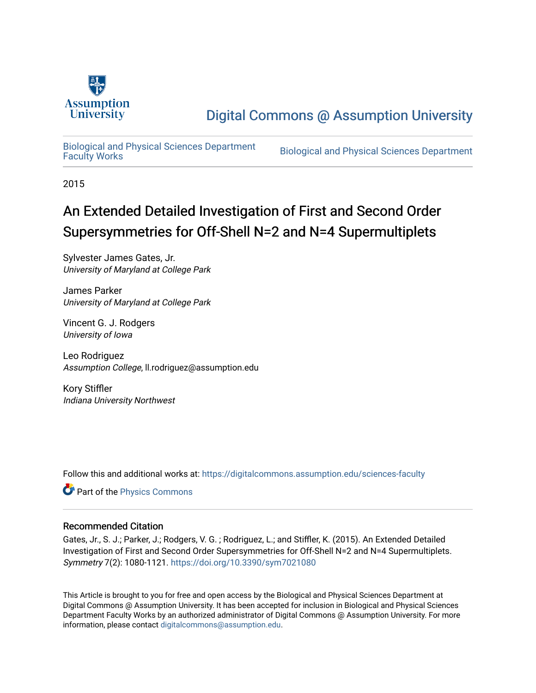

# [Digital Commons @ Assumption University](https://digitalcommons.assumption.edu/)

[Biological and Physical Sciences Department](https://digitalcommons.assumption.edu/sciences-faculty)

Biological and Physical Sciences Department

2015

# An Extended Detailed Investigation of First and Second Order Supersymmetries for Off-Shell N=2 and N=4 Supermultiplets

Sylvester James Gates, Jr. University of Maryland at College Park

James Parker University of Maryland at College Park

Vincent G. J. Rodgers University of Iowa

Leo Rodriguez Assumption College, ll.rodriguez@assumption.edu

Kory Stiffler Indiana University Northwest

Follow this and additional works at: [https://digitalcommons.assumption.edu/sciences-faculty](https://digitalcommons.assumption.edu/sciences-faculty?utm_source=digitalcommons.assumption.edu%2Fsciences-faculty%2F4&utm_medium=PDF&utm_campaign=PDFCoverPages) 

Part of the [Physics Commons](http://network.bepress.com/hgg/discipline/193?utm_source=digitalcommons.assumption.edu%2Fsciences-faculty%2F4&utm_medium=PDF&utm_campaign=PDFCoverPages)

#### Recommended Citation

Gates, Jr., S. J.; Parker, J.; Rodgers, V. G.; Rodriguez, L.; and Stiffler, K. (2015). An Extended Detailed Investigation of First and Second Order Supersymmetries for Off-Shell N=2 and N=4 Supermultiplets. Symmetry 7(2): 1080-1121.<https://doi.org/10.3390/sym7021080>

This Article is brought to you for free and open access by the Biological and Physical Sciences Department at Digital Commons @ Assumption University. It has been accepted for inclusion in Biological and Physical Sciences Department Faculty Works by an authorized administrator of Digital Commons @ Assumption University. For more information, please contact [digitalcommons@assumption.edu.](mailto:digitalcommons@assumption.edu)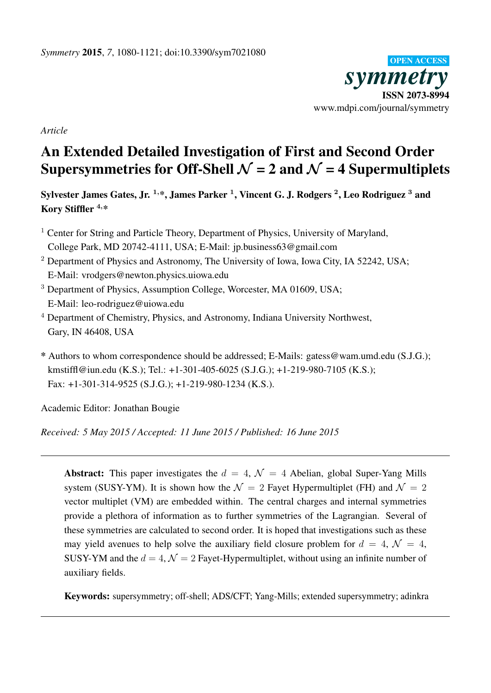

*Article*

# An Extended Detailed Investigation of First and Second Order Supersymmetries for Off-Shell  $\mathcal{N} = 2$  and  $\mathcal{N} = 4$  Supermultiplets

Sylvester James Gates, Jr.  $^{1, \ast},$  James Parker  $^{1},$  Vincent G. J. Rodgers  $^{2},$  Leo Rodriguez  $^{3}$  and Kory Stiffler <sup>4</sup>,\*

- <sup>1</sup> Center for String and Particle Theory, Department of Physics, University of Maryland, College Park, MD 20742-4111, USA; E-Mail: jp.business63@gmail.com
- <sup>2</sup> Department of Physics and Astronomy, The University of Iowa, Iowa City, IA 52242, USA; E-Mail: vrodgers@newton.physics.uiowa.edu
- <sup>3</sup> Department of Physics, Assumption College, Worcester, MA 01609, USA; E-Mail: leo-rodriguez@uiowa.edu
- <sup>4</sup> Department of Chemistry, Physics, and Astronomy, Indiana University Northwest, Gary, IN 46408, USA
- \* Authors to whom correspondence should be addressed; E-Mails: gatess@wam.umd.edu (S.J.G.); kmstiffl@iun.edu (K.S.); Tel.: +1-301-405-6025 (S.J.G.); +1-219-980-7105 (K.S.); Fax: +1-301-314-9525 (S.J.G.); +1-219-980-1234 (K.S.).

Academic Editor: Jonathan Bougie

*Received: 5 May 2015 / Accepted: 11 June 2015 / Published: 16 June 2015*

**Abstract:** This paper investigates the  $d = 4$ ,  $\mathcal{N} = 4$  Abelian, global Super-Yang Mills system (SUSY-YM). It is shown how the  $\mathcal{N} = 2$  Fayet Hypermultiplet (FH) and  $\mathcal{N} = 2$ vector multiplet (VM) are embedded within. The central charges and internal symmetries provide a plethora of information as to further symmetries of the Lagrangian. Several of these symmetries are calculated to second order. It is hoped that investigations such as these may yield avenues to help solve the auxiliary field closure problem for  $d = 4$ ,  $\mathcal{N} = 4$ , SUSY-YM and the  $d = 4$ ,  $\mathcal{N} = 2$  Fayet-Hypermultiplet, without using an infinite number of auxiliary fields.

Keywords: supersymmetry; off-shell; ADS/CFT; Yang-Mills; extended supersymmetry; adinkra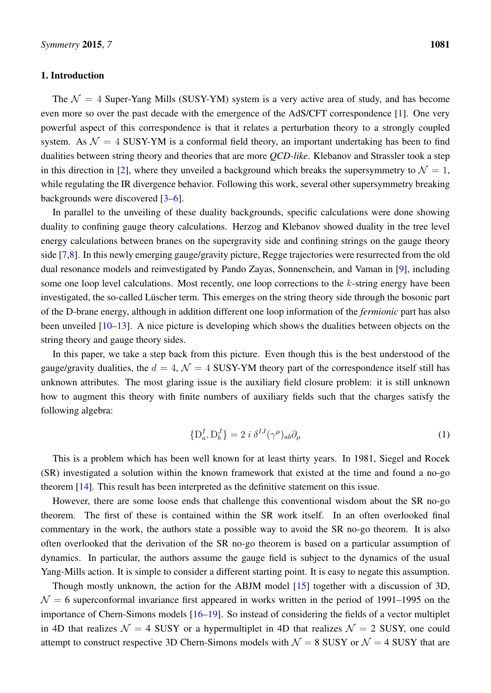#### 1. Introduction

The  $\mathcal{N} = 4$  Super-Yang Mills (SUSY-YM) system is a very active area of study, and has become even more so over the past decade with the emergence of the AdS/CFT correspondence [\[1\]](#page-41-0). One very powerful aspect of this correspondence is that it relates a perturbation theory to a strongly coupled system. As  $\mathcal{N} = 4$  SUSY-YM is a conformal field theory, an important undertaking has been to find dualities between string theory and theories that are more *QCD-like*. Klebanov and Strassler took a step in this direction in [\[2\]](#page-41-1), where they unveiled a background which breaks the supersymmetry to  $\mathcal{N} = 1$ , while regulating the IR divergence behavior. Following this work, several other supersymmetry breaking backgrounds were discovered [\[3](#page-41-2)[–6\]](#page-41-3).

In parallel to the unveiling of these duality backgrounds, specific calculations were done showing duality to confining gauge theory calculations. Herzog and Klebanov showed duality in the tree level energy calculations between branes on the supergravity side and confining strings on the gauge theory side [\[7](#page-41-4)[,8\]](#page-41-5). In this newly emerging gauge/gravity picture, Regge trajectories were resurrected from the old dual resonance models and reinvestigated by Pando Zayas, Sonnenschein, and Vaman in [\[9\]](#page-41-6), including some one loop level calculations. Most recently, one loop corrections to the k-string energy have been investigated, the so-called Lüscher term. This emerges on the string theory side through the bosonic part of the D-brane energy, although in addition different one loop information of the *fermionic* part has also been unveiled [\[10–](#page-41-7)[13\]](#page-41-8). A nice picture is developing which shows the dualities between objects on the string theory and gauge theory sides.

In this paper, we take a step back from this picture. Even though this is the best understood of the gauge/gravity dualities, the  $d = 4$ ,  $\mathcal{N} = 4$  SUSY-YM theory part of the correspondence itself still has unknown attributes. The most glaring issue is the auxiliary field closure problem: it is still unknown how to augment this theory with finite numbers of auxiliary fields such that the charges satisfy the following algebra:

<span id="page-2-0"></span>
$$
\{D_a^I, D_b^J\} = 2 i \delta^{IJ} (\gamma^\mu)_{ab} \partial_\mu \tag{1}
$$

This is a problem which has been well known for at least thirty years. In 1981, Siegel and Rocek (SR) investigated a solution within the known framework that existed at the time and found a no-go theorem [\[14\]](#page-41-9). This result has been interpreted as the definitive statement on this issue.

However, there are some loose ends that challenge this conventional wisdom about the SR no-go theorem. The first of these is contained within the SR work itself. In an often overlooked final commentary in the work, the authors state a possible way to avoid the SR no-go theorem. It is also often overlooked that the derivation of the SR no-go theorem is based on a particular assumption of dynamics. In particular, the authors assume the gauge field is subject to the dynamics of the usual Yang-Mills action. It is simple to consider a different starting point. It is easy to negate this assumption.

Though mostly unknown, the action for the ABJM model [\[15\]](#page-41-10) together with a discussion of 3D,  $\mathcal{N} = 6$  superconformal invariance first appeared in works written in the period of 1991–1995 on the importance of Chern-Simons models [\[16–](#page-41-11)[19\]](#page-42-0). So instead of considering the fields of a vector multiplet in 4D that realizes  $\mathcal{N} = 4$  SUSY or a hypermultiplet in 4D that realizes  $\mathcal{N} = 2$  SUSY, one could attempt to construct respective 3D Chern-Simons models with  $\mathcal{N} = 8$  SUSY or  $\mathcal{N} = 4$  SUSY that are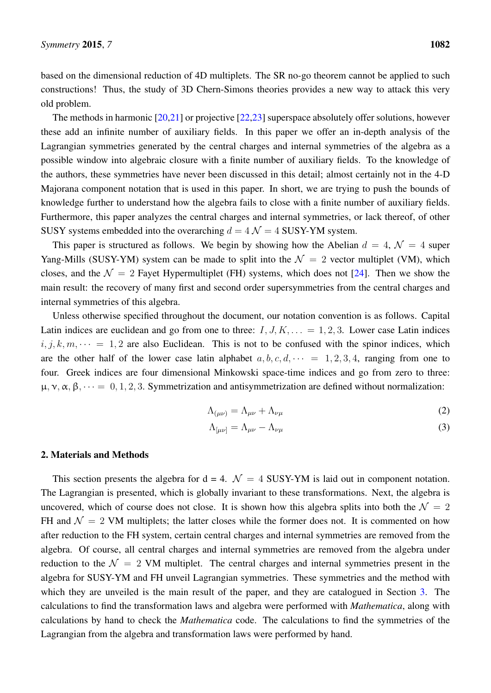based on the dimensional reduction of 4D multiplets. The SR no-go theorem cannot be applied to such constructions! Thus, the study of 3D Chern-Simons theories provides a new way to attack this very old problem.

The methods in harmonic [\[20](#page-42-1)[,21\]](#page-42-2) or projective [\[22](#page-42-3)[,23\]](#page-42-4) superspace absolutely offer solutions, however these add an infinite number of auxiliary fields. In this paper we offer an in-depth analysis of the Lagrangian symmetries generated by the central charges and internal symmetries of the algebra as a possible window into algebraic closure with a finite number of auxiliary fields. To the knowledge of the authors, these symmetries have never been discussed in this detail; almost certainly not in the 4-D Majorana component notation that is used in this paper. In short, we are trying to push the bounds of knowledge further to understand how the algebra fails to close with a finite number of auxiliary fields. Furthermore, this paper analyzes the central charges and internal symmetries, or lack thereof, of other SUSY systems embedded into the overarching  $d = 4 \mathcal{N} = 4$  SUSY-YM system.

This paper is structured as follows. We begin by showing how the Abelian  $d = 4$ ,  $\mathcal{N} = 4$  super Yang-Mills (SUSY-YM) system can be made to split into the  $\mathcal{N} = 2$  vector multiplet (VM), which closes, and the  $\mathcal{N} = 2$  Fayet Hypermultiplet (FH) systems, which does not [\[24\]](#page-42-5). Then we show the main result: the recovery of many first and second order supersymmetries from the central charges and internal symmetries of this algebra.

Unless otherwise specified throughout the document, our notation convention is as follows. Capital Latin indices are euclidean and go from one to three:  $I, J, K, \ldots = 1, 2, 3$ . Lower case Latin indices  $i, j, k, m, \dots = 1, 2$  are also Euclidean. This is not to be confused with the spinor indices, which are the other half of the lower case latin alphabet  $a, b, c, d, \cdots = 1, 2, 3, 4$ , ranging from one to four. Greek indices are four dimensional Minkowski space-time indices and go from zero to three:  $\mu$ ,  $\nu$ ,  $\alpha$ ,  $\beta$ ,  $\cdots = 0, 1, 2, 3$ . Symmetrization and antisymmetrization are defined without normalization:

$$
\Lambda_{(\mu\nu)} = \Lambda_{\mu\nu} + \Lambda_{\nu\mu} \tag{2}
$$

$$
\Lambda_{\left[\mu\nu\right]} = \Lambda_{\mu\nu} - \Lambda_{\nu\mu} \tag{3}
$$

#### 2. Materials and Methods

This section presents the algebra for  $d = 4$ .  $\mathcal{N} = 4$  SUSY-YM is laid out in component notation. The Lagrangian is presented, which is globally invariant to these transformations. Next, the algebra is uncovered, which of course does not close. It is shown how this algebra splits into both the  $\mathcal{N} = 2$ FH and  $\mathcal{N} = 2$  VM multiplets; the latter closes while the former does not. It is commented on how after reduction to the FH system, certain central charges and internal symmetries are removed from the algebra. Of course, all central charges and internal symmetries are removed from the algebra under reduction to the  $\mathcal{N} = 2$  VM multiplet. The central charges and internal symmetries present in the algebra for SUSY-YM and FH unveil Lagrangian symmetries. These symmetries and the method with which they are unveiled is the main result of the paper, and they are catalogued in Section [3.](#page-10-0) The calculations to find the transformation laws and algebra were performed with *Mathematica*, along with calculations by hand to check the *Mathematica* code. The calculations to find the symmetries of the Lagrangian from the algebra and transformation laws were performed by hand.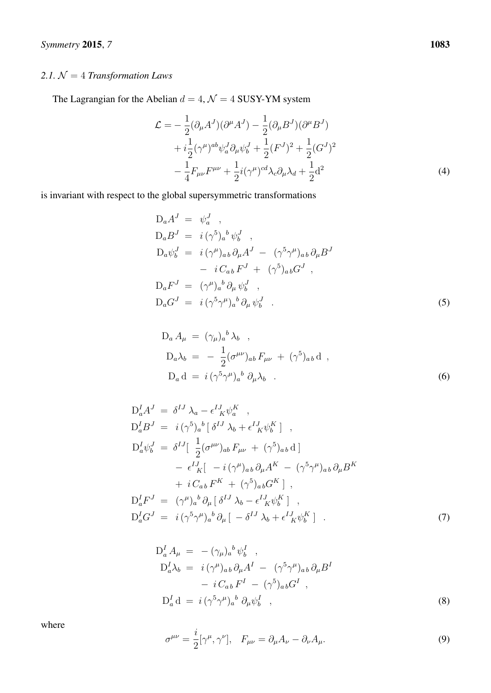## *2.1.* N = 4 *Transformation Laws*

The Lagrangian for the Abelian  $d = 4$ ,  $\mathcal{N} = 4$  SUSY-YM system

<span id="page-4-0"></span>
$$
\mathcal{L} = -\frac{1}{2} (\partial_{\mu} A^{J}) (\partial^{\mu} A^{J}) - \frac{1}{2} (\partial_{\mu} B^{J}) (\partial^{\mu} B^{J}) \n+ i \frac{1}{2} (\gamma^{\mu})^{ab} \psi_{a}^{J} \partial_{\mu} \psi_{b}^{J} + \frac{1}{2} (F^{J})^{2} + \frac{1}{2} (G^{J})^{2} \n- \frac{1}{4} F_{\mu\nu} F^{\mu\nu} + \frac{1}{2} i (\gamma^{\mu})^{cd} \lambda_{c} \partial_{\mu} \lambda_{d} + \frac{1}{2} d^{2}
$$
\n(4)

is invariant with respect to the global supersymmetric transformations

$$
D_a A^J = \psi_a^J ,
$$
  
\n
$$
D_a B^J = i (\gamma^5)_a{}^b \psi_b^J ,
$$
  
\n
$$
D_a \psi_b^J = i (\gamma^\mu)_{ab} \partial_\mu A^J - (\gamma^5 \gamma^\mu)_{ab} \partial_\mu B^J
$$
  
\n
$$
- i C_{ab} F^J + (\gamma^5)_{ab} G^J ,
$$
  
\n
$$
D_a F^J = (\gamma^\mu)_a{}^b \partial_\mu \psi_b^J ,
$$
  
\n
$$
D_a G^J = i (\gamma^5 \gamma^\mu)_a{}^b \partial_\mu \psi_b^J .
$$
\n(5)

<span id="page-4-1"></span>
$$
D_a A_\mu = (\gamma_\mu)_a{}^b \lambda_b ,
$$
  
\n
$$
D_a \lambda_b = -\frac{1}{2} (\sigma^{\mu\nu})_{ab} F_{\mu\nu} + (\gamma^5)_{ab} d ,
$$
  
\n
$$
D_a d = i (\gamma^5 \gamma^\mu)_a{}^b \partial_\mu \lambda_b .
$$
 (6)

$$
D_a^I A^J = \delta^{IJ} \lambda_a - \epsilon^I{}_K^J \psi_a^K ,
$$
  
\n
$$
D_a^I B^J = i(\gamma^5)_a{}^b [\delta^{IJ} \lambda_b + \epsilon^I{}_K^J \psi_b^K] ,
$$
  
\n
$$
D_a^I \psi_b^J = \delta^{IJ} [\frac{1}{2} (\sigma^{\mu\nu})_{ab} F_{\mu\nu} + (\gamma^5)_{ab} d ]
$$
  
\n
$$
- \epsilon^I{}_K [ -i(\gamma^{\mu})_{ab} \partial_{\mu} A^K - (\gamma^5 \gamma^{\mu})_{ab} \partial_{\mu} B^K
$$
  
\n
$$
+ i C_{ab} F^K + (\gamma^5)_{ab} G^K ] ,
$$
  
\n
$$
D_a^I F^J = (\gamma^{\mu})_a{}^b \partial_{\mu} [\delta^{IJ} \lambda_b - \epsilon^I{}_K^J \psi_b^K ] ,
$$
  
\n
$$
D_a^I G^J = i(\gamma^5 \gamma^{\mu})_a{}^b \partial_{\mu} [-\delta^{IJ} \lambda_b + \epsilon^I{}_K^J \psi_b^K ] .
$$
  
\n(7)

$$
D_a^I A_\mu = -(\gamma_\mu)_a{}^b \psi_b^I ,
$$
  
\n
$$
D_a^I \lambda_b = i (\gamma^\mu)_{ab} \partial_\mu A^I - (\gamma^5 \gamma^\mu)_{ab} \partial_\mu B^I
$$
  
\n
$$
- i C_{ab} F^I - (\gamma^5)_{ab} G^I ,
$$
  
\n
$$
D_a^I d = i (\gamma^5 \gamma^\mu)_a{}^b \partial_\mu \psi_b^I ,
$$
 (8)

where

<span id="page-4-2"></span>
$$
\sigma^{\mu\nu} = \frac{i}{2} [\gamma^{\mu}, \gamma^{\nu}], \quad F_{\mu\nu} = \partial_{\mu} A_{\nu} - \partial_{\nu} A_{\mu}.
$$
\n(9)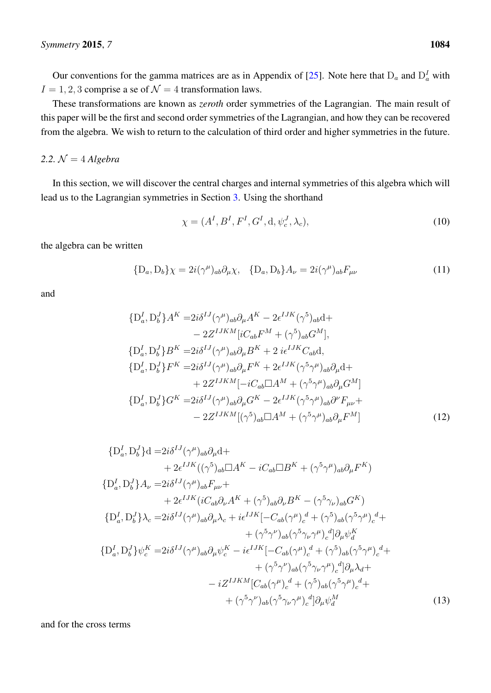Our conventions for the gamma matrices are as in Appendix of [\[25\]](#page-42-6). Note here that  $D_a$  and  $D_a^I$  with  $I = 1, 2, 3$  comprise a se of  $\mathcal{N} = 4$  transformation laws.

These transformations are known as *zeroth* order symmetries of the Lagrangian. The main result of this paper will be the first and second order symmetries of the Lagrangian, and how they can be recovered from the algebra. We wish to return to the calculation of third order and higher symmetries in the future.

### 2.2.  $\mathcal{N} = 4$  *Algebra*

In this section, we will discover the central charges and internal symmetries of this algebra which will lead us to the Lagrangian symmetries in Section [3.](#page-10-0) Using the shorthand

<span id="page-5-1"></span><span id="page-5-0"></span>
$$
\chi = (AI, BI, FI, GI, \mathbf{d}, \psicJ, \lambdac),
$$
\n(10)

the algebra can be written

$$
\{D_a, D_b\}\chi = 2i(\gamma^\mu)_{ab}\partial_\mu\chi, \quad \{D_a, D_b\}A_\nu = 2i(\gamma^\mu)_{ab}F_{\mu\nu}
$$
(11)

and

$$
\{D_a^I, D_b^J\}A^K = 2i\delta^{IJ}(\gamma^{\mu})_{ab}\partial_{\mu}A^K - 2\epsilon^{IJK}(\gamma^5)_{ab}d +
$$
  
\n
$$
- 2Z^{IJKM}[iC_{ab}F^M + (\gamma^5)_{ab}G^M],
$$
  
\n
$$
\{D_a^I, D_b^J\}B^K = 2i\delta^{IJ}(\gamma^{\mu})_{ab}\partial_{\mu}B^K + 2i\epsilon^{IJK}C_{ab}d,
$$
  
\n
$$
\{D_a^I, D_b^J\}F^K = 2i\delta^{IJ}(\gamma^{\mu})_{ab}\partial_{\mu}F^K + 2\epsilon^{IJK}(\gamma^5\gamma^{\mu})_{ab}\partial_{\mu}d +
$$
  
\n
$$
+ 2Z^{IJKM}[-iC_{ab}\Box A^M + (\gamma^5\gamma^{\mu})_{ab}\partial_{\mu}G^M]
$$
  
\n
$$
\{D_a^I, D_b^J\}G^K = 2i\delta^{IJ}(\gamma^{\mu})_{ab}\partial_{\mu}G^K - 2\epsilon^{IJK}(\gamma^5\gamma^{\mu})_{ab}\partial^{\nu}F_{\mu\nu} +
$$
  
\n
$$
- 2Z^{IJKM}[(\gamma^5)_{ab}\Box A^M + (\gamma^5\gamma^{\mu})_{ab}\partial_{\mu}F^M]
$$
  
\n(12)

$$
\{D_a^I, D_b^J\}d = 2i\delta^{IJ}(\gamma^{\mu})_{ab}\partial_{\mu}d ++ 2\epsilon^{IJK}((\gamma^5)_{ab}\Box A^K - iC_{ab}\Box B^K + (\gamma^5\gamma^{\mu})_{ab}\partial_{\mu}F^K)\{D_a^I, D_b^J\}A_{\nu} = 2i\delta^{IJ}(\gamma^{\mu})_{ab}F_{\mu\nu} ++ 2\epsilon^{IJK}(iC_{ab}\partial_{\nu}A^K + (\gamma^5)_{ab}\partial_{\nu}B^K - (\gamma^5\gamma_{\nu})_{ab}G^K)\{D_a^I, D_b^J\}\lambda_c = 2i\delta^{IJ}(\gamma^{\mu})_{ab}\partial_{\mu}\lambda_c + i\epsilon^{IJK}[-C_{ab}(\gamma^{\mu})_c^d + (\gamma^5)_{ab}(\gamma^5\gamma^{\mu})_c^d ++ (\gamma^5\gamma^{\nu})_{ab}(\gamma^5\gamma_{\nu}\gamma^{\mu})_c^d]\partial_{\mu}\psi_a^K\{D_a^I, D_b^J\}\psi_c^K = 2i\delta^{IJ}(\gamma^{\mu})_{ab}\partial_{\mu}\psi_c^K - i\epsilon^{IJK}[-C_{ab}(\gamma^{\mu})_c^d + (\gamma^5)_{ab}(\gamma^5\gamma^{\mu})_c^d ++ (\gamma^5\gamma^{\nu})_{ab}(\gamma^5\gamma_{\nu}\gamma^{\mu})_c^d]\partial_{\mu}\lambda_d +- iZ^{IJKM}[C_{ab}(\gamma^{\mu})_c^d + (\gamma^5)_{ab}(\gamma^5\gamma^{\mu})_c^d ++ (\gamma^5\gamma^{\nu})_{ab}(\gamma^5\gamma_{\nu}\gamma^{\mu})_c^d]\partial_{\mu}\psi_a^M
$$
\n(13)

and for the cross terms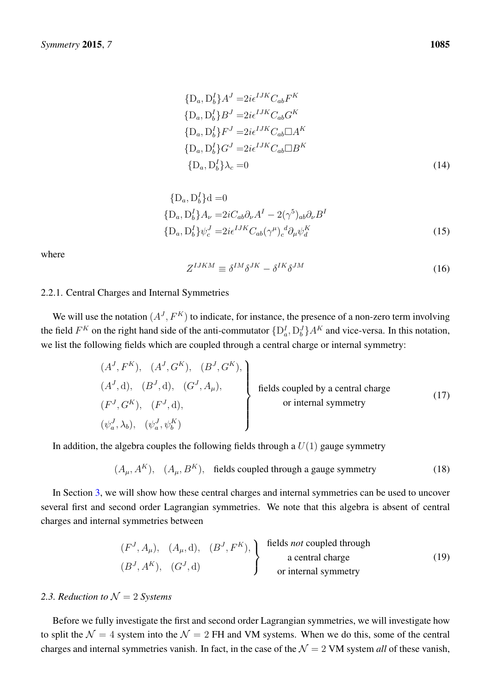<span id="page-6-0"></span>
$$
\{D_a, D_b^I\}A^J = 2i\epsilon^{IJK}C_{ab}F^K
$$
  
\n
$$
\{D_a, D_b^I\}B^J = 2i\epsilon^{IJK}C_{ab}G^K
$$
  
\n
$$
\{D_a, D_b^I\}F^J = 2i\epsilon^{IJK}C_{ab}\Box A^K
$$
  
\n
$$
\{D_a, D_b^I\}G^J = 2i\epsilon^{IJK}C_{ab}\Box B^K
$$
  
\n
$$
\{D_a, D_b^I\}\lambda_c = 0
$$
\n(14)

$$
\{D_a, D_b^I\}d = 0
$$
  
\n
$$
\{D_a, D_b^I\}A_\nu = 2iC_{ab}\partial_\nu A^I - 2(\gamma^5)_{ab}\partial_\nu B^I
$$
  
\n
$$
\{D_a, D_b^I\}\psi_c^J = 2i\epsilon^{IJK}C_{ab}(\gamma^\mu)_c^d\partial_\mu\psi_d^K
$$
\n(15)

where

<span id="page-6-1"></span>
$$
Z^{IJKM} \equiv \delta^{IM} \delta^{JK} - \delta^{IK} \delta^{JM} \tag{16}
$$

### 2.2.1. Central Charges and Internal Symmetries

We will use the notation  $(A<sup>J</sup>, F<sup>K</sup>)$  to indicate, for instance, the presence of a non-zero term involving the field  $F^K$  on the right hand side of the anti-commutator  $\{D_a^I, D_b^J\} A^K$  and vice-versa. In this notation, we list the following fields which are coupled through a central charge or internal symmetry:

$$
(AJ, FK), (AJ, GK), (BJ, A\mu),
$$
  
\n
$$
(FJ, GK), (FJ, d), (GJ, A\mu),
$$
  
\n
$$
(\psiaJ, \lambdab), (\psiaJ, \psibK)
$$
  
\nfields coupled by a central charge  
\nor internal symmetry

In addition, the algebra couples the following fields through a  $U(1)$  gauge symmetry

$$
(A_{\mu}, A^{K}), (A_{\mu}, B^{K}),
$$
 fields coupled through a gauge symmetry (18)

In Section [3,](#page-10-0) we will show how these central charges and internal symmetries can be used to uncover several first and second order Lagrangian symmetries. We note that this algebra is absent of central charges and internal symmetries between

$$
(FJ, A\mu), (A\mu, d), (BJ, FK),
$$
  
\n
$$
(BJ, AK), (GJ, d)
$$
  
\n
$$
FK = 0
$$
  
\n
$$
FK = 0
$$
  
\n
$$
FK = 0
$$
  
\n
$$
FK = 0
$$
  
\n
$$
FK = 0
$$
  
\n
$$
FK = 0
$$
  
\n
$$
FK = 0
$$
  
\n
$$
FK = 0
$$
  
\n
$$
FK = 0
$$
  
\n
$$
FK = 0
$$
  
\n
$$
FK = 0
$$
  
\n
$$
FK = 0
$$
  
\n
$$
FK = 0
$$
  
\n
$$
FK = 0
$$
  
\n
$$
FK = 0
$$
  
\n
$$
FK = 0
$$
  
\n
$$
FK = 0
$$
  
\n
$$
FK = 0
$$
  
\n
$$
FK = 0
$$
  
\n
$$
FK = 0
$$
  
\n
$$
FK = 0
$$
  
\n
$$
FK = 0
$$
  
\n
$$
FK = 0
$$
  
\n
$$
FK = 0
$$
  
\n
$$
FK = 0
$$
  
\n
$$
FK = 0
$$
  
\n
$$
FK = 0
$$
  
\n
$$
FK = 0
$$
  
\n
$$
FK = 0
$$
  
\n
$$
FK = 0
$$
  
\n
$$
FK =
$$

#### 2.3. Reduction to  $\mathcal{N} = 2$  *Systems*

Before we fully investigate the first and second order Lagrangian symmetries, we will investigate how to split the  $\mathcal{N} = 4$  system into the  $\mathcal{N} = 2$  FH and VM systems. When we do this, some of the central charges and internal symmetries vanish. In fact, in the case of the  $\mathcal{N} = 2$  VM system *all* of these vanish,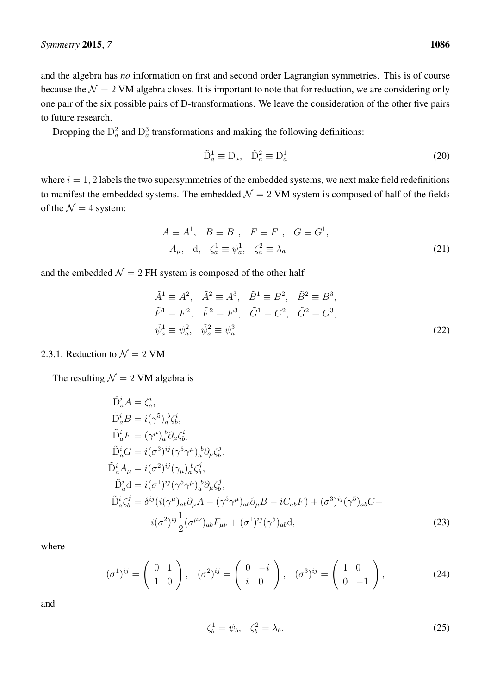and the algebra has *no* information on first and second order Lagrangian symmetries. This is of course because the  $\mathcal{N} = 2$  VM algebra closes. It is important to note that for reduction, we are considering only one pair of the six possible pairs of D-transformations. We leave the consideration of the other five pairs to future research.

Dropping the  $D_a^2$  and  $D_a^3$  transformations and making the following definitions:

$$
\tilde{\mathbf{D}}_a^1 \equiv \mathbf{D}_a, \quad \tilde{\mathbf{D}}_a^2 \equiv \mathbf{D}_a^1 \tag{20}
$$

where  $i = 1, 2$  labels the two supersymmetries of the embedded systems, we next make field redefinitions to manifest the embedded systems. The embedded  $\mathcal{N} = 2$  VM system is composed of half of the fields of the  $\mathcal{N}=4$  system:

$$
A \equiv A^1, \quad B \equiv B^1, \quad F \equiv F^1, \quad G \equiv G^1,
$$
  

$$
A_{\mu}, \quad d, \quad \zeta_a^1 \equiv \psi_a^1, \quad \zeta_a^2 \equiv \lambda_a
$$
 (21)

and the embedded  $\mathcal{N} = 2$  FH system is composed of the other half

$$
\tilde{A}^{1} \equiv A^{2}, \quad \tilde{A}^{2} \equiv A^{3}, \quad \tilde{B}^{1} \equiv B^{2}, \quad \tilde{B}^{2} \equiv B^{3}, \n\tilde{F}^{1} \equiv F^{2}, \quad \tilde{F}^{2} \equiv F^{3}, \quad \tilde{G}^{1} \equiv G^{2}, \quad \tilde{G}^{2} \equiv G^{3}, \n\tilde{\psi}_{a}^{1} \equiv \psi_{a}^{2}, \quad \tilde{\psi}_{a}^{2} \equiv \psi_{a}^{3}
$$
\n(22)

#### 2.3.1. Reduction to  $\mathcal{N} = 2$  VM

The resulting  $\mathcal{N} = 2$  VM algebra is

$$
\tilde{D}_a^i A = \zeta_a^i,
$$
\n
$$
\tilde{D}_a^i B = i(\gamma^5)_a^b \zeta_b^i,
$$
\n
$$
\tilde{D}_a^i F = (\gamma^\mu)_a^b \partial_\mu \zeta_b^i,
$$
\n
$$
\tilde{D}_a^i G = i(\sigma^3)^{ij} (\gamma^5 \gamma^\mu)_a^b \partial_\mu \zeta_b^j,
$$
\n
$$
\tilde{D}_a^i A_\mu = i(\sigma^2)^{ij} (\gamma_\mu)_a^b \zeta_b^j,
$$
\n
$$
\tilde{D}_a^i d = i(\sigma^1)^{ij} (\gamma^5 \gamma^\mu)_a^b \partial_\mu \zeta_b^j,
$$
\n
$$
\tilde{D}_a^i \zeta_b^j = \delta^{ij} (i(\gamma^\mu)_{ab} \partial_\mu A - (\gamma^5 \gamma^\mu)_{ab} \partial_\mu B - iC_{ab}F) + (\sigma^3)^{ij} (\gamma^5)_{ab} G +
$$
\n
$$
- i(\sigma^2)^{ij} \frac{1}{2} (\sigma^{\mu\nu})_{ab} F_{\mu\nu} + (\sigma^1)^{ij} (\gamma^5)_{ab} d,
$$
\n(23)

where

$$
(\sigma^1)^{ij} = \begin{pmatrix} 0 & 1 \\ 1 & 0 \end{pmatrix}, \quad (\sigma^2)^{ij} = \begin{pmatrix} 0 & -i \\ i & 0 \end{pmatrix}, \quad (\sigma^3)^{ij} = \begin{pmatrix} 1 & 0 \\ 0 & -1 \end{pmatrix}, \tag{24}
$$

$$
\zeta_b^1 = \psi_b, \quad \zeta_b^2 = \lambda_b. \tag{25}
$$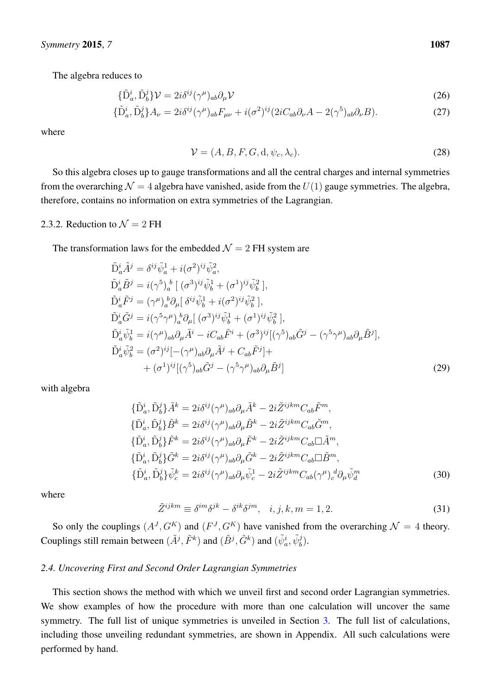The algebra reduces to

$$
\{\tilde{\mathbf{D}}_a^i, \tilde{\mathbf{D}}_b^j\} \mathcal{V} = 2i\delta^{ij}(\gamma^\mu)_{ab}\partial_\mu \mathcal{V}
$$
\n(26)

$$
\{\tilde{\mathbf{D}}_a^i, \tilde{\mathbf{D}}_b^j\} A_\nu = 2i\delta^{ij}(\gamma^\mu)_{ab} F_{\mu\nu} + i(\sigma^2)^{ij} (2iC_{ab}\partial_\nu A - 2(\gamma^5)_{ab}\partial_\nu B). \tag{27}
$$

where

$$
\mathcal{V} = (A, B, F, G, d, \psi_c, \lambda_c). \tag{28}
$$

So this algebra closes up to gauge transformations and all the central charges and internal symmetries from the overarching  $\mathcal{N} = 4$  algebra have vanished, aside from the  $U(1)$  gauge symmetries. The algebra, therefore, contains no information on extra symmetries of the Lagrangian.

#### 2.3.2. Reduction to  $\mathcal{N} = 2$  FH

The transformation laws for the embedded  $\mathcal{N} = 2$  FH system are

$$
\tilde{D}_a^i \tilde{A}^j = \delta^{ij} \tilde{\psi}_a^1 + i(\sigma^2)^{ij} \tilde{\psi}_a^2,
$$
\n
$$
\tilde{D}_a^i \tilde{B}^j = i(\gamma^5)_a^b \left[ (\sigma^3)^{ij} \tilde{\psi}_b^1 + (\sigma^1)^{ij} \tilde{\psi}_b^2 \right],
$$
\n
$$
\tilde{D}_a^i \tilde{F}^j = (\gamma^\mu)_a^b \partial_\mu \left[ \delta^{ij} \tilde{\psi}_b^1 + i(\sigma^2)^{ij} \tilde{\psi}_b^2 \right],
$$
\n
$$
\tilde{D}_a^i \tilde{G}^j = i(\gamma^5 \gamma^\mu)_a^b \partial_\mu \left[ (\sigma^3)^{ij} \tilde{\psi}_b^1 + (\sigma^1)^{ij} \tilde{\psi}_b^2 \right],
$$
\n
$$
\tilde{D}_a^i \tilde{\psi}_b^1 = i(\gamma^\mu)_{ab} \partial_\mu \tilde{A}^i - iC_{ab} \tilde{F}^i + (\sigma^3)^{ij} \left[ (\gamma^5)_{ab} \tilde{G}^j - (\gamma^5 \gamma^\mu)_{ab} \partial_\mu \tilde{B}^j \right],
$$
\n
$$
\tilde{D}_a^i \tilde{\psi}_b^2 = (\sigma^2)^{ij} \left[ -(\gamma^\mu)_{ab} \partial_\mu \tilde{A}^j + C_{ab} \tilde{F}^j \right] +
$$
\n
$$
+ (\sigma^1)^{ij} \left[ (\gamma^5)_{ab} \tilde{G}^j - (\gamma^5 \gamma^\mu)_{ab} \partial_\mu \tilde{B}^j \right]
$$
\n(29)

with algebra

$$
\{\tilde{\mathbf{D}}_a^i, \tilde{\mathbf{D}}_b^j\} \tilde{A}^k = 2i\delta^{ij}(\gamma^\mu)_{ab}\partial_\mu \tilde{A}^k - 2i\tilde{Z}^{ijkm}C_{ab}\tilde{F}^m,
$$
  
\n
$$
\{\tilde{\mathbf{D}}_a^i, \tilde{\mathbf{D}}_b^j\} \tilde{B}^k = 2i\delta^{ij}(\gamma^\mu)_{ab}\partial_\mu \tilde{B}^k - 2i\tilde{Z}^{ijkm}C_{ab}\tilde{G}^m,
$$
  
\n
$$
\{\tilde{\mathbf{D}}_a^i, \tilde{\mathbf{D}}_b^j\} \tilde{F}^k = 2i\delta^{ij}(\gamma^\mu)_{ab}\partial_\mu \tilde{F}^k - 2i\tilde{Z}^{ijkm}C_{ab}\Box \tilde{A}^m,
$$
  
\n
$$
\{\tilde{\mathbf{D}}_a^i, \tilde{\mathbf{D}}_b^j\} \tilde{G}^k = 2i\delta^{ij}(\gamma^\mu)_{ab}\partial_\mu \tilde{G}^k - 2i\tilde{Z}^{ijkm}C_{ab}\Box \tilde{B}^m,
$$
  
\n
$$
\{\tilde{\mathbf{D}}_a^i, \tilde{\mathbf{D}}_b^j\} \tilde{\psi}_c^k = 2i\delta^{ij}(\gamma^\mu)_{ab}\partial_\mu \tilde{\psi}_c^1 - 2i\tilde{Z}^{ijkm}C_{ab}(\gamma^\mu)_{c}^d\partial_\mu \tilde{\psi}_d^m
$$
  
\n(30)

where

$$
\tilde{Z}^{ijkm} \equiv \delta^{im}\delta^{jk} - \delta^{ik}\delta^{jm}, \quad i, j, k, m = 1, 2. \tag{31}
$$

So only the couplings  $(A^J, G^K)$  and  $(F^J, G^K)$  have vanished from the overarching  $\mathcal{N} = 4$  theory. Couplings still remain between  $(\tilde{A}^j, \tilde{F}^k)$  and  $(\tilde{B}^j, \tilde{G}^k)$  and  $(\tilde{\psi}_a^i, \tilde{\psi}_b^j)$ .

#### <span id="page-8-0"></span>*2.4. Uncovering First and Second Order Lagrangian Symmetries*

This section shows the method with which we unveil first and second order Lagrangian symmetries. We show examples of how the procedure with more than one calculation will uncover the same symmetry. The full list of unique symmetries is unveiled in Section [3.](#page-10-0) The full list of calculations, including those unveiling redundant symmetries, are shown in Appendix. All such calculations were performed by hand.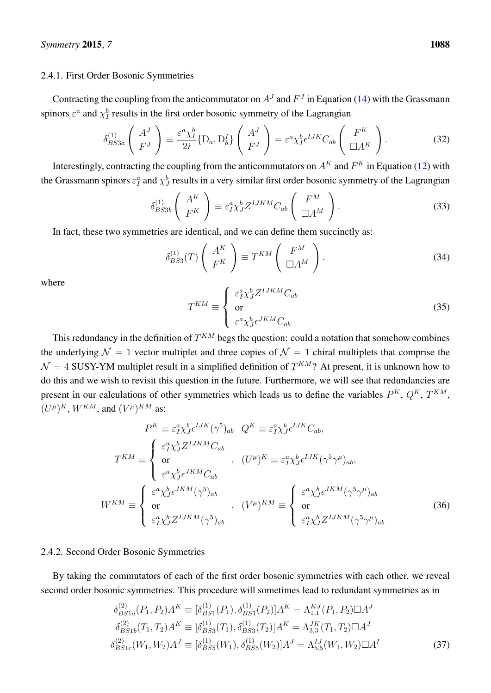#### 2.4.1. First Order Bosonic Symmetries

Contracting the coupling from the anticommutator on  $A<sup>J</sup>$  and  $F<sup>J</sup>$  in Equation [\(14\)](#page-6-0) with the Grassmann spinors  $\varepsilon^a$  and  $\chi_I^b$  results in the first order bosonic symmetry of the Lagrangian

$$
\delta_{BS3a}^{(1)} \left( \begin{array}{c} A^J \\ F^J \end{array} \right) \equiv \frac{\varepsilon^a \chi_I^b}{2i} \{D_a, D_b^I\} \left( \begin{array}{c} A^J \\ F^J \end{array} \right) = \varepsilon^a \chi_I^b \epsilon^{IJK} C_{ab} \left( \begin{array}{c} F^K \\ \Box A^K \end{array} \right). \tag{32}
$$

Interestingly, contracting the coupling from the anticommutators on  $A^K$  and  $F^K$  in Equation [\(12\)](#page-5-0) with the Grassmann spinors  $\varepsilon_I^a$  and  $\chi_J^b$  results in a very similar first order bosonic symmetry of the Lagrangian

$$
\delta_{BS3b}^{(1)} \left( \begin{array}{c} A^K \\ F^K \end{array} \right) \equiv \varepsilon_1^a \chi_J^b Z^{IJKM} C_{ab} \left( \begin{array}{c} F^M \\ \Box A^M \end{array} \right). \tag{33}
$$

In fact, these two symmetries are identical, and we can define them succinctly as:

$$
\delta_{BS3}^{(1)}(T) \left( \begin{array}{c} A^K \\ F^K \end{array} \right) \equiv T^{KM} \left( \begin{array}{c} F^M \\ \Box A^M \end{array} \right). \tag{34}
$$

where

$$
T^{KM} \equiv \begin{cases} \varepsilon_I^a \chi_J^b Z^{IJKLM} C_{ab} \\ \text{or} \\ \varepsilon^a \chi_J^b \epsilon^{JKM} C_{ab} \end{cases} \tag{35}
$$

This redundancy in the definition of  $T^{KM}$  begs the question: could a notation that somehow combines the underlying  $\mathcal{N} = 1$  vector multiplet and three copies of  $\mathcal{N} = 1$  chiral multiplets that comprise the  $\mathcal{N} = 4$  SUSY-YM multiplet result in a simplified definition of  $T^{KM}$ ? At present, it is unknown how to do this and we wish to revisit this question in the future. Furthermore, we will see that redundancies are present in our calculations of other symmetries which leads us to define the variables  $P^{K}$ ,  $Q^{K}$ ,  $T^{KM}$ ,  $(U^{\mu})^K$ ,  $W^{KM}$ , and  $(V^{\mu})^{KM}$  as:

$$
P^{K} \equiv \varepsilon_{I}^{a} \chi_{J}^{b} \epsilon^{IJK} (\gamma^{5})_{ab} \quad Q^{K} \equiv \varepsilon_{I}^{a} \chi_{J}^{b} \epsilon^{IJK} C_{ab},
$$
\n
$$
T^{KM} \equiv \begin{cases}\n\varepsilon_{I}^{a} \chi_{J}^{b} Z^{IJKM} C_{ab} \\
\text{or} \\
\varepsilon^{a} \chi_{J}^{b} \epsilon^{JKM} C_{ab}\n\end{cases}, \quad (U^{\mu})^{K} \equiv \varepsilon_{I}^{a} \chi_{J}^{b} \epsilon^{IJK} (\gamma^{5} \gamma^{\mu})_{ab},
$$
\n
$$
W^{KM} \equiv \begin{cases}\n\varepsilon^{a} \chi_{J}^{b} \epsilon^{JKM} (\gamma^{5})_{ab} \\
\text{or} \\
\varepsilon_{I}^{a} \chi_{J}^{b} Z^{IJKM} (\gamma^{5})_{ab}\n\end{cases}, \quad (V^{\mu})^{KM} \equiv \begin{cases}\n\varepsilon^{a} \chi_{J}^{b} \epsilon^{JKM} (\gamma^{5} \gamma^{\mu})_{ab} \\
\text{or} \\
\varepsilon_{I}^{a} \chi_{J}^{b} Z^{IJKM} (\gamma^{5})_{ab}\n\end{cases}
$$
\n(36)

#### 2.4.2. Second Order Bosonic Symmetries

By taking the commutators of each of the first order bosonic symmetries with each other, we reveal second order bosonic symmetries. This procedure will sometimes lead to redundant symmetries as in

$$
\delta_{BS1a}^{(2)}(P_1, P_2)A^K \equiv [\delta_{BS1}^{(1)}(P_1), \delta_{BS1}^{(1)}(P_2)]A^K = \Lambda_{1,1}^{KJ}(P_1, P_2)\Box A^J
$$
  
\n
$$
\delta_{BS1b}^{(2)}(T_1, T_2)A^K \equiv [\delta_{BS3}^{(1)}(T_1), \delta_{BS3}^{(1)}(T_2)]A^K = \Lambda_{3,3}^{JK}(T_1, T_2)\Box A^J
$$
  
\n
$$
\delta_{BS1c}^{(2)}(W_1, W_2)A^J \equiv [\delta_{BS5}^{(1)}(W_1), \delta_{BS5}^{(1)}(W_2)]A^J = \Lambda_{5,5}^{IJ}(W_1, W_2)\Box A^I
$$
\n(37)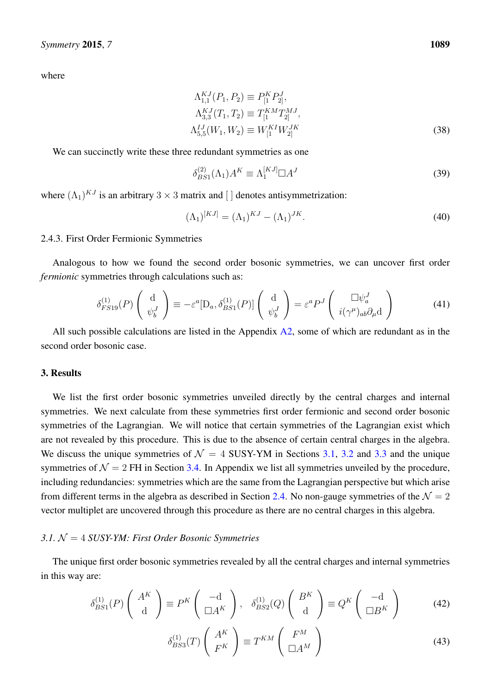where

$$
\Lambda_{1,1}^{KJ}(P_1, P_2) \equiv P_{[1}^K P_{2]}^J,
$$
  
\n
$$
\Lambda_{3,3}^{KJ}(T_1, T_2) \equiv T_{[1}^{KM} T_{2]}^{MJ},
$$
  
\n
$$
\Lambda_{5,5}^{IJ}(W_1, W_2) \equiv W_{[1}^{KI} W_{2]}^{JK}
$$
\n(38)

We can succinctly write these three redundant symmetries as one

$$
\delta_{BS1}^{(2)}(\Lambda_1)A^K \equiv \Lambda_1^{[KJ]} \Box A^J \tag{39}
$$

where  $(\Lambda_1)^{KJ}$  is an arbitrary  $3 \times 3$  matrix and [] denotes antisymmetrization:

$$
(\Lambda_1)^{[KJ]} = (\Lambda_1)^{KJ} - (\Lambda_1)^{JK}.
$$
\n
$$
(40)
$$

#### <span id="page-10-2"></span>2.4.3. First Order Fermionic Symmetries

Analogous to how we found the second order bosonic symmetries, we can uncover first order *fermionic* symmetries through calculations such as:

$$
\delta_{FS19}^{(1)}(P) \begin{pmatrix} d \\ \psi_b^J \end{pmatrix} \equiv -\varepsilon^a [D_a, \delta_{BS1}^{(1)}(P)] \begin{pmatrix} d \\ \psi_b^J \end{pmatrix} = \varepsilon^a P^J \begin{pmatrix} \Box \psi_a^J \\ i(\gamma^\mu)_{ab} \partial_\mu d \end{pmatrix}
$$
(41)

All such possible calculations are listed in the Appendix  $A2$ , some of which are redundant as in the second order bosonic case.

#### <span id="page-10-0"></span>3. Results

We list the first order bosonic symmetries unveiled directly by the central charges and internal symmetries. We next calculate from these symmetries first order fermionic and second order bosonic symmetries of the Lagrangian. We will notice that certain symmetries of the Lagrangian exist which are not revealed by this procedure. This is due to the absence of certain central charges in the algebra. We discuss the unique symmetries of  $\mathcal{N} = 4$  SUSY-YM in Sections [3.1,](#page-10-1) [3.2](#page-12-0) and [3.3](#page-14-0) and the unique symmetries of  $\mathcal{N} = 2$  FH in Section [3.4.](#page-20-0) In Appendix we list all symmetries unveiled by the procedure, including redundancies: symmetries which are the same from the Lagrangian perspective but which arise from different terms in the algebra as described in Section [2.4.](#page-8-0) No non-gauge symmetries of the  $\mathcal{N} = 2$ vector multiplet are uncovered through this procedure as there are no central charges in this algebra.

#### <span id="page-10-1"></span>*3.1.* N = 4 *SUSY-YM: First Order Bosonic Symmetries*

The unique first order bosonic symmetries revealed by all the central charges and internal symmetries in this way are:

$$
\delta_{BS1}^{(1)}(P)\left(\begin{array}{c} A^K\\ d \end{array}\right) \equiv P^K\left(\begin{array}{c} -d\\ \Box A^K \end{array}\right), \quad \delta_{BS2}^{(1)}(Q)\left(\begin{array}{c} B^K\\ d \end{array}\right) \equiv Q^K\left(\begin{array}{c} -d\\ \Box B^K \end{array}\right) \tag{42}
$$

$$
\delta_{BS3}^{(1)}(T) \left( \begin{array}{c} A^K \\ F^K \end{array} \right) \equiv T^{KM} \left( \begin{array}{c} F^M \\ \Box A^M \end{array} \right) \tag{43}
$$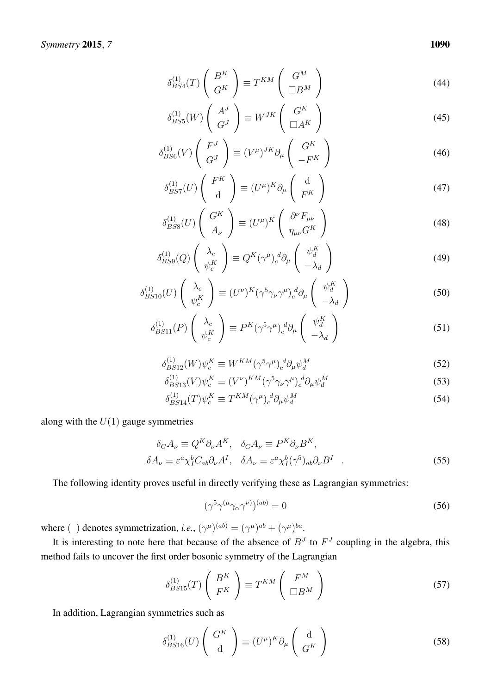$$
\delta_{BS4}^{(1)}(T) \left( \begin{array}{c} B^K \\ G^K \end{array} \right) \equiv T^{KM} \left( \begin{array}{c} G^M \\ \Box B^M \end{array} \right) \tag{44}
$$

$$
\delta_{BS5}^{(1)}(W) \left( \begin{array}{c} A^J \\ G^J \end{array} \right) \equiv W^{JK} \left( \begin{array}{c} G^K \\ \Box A^K \end{array} \right) \tag{45}
$$

$$
\delta_{BS6}^{(1)}(V) \left( \begin{array}{c} F^J \\ G^J \end{array} \right) \equiv (V^{\mu})^{JK} \partial_{\mu} \left( \begin{array}{c} G^K \\ -F^K \end{array} \right) \tag{46}
$$

$$
\delta_{BS7}^{(1)}(U) \begin{pmatrix} F^K \\ \mathbf{d} \end{pmatrix} \equiv (U^{\mu})^K \partial_{\mu} \begin{pmatrix} \mathbf{d} \\ F^K \end{pmatrix}
$$
 (47)

$$
\delta_{BS8}^{(1)}(U) \left( \begin{array}{c} G^K \\ A_{\nu} \end{array} \right) \equiv (U^{\mu})^K \left( \begin{array}{c} \partial^{\nu} F_{\mu\nu} \\ \eta_{\mu\nu} G^K \end{array} \right) \tag{48}
$$

$$
\delta_{BS9}^{(1)}(Q) \left( \begin{array}{c} \lambda_c \\ \psi_c^K \end{array} \right) \equiv Q^K(\gamma^{\mu})_c^d \partial_{\mu} \left( \begin{array}{c} \psi_d^K \\ -\lambda_d \end{array} \right) \tag{49}
$$

$$
\delta_{BS10}^{(1)}(U) \begin{pmatrix} \lambda_c \\ \psi_c^K \end{pmatrix} \equiv (U^{\nu})^K (\gamma^5 \gamma_{\nu} \gamma^{\mu})_c^d \partial_{\mu} \begin{pmatrix} \psi_d^K \\ -\lambda_d \end{pmatrix}
$$
 (50)

$$
\delta_{BS11}^{(1)}(P) \begin{pmatrix} \lambda_c \\ \psi_c^K \end{pmatrix} \equiv P^K (\gamma^5 \gamma^\mu)_c^d \partial_\mu \begin{pmatrix} \psi_d^K \\ -\lambda_d \end{pmatrix}
$$
 (51)

$$
\delta_{BS12}^{(1)}(W)\psi_c^K \equiv W^{KM}(\gamma^5 \gamma^\mu)_c^d \partial_\mu \psi_d^M \tag{52}
$$

$$
\delta_{BS13}^{(1)}(V)\psi_c^K \equiv (V^{\nu})^{KM} (\gamma^5 \gamma_\nu \gamma^\mu)_c^d \partial_\mu \psi_d^M \tag{53}
$$

$$
\delta_{BS14}^{(1)}(T)\psi_c^K \equiv T^{KM}(\gamma^\mu)_c^d \partial_\mu \psi_d^M \tag{54}
$$

along with the  $U(1)$  gauge symmetries

$$
\delta_G A_{\nu} \equiv Q^K \partial_{\nu} A^K, \quad \delta_G A_{\nu} \equiv P^K \partial_{\nu} B^K, \n\delta A_{\nu} \equiv \varepsilon^a \chi_I^b C_{ab} \partial_{\nu} A^I, \quad \delta A_{\nu} \equiv \varepsilon^a \chi_I^b (\gamma^5)_{ab} \partial_{\nu} B^I
$$
\n(55)

The following identity proves useful in directly verifying these as Lagrangian symmetries:

$$
(\gamma^5 \gamma^{(\mu} \gamma_\alpha \gamma^{\nu)})^{(ab)} = 0 \tag{56}
$$

where ( ) denotes symmetrization, *i.e.*,  $(\gamma^{\mu})^{(ab)} = (\gamma^{\mu})^{ab} + (\gamma^{\mu})^{ba}$ .

It is interesting to note here that because of the absence of  $B<sup>J</sup>$  to  $F<sup>J</sup>$  coupling in the algebra, this method fails to uncover the first order bosonic symmetry of the Lagrangian

$$
\delta_{BS15}^{(1)}(T) \left( \begin{array}{c} B^K \\ F^K \end{array} \right) \equiv T^{KM} \left( \begin{array}{c} F^M \\ \Box B^M \end{array} \right) \tag{57}
$$

In addition, Lagrangian symmetries such as

$$
\delta_{BS16}^{(1)}(U) \left( \begin{array}{c} G^K \\ \mathbf{d} \end{array} \right) \equiv (U^{\mu})^K \partial_{\mu} \left( \begin{array}{c} \mathbf{d} \\ G^K \end{array} \right) \tag{58}
$$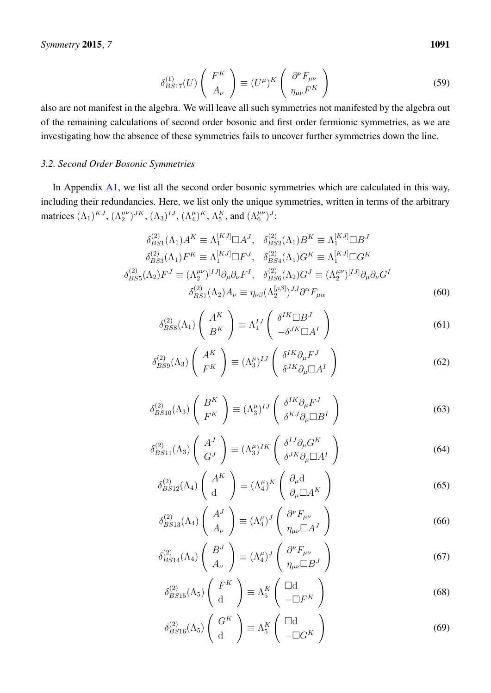$$
\delta_{BS17}^{(1)}(U) \left( \begin{array}{c} F^K \\ A_\nu \end{array} \right) \equiv (U^\mu)^K \left( \begin{array}{c} \partial^\nu F_{\mu\nu} \\ \eta_{\mu\nu} F^K \end{array} \right) \tag{59}
$$

also are not manifest in the algebra. We will leave all such symmetries not manifested by the algebra out of the remaining calculations of second order bosonic and first order fermionic symmetries, as we are investigating how the absence of these symmetries fails to uncover further symmetries down the line.

#### <span id="page-12-0"></span>*3.2. Second Order Bosonic Symmetries*

In Appendix [A1,](#page-23-0) we list all the second order bosonic symmetries which are calculated in this way, including their redundancies. Here, we list only the unique symmetries, written in terms of the arbitrary matrices  $(\Lambda_1)^{KJ}$ ,  $(\Lambda_2^{\mu\nu})^{JK}$ ,  $(\Lambda_3)^{IJ}$ ,  $(\Lambda_4^{\mu})^K$ ,  $\Lambda_5^K$ , and  $(\Lambda_6^{\mu\nu})^J$ :

$$
\delta_{BS1}^{(2)}(\Lambda_1)A^K \equiv \Lambda_1^{[KJ]} \square A^J, \quad \delta_{BS2}^{(2)}(\Lambda_1)B^K \equiv \Lambda_1^{[KJ]} \square B^J
$$

$$
\delta_{BS3}^{(2)}(\Lambda_1)F^K \equiv \Lambda_1^{[KJ]} \square F^J, \quad \delta_{BS4}^{(2)}(\Lambda_1)G^K \equiv \Lambda_1^{[KJ]} \square G^K
$$

$$
\delta_{BS5}^{(2)}(\Lambda_2)F^J \equiv (\Lambda_2^{\mu\nu})^{[IJ]}\partial_\mu\partial_\nu F^I, \quad \delta_{BS6}^{(2)}(\Lambda_2)G^J \equiv (\Lambda_2^{\mu\nu})^{[IJ]}\partial_\mu\partial_\nu G^I
$$

$$
\delta_{BS7}^{(2)}(\Lambda_2)A_\nu \equiv \eta_{\nu\beta}(\Lambda_2^{[\mu\beta]})^{JJ}\partial^\alpha F_{\mu\alpha}
$$
(60)

$$
\delta_{BSS}^{(2)}(\Lambda_1) \left( \begin{array}{c} A^K \\ B^K \end{array} \right) \equiv \Lambda_1^{IJ} \left( \begin{array}{c} \delta^{IK} \Box B^J \\ -\delta^{JK} \Box A^I \end{array} \right) \tag{61}
$$

$$
\delta_{BS9}^{(2)}(\Lambda_3) \left( \begin{array}{c} A^K \\ F^K \end{array} \right) \equiv (\Lambda_3^{\mu})^{IJ} \left( \begin{array}{c} \delta^{IK} \partial_{\mu} F^J \\ \delta^{JK} \partial_{\mu} \Box A^I \end{array} \right) \tag{62}
$$

$$
\delta_{BS10}^{(2)}(\Lambda_3) \left( \begin{array}{c} B^K \\ F^K \end{array} \right) \equiv (\Lambda_3^{\mu})^{IJ} \left( \begin{array}{c} \delta^{IK} \partial_{\mu} F^J \\ \delta^{KJ} \partial_{\mu} \Box B^I \end{array} \right) \tag{63}
$$

$$
\delta_{BS11}^{(2)}(\Lambda_3) \left( \begin{array}{c} A^J \\ G^J \end{array} \right) \equiv (\Lambda_3^{\mu})^{IK} \left( \begin{array}{c} \delta^{IJ} \partial_{\mu} G^K \\ \delta^{JK} \partial_{\mu} \Box A^I \end{array} \right) \tag{64}
$$

$$
\delta_{BS12}^{(2)}(\Lambda_4) \begin{pmatrix} A^K \\ d \end{pmatrix} \equiv (\Lambda_4^{\mu})^K \begin{pmatrix} \partial_{\mu} d \\ \partial_{\mu} \Box A^K \end{pmatrix}
$$
 (65)

$$
\delta_{BS13}^{(2)}(\Lambda_4) \begin{pmatrix} A^J \\ A_\nu \end{pmatrix} \equiv (\Lambda_4^\mu)^J \begin{pmatrix} \partial^\nu F_{\mu\nu} \\ \eta_{\mu\nu} \Box A^J \end{pmatrix}
$$
 (66)

$$
\delta_{BS14}^{(2)}(\Lambda_4) \left( \begin{array}{c} B^J \\ A_\nu \end{array} \right) \equiv (\Lambda_4^\mu)^J \left( \begin{array}{c} \partial^\nu F_{\mu\nu} \\ \eta_{\mu\nu} \Box B^J \end{array} \right) \tag{67}
$$

$$
\delta_{BS15}^{(2)}(\Lambda_5) \left( \begin{array}{c} F^K \\ \mathrm{d} \end{array} \right) \equiv \Lambda_5^K \left( \begin{array}{c} \Box \mathrm{d} \\ -\Box F^K \end{array} \right) \tag{68}
$$

$$
\delta_{BS16}^{(2)}(\Lambda_5) \left( \begin{array}{c} G^K \\ \mathbf{d} \end{array} \right) \equiv \Lambda_5^K \left( \begin{array}{c} \Box \mathbf{d} \\ -\Box G^K \end{array} \right) \tag{69}
$$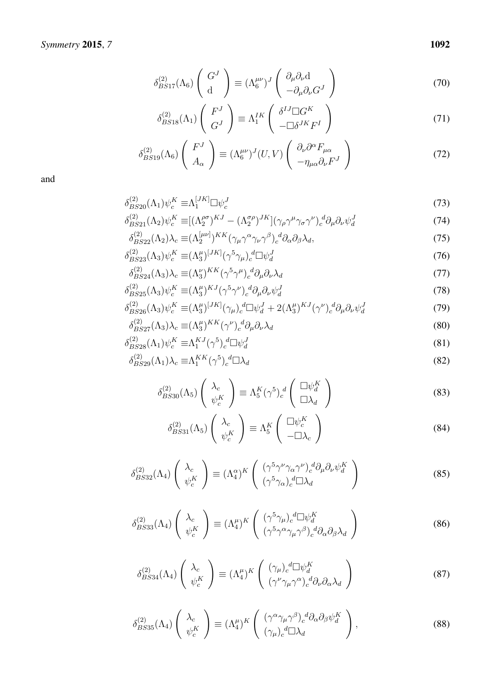$$
\delta_{BS17}^{(2)}(\Lambda_6) \left( \begin{array}{c} G^J \\ \mathbf{d} \end{array} \right) \equiv (\Lambda_6^{\mu\nu})^J \left( \begin{array}{c} \partial_\mu \partial_\nu \mathbf{d} \\ -\partial_\mu \partial_\nu G^J \end{array} \right) \tag{70}
$$

$$
\delta_{BS18}^{(2)}(\Lambda_1) \left( \begin{array}{c} F^J \\ G^J \end{array} \right) \equiv \Lambda_1^{IK} \left( \begin{array}{c} \delta^{IJ} \Box G^K \\ - \Box \delta^{JK} F^I \end{array} \right) \tag{71}
$$

$$
\delta_{BS19}^{(2)}(\Lambda_6) \left( \begin{array}{c} F^J \\ A_\alpha \end{array} \right) \equiv (\Lambda_6^{\mu\nu})^J(U, V) \left( \begin{array}{c} \partial_\nu \partial^\alpha F_{\mu\alpha} \\ -\eta_{\mu\alpha} \partial_\nu F^J \end{array} \right) \tag{72}
$$

$$
\delta_{BS20}^{(2)}(\Lambda_1)\psi_c^K \equiv \Lambda_1^{[JK]} \square \psi_c^J \tag{73}
$$

$$
\delta_{BS21}^{(2)}(\Lambda_2)\psi_c^K \equiv [(\Lambda_2^{\rho\sigma})^{KJ} - (\Lambda_2^{\sigma\rho})^{JK}](\gamma_\rho\gamma^\mu\gamma_\sigma\gamma^\nu)_c^d\partial_\mu\partial_\nu\psi_d^J
$$
\n(74)

$$
\delta_{BS22}^{(2)}(\Lambda_2)\lambda_c \equiv (\Lambda_2^{[\mu\nu]})^{KK} (\gamma_\mu \gamma^\alpha \gamma_\nu \gamma^\beta)_c{}^d \partial_\alpha \partial_\beta \lambda_d,\tag{75}
$$

$$
\delta_{BS23}^{(2)}(\Lambda_3)\psi_c^K \equiv (\Lambda_3^{\mu})^{[JK]}(\gamma^5 \gamma_\mu)_c^d \Box \psi_d^J \tag{76}
$$

$$
\delta_{BS24}^{(2)}(\Lambda_3)\lambda_c \equiv (\Lambda_3^\nu)^{KK} (\gamma^5 \gamma^\mu)_c^d \partial_\mu \partial_\nu \lambda_d \tag{77}
$$

$$
\delta_{BS25}^{(2)}(\Lambda_3)\psi_c^K \equiv (\Lambda_3^\mu)^{KJ} (\gamma^5 \gamma^\nu)_c^d \partial_\mu \partial_\nu \psi_d^J \tag{78}
$$

$$
\delta_{BS26}^{(2)}(\Lambda_3)\psi_c^K \equiv (\Lambda_3^{\mu})^{[JK]}(\gamma_{\mu})_c^d \Box \psi_d^J + 2(\Lambda_3^{\mu})^{KJ}(\gamma^{\nu})_c^d \partial_{\mu} \partial_{\nu} \psi_d^J \tag{79}
$$

$$
\delta_{BS27}^{(2)}(\Lambda_3)\lambda_c \equiv (\Lambda_3^{\mu})^{KK} (\gamma^{\nu})_c^{\ d} \partial_{\mu} \partial_{\nu} \lambda_d \tag{80}
$$

$$
\delta_{BS28}^{(2)}(\Lambda_1)\psi_c^K \equiv \Lambda_1^{KJ}(\gamma^5)_c^d \Box \psi_d^J
$$
\n
$$
\tag{81}
$$

$$
\delta_{BS29}^{(2)}(\Lambda_1)\lambda_c \equiv \Lambda_1^{KK} (\gamma^5)_c{}^d \Box \lambda_d \tag{82}
$$

$$
\delta_{BS30}^{(2)}(\Lambda_5) \begin{pmatrix} \lambda_c \\ \psi_c^K \end{pmatrix} \equiv \Lambda_5^K (\gamma^5)_c^d \begin{pmatrix} \Box \psi_d^K \\ \Box \lambda_d \end{pmatrix}
$$
 (83)

$$
\delta_{BS31}^{(2)}(\Lambda_5) \left( \begin{array}{c} \lambda_c \\ \psi_c^K \end{array} \right) \equiv \Lambda_5^K \left( \begin{array}{c} \square \psi_c^K \\ -\square \lambda_c \end{array} \right) \tag{84}
$$

$$
\delta_{BS32}^{(2)}(\Lambda_4) \begin{pmatrix} \lambda_c \\ \psi_c^K \end{pmatrix} \equiv (\Lambda_4^{\alpha})^K \begin{pmatrix} (\gamma^5 \gamma^{\nu} \gamma_{\alpha} \gamma^{\nu})_c^d \partial_{\mu} \partial_{\nu} \psi_d^K \\ (\gamma^5 \gamma_{\alpha})_c^d \Box \lambda_d \end{pmatrix}
$$
(85)

$$
\delta_{BS33}^{(2)}(\Lambda_4) \begin{pmatrix} \lambda_c \\ \psi_c^K \end{pmatrix} \equiv (\Lambda_4^{\mu})^K \begin{pmatrix} (\gamma^5 \gamma_{\mu})_c{}^d \Box \psi_d^K \\ (\gamma^5 \gamma^{\alpha} \gamma_{\mu} \gamma^{\beta})_c{}^d \partial_{\alpha} \partial_{\beta} \lambda_d \end{pmatrix}
$$
(86)

$$
\delta_{BS34}^{(2)}(\Lambda_4) \left( \begin{array}{c} \lambda_c \\ \psi_c^K \end{array} \right) \equiv (\Lambda_4^{\mu})^K \left( \begin{array}{c} (\gamma_{\mu})_c{}^d \Box \psi_d^K \\ (\gamma^{\nu} \gamma_{\mu} \gamma^{\alpha})_c{}^d \partial_{\nu} \partial_{\alpha} \lambda_d \end{array} \right) \tag{87}
$$

$$
\delta_{BS35}^{(2)}(\Lambda_4) \left( \begin{array}{c} \lambda_c \\ \psi_c^K \end{array} \right) \equiv (\Lambda_4^{\mu})^K \left( \begin{array}{c} (\gamma^{\alpha} \gamma_{\mu} \gamma^{\beta})_c^d \partial_{\alpha} \partial_{\beta} \psi_d^K \\ (\gamma_{\mu})_c^d \Box \lambda_d \end{array} \right), \tag{88}
$$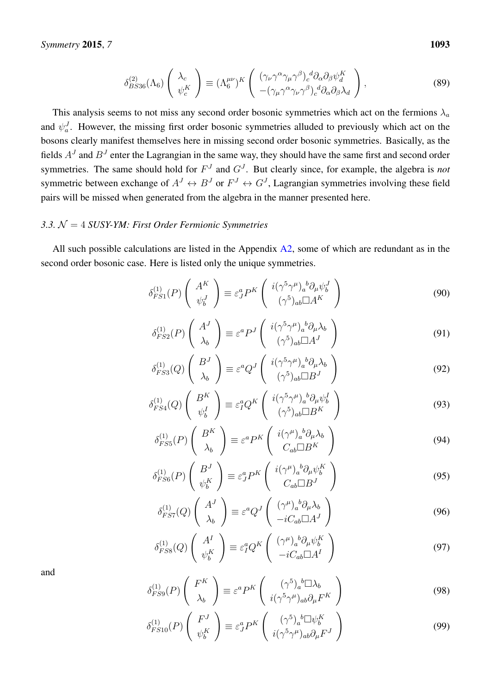$$
\delta_{BS36}^{(2)}(\Lambda_6) \left( \begin{array}{c} \lambda_c \\ \psi_c^K \end{array} \right) \equiv (\Lambda_6^{\mu\nu})^K \left( \begin{array}{c} (\gamma_\nu \gamma^\alpha \gamma_\mu \gamma^\beta)_c{}^d \partial_\alpha \partial_\beta \psi_d^K \\ -(\gamma_\mu \gamma^\alpha \gamma_\nu \gamma^\beta)_c{}^d \partial_\alpha \partial_\beta \lambda_d \end{array} \right), \tag{89}
$$

This analysis seems to not miss any second order bosonic symmetries which act on the fermions  $\lambda_a$ and  $\psi_a^J$ . However, the missing first order bosonic symmetries alluded to previously which act on the bosons clearly manifest themselves here in missing second order bosonic symmetries. Basically, as the fields  $A<sup>J</sup>$  and  $B<sup>J</sup>$  enter the Lagrangian in the same way, they should have the same first and second order symmetries. The same should hold for  $F<sup>J</sup>$  and  $G<sup>J</sup>$ . But clearly since, for example, the algebra is *not* symmetric between exchange of  $A^J \leftrightarrow B^J$  or  $F^J \leftrightarrow G^J$ , Lagrangian symmetries involving these field pairs will be missed when generated from the algebra in the manner presented here.

#### <span id="page-14-0"></span>*3.3.* N = 4 *SUSY-YM: First Order Fermionic Symmetries*

All such possible calculations are listed in the Appendix  $A2$ , some of which are redundant as in the second order bosonic case. Here is listed only the unique symmetries.

$$
\delta_{FS1}^{(1)}(P) \left( \begin{array}{c} A^K \\ \psi_b^J \end{array} \right) \equiv \varepsilon_J^a P^K \left( \begin{array}{c} i(\gamma^5 \gamma^\mu)_a{}^b \partial_\mu \psi_b^J \\ (\gamma^5)_{ab} \Box A^K \end{array} \right) \tag{90}
$$

$$
\delta_{FS2}^{(1)}(P)\begin{pmatrix} A^J\\ \lambda_b \end{pmatrix} \equiv \varepsilon^a P^J \begin{pmatrix} i(\gamma^5 \gamma^\mu)_a{}^b \partial_\mu \lambda_b\\ (\gamma^5)_{ab} \Box A^J \end{pmatrix}
$$
(91)

$$
\delta_{FS3}^{(1)}(Q) \left( \begin{array}{c} B^J \\ \lambda_b \end{array} \right) \equiv \varepsilon^a Q^J \left( \begin{array}{c} i(\gamma^5 \gamma^\mu)_a{}^b \partial_\mu \lambda_b \\ (\gamma^5)_{ab} \Box B^J \end{array} \right) \tag{92}
$$

$$
\delta_{FS4}^{(1)}(Q) \left( \begin{array}{c} B^K \\ \psi_b^I \end{array} \right) \equiv \varepsilon_I^a Q^K \left( \begin{array}{c} i(\gamma^5 \gamma^\mu)_a{}^b \partial_\mu \psi_b^I \\ (\gamma^5)_{ab} \Box B^K \end{array} \right) \tag{93}
$$

$$
\delta_{FS5}^{(1)}(P) \left( \begin{array}{c} B^K \\ \lambda_b \end{array} \right) \equiv \varepsilon^a P^K \left( \begin{array}{c} i(\gamma^\mu)_a{}^b \partial_\mu \lambda_b \\ C_{ab} \Box B^K \end{array} \right) \tag{94}
$$

$$
\delta_{FS6}^{(1)}(P) \left( \begin{array}{c} B^J \\ \psi_b^K \end{array} \right) \equiv \varepsilon_J^a P^K \left( \begin{array}{c} i(\gamma^\mu)_a{}^b \partial_\mu \psi_b^K \\ C_{ab} \Box B^J \end{array} \right) \tag{95}
$$

$$
\delta_{FS7}^{(1)}(Q) \left( \begin{array}{c} A^J \\ \lambda_b \end{array} \right) \equiv \varepsilon^a Q^J \left( \begin{array}{c} (\gamma^\mu)_a{}^b \partial_\mu \lambda_b \\ -i C_{ab} \Box A^J \end{array} \right) \tag{96}
$$

$$
\delta_{FSS}^{(1)}(Q) \left( \begin{array}{c} A^I \\ \psi_b^K \end{array} \right) \equiv \varepsilon_I^a Q^K \left( \begin{array}{c} (\gamma^\mu)_a{}^b \partial_\mu \psi_b^K \\ -i C_{ab} \Box A^I \end{array} \right) \tag{97}
$$

$$
\delta_{FS9}^{(1)}(P)\begin{pmatrix} F^K \\ \lambda_b \end{pmatrix} \equiv \varepsilon^a P^K \begin{pmatrix} (\gamma^5)_a{}^b \Box \lambda_b \\ i(\gamma^5 \gamma^\mu)_{ab} \partial_\mu F^K \end{pmatrix}
$$
 (98)

$$
\delta_{FS10}^{(1)}(P) \left( \begin{array}{c} F^J \\ \psi_b^K \end{array} \right) \equiv \varepsilon_J^a P^K \left( \begin{array}{c} (\gamma^5)_a{}^b \Box \psi_b^K \\ i(\gamma^5 \gamma^\mu)_{ab} \partial_\mu F^J \end{array} \right) \tag{99}
$$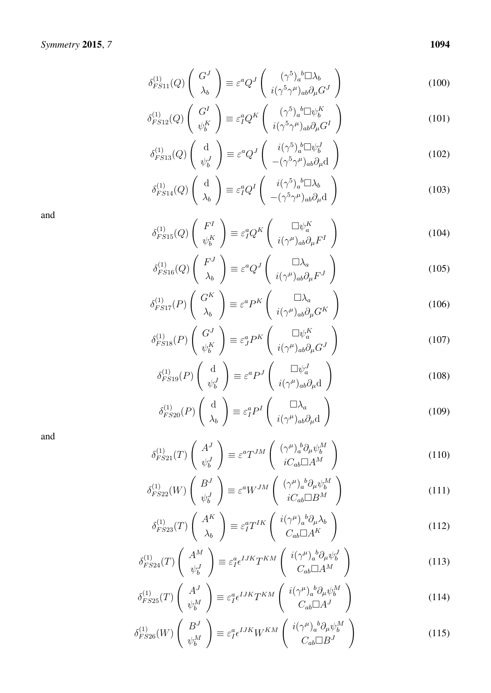$$
\delta_{FS11}^{(1)}(Q) \left( \begin{array}{c} G^J \\ \lambda_b \end{array} \right) \equiv \varepsilon^a Q^J \left( \begin{array}{c} (\gamma^5)_a{}^b \Box \lambda_b \\ i(\gamma^5 \gamma^\mu)_{ab} \partial_\mu G^J \end{array} \right) \tag{100}
$$

$$
\delta_{FS12}^{(1)}(Q) \left( \begin{array}{c} G^I \\ \psi_b^K \end{array} \right) \equiv \varepsilon_I^a Q^K \left( \begin{array}{c} (\gamma^5)_a{}^b \Box \psi_b^K \\ i(\gamma^5 \gamma^\mu)_{ab} \partial_\mu G^I \end{array} \right) \tag{101}
$$

$$
\delta_{FS13}^{(1)}(Q) \begin{pmatrix} d \\ \psi_b^J \end{pmatrix} \equiv \varepsilon^a Q^J \begin{pmatrix} i(\gamma^5)_a^b \Box \psi_b^J \\ -(\gamma^5 \gamma^\mu)_{ab} \partial_\mu d \end{pmatrix}
$$
(102)

$$
\delta_{FS14}^{(1)}(Q) \left( \begin{array}{c} d \\ \lambda_b \end{array} \right) \equiv \varepsilon_I^a Q^I \left( \begin{array}{c} i(\gamma^5)_a{}^b \square \lambda_b \\ -(\gamma^5 \gamma^\mu)_{ab} \partial_\mu d \end{array} \right) \tag{103}
$$

$$
\delta_{FS15}^{(1)}(Q) \left( \begin{array}{c} F^I \\ \psi_b^K \end{array} \right) \equiv \varepsilon_I^a Q^K \left( \begin{array}{c} \Box \psi_a^K \\ i(\gamma^\mu)_{ab} \partial_\mu F^I \end{array} \right) \tag{104}
$$

$$
\delta_{FS16}^{(1)}(Q) \left( \begin{array}{c} F^J \\ \lambda_b \end{array} \right) \equiv \varepsilon^a Q^J \left( \begin{array}{c} \Box \lambda_a \\ i(\gamma^\mu)_{ab} \partial_\mu F^J \end{array} \right) \tag{105}
$$

$$
\delta_{FS17}^{(1)}(P)\begin{pmatrix} G^K \\ \lambda_b \end{pmatrix} \equiv \varepsilon^a P^K \begin{pmatrix} \Box \lambda_a \\ i(\gamma^\mu)_{ab} \partial_\mu G^K \end{pmatrix}
$$
 (106)

$$
\delta_{FS18}^{(1)}(P) \left( \begin{array}{c} G^J \\ \psi_b^K \end{array} \right) \equiv \varepsilon_J^a P^K \left( \begin{array}{c} \Box \psi_a^K \\ i(\gamma^\mu)_{ab} \partial_\mu G^J \end{array} \right) \tag{107}
$$

$$
\delta_{FS19}^{(1)}(P) \begin{pmatrix} d \\ \psi_b^J \end{pmatrix} \equiv \varepsilon^a P^J \begin{pmatrix} \Box \psi_a^J \\ i(\gamma^\mu)_{ab} \partial_\mu d \end{pmatrix}
$$
 (108)

$$
\delta_{FS20}^{(1)}(P) \begin{pmatrix} d \\ \lambda_b \end{pmatrix} \equiv \varepsilon_I^a P^I \begin{pmatrix} \Box \lambda_a \\ i(\gamma^\mu)_{ab} \partial_\mu d \end{pmatrix}
$$
 (109)

and

$$
\delta_{FS21}^{(1)}(T) \begin{pmatrix} A^J \\ \psi_b^J \end{pmatrix} \equiv \varepsilon^a T^{JM} \begin{pmatrix} (\gamma^\mu)_a^b \partial_\mu \psi_b^M \\ i C_{ab} \Box A^M \end{pmatrix}
$$
(110)

$$
\delta_{FS22}^{(1)}(W) \begin{pmatrix} B^J \\ \psi_b^J \end{pmatrix} \equiv \varepsilon^a W^{JM} \begin{pmatrix} (\gamma^\mu)_a{}^b \partial_\mu \psi_b^M \\ iC_{ab} \Box B^M \end{pmatrix}
$$
 (111)

$$
\delta_{FS23}^{(1)}(T) \begin{pmatrix} A^K \\ \lambda_b \end{pmatrix} \equiv \varepsilon_I^a T^{IK} \begin{pmatrix} i(\gamma^\mu)_a{}^b \partial_\mu \lambda_b \\ C_{ab} \Box A^K \end{pmatrix}
$$
\n(112)

$$
\delta_{FS24}^{(1)}(T) \begin{pmatrix} A^M\\ \psi_b^J \end{pmatrix} \equiv \varepsilon_I^a \epsilon^{IJK} T^{KM} \begin{pmatrix} i(\gamma^\mu)_a{}^b \partial_\mu \psi_b^J\\ C_{ab} \Box A^M \end{pmatrix}
$$
\n(113)

$$
\delta_{FS25}^{(1)}(T) \begin{pmatrix} A^J\\ \psi_b^M \end{pmatrix} \equiv \varepsilon_I^a \epsilon^{IJK} T^{KM} \begin{pmatrix} i(\gamma^\mu)_a{}^b \partial_\mu \psi_b^M\\ C_{ab} \Box A^J \end{pmatrix}
$$
 (114)

$$
\delta_{FS26}^{(1)}(W) \left( \begin{array}{c} B^J\\ \psi_b^M \end{array} \right) \equiv \varepsilon_I^a \epsilon^{IJK} W^{KM} \left( \begin{array}{c} i(\gamma^\mu)_a{}^b \partial_\mu \psi_b^M\\ C_{ab} \Box B^J \end{array} \right) \tag{115}
$$

*7* 1094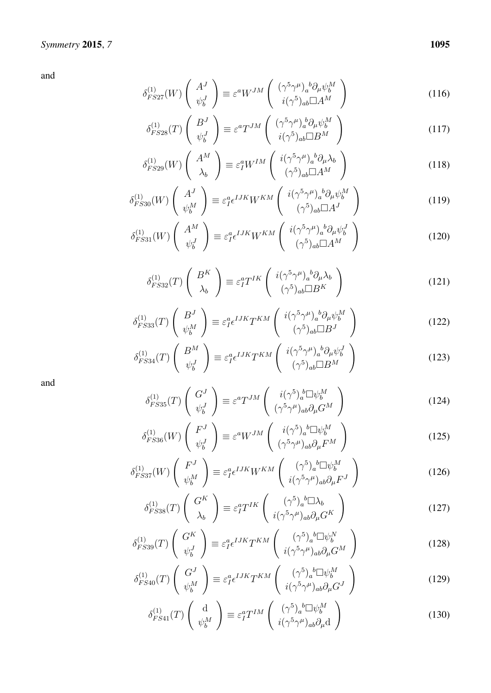$$
\delta_{FS27}^{(1)}(W) \left( \begin{array}{c} A^J \\ \psi_b^J \end{array} \right) \equiv \varepsilon^a W^{JM} \left( \begin{array}{c} (\gamma^5 \gamma^\mu)_a{}^b \partial_\mu \psi_b^M \\ i(\gamma^5)_{ab} \Box A^M \end{array} \right) \tag{116}
$$

$$
\delta_{FS28}^{(1)}(T) \begin{pmatrix} B^J\\ \psi_b^J \end{pmatrix} \equiv \varepsilon^a T^{JM} \begin{pmatrix} (\gamma^5 \gamma^\mu)_a^b \partial_\mu \psi_b^M\\ i(\gamma^5)_{ab} \Box B^M \end{pmatrix}
$$
\n(117)

$$
\delta_{FS29}^{(1)}(W) \left( \begin{array}{c} A^M \\ \lambda_b \end{array} \right) \equiv \varepsilon_I^a W^{IM} \left( \begin{array}{c} i(\gamma^5 \gamma^\mu)_a{}^b \partial_\mu \lambda_b \\ (\gamma^5)_{ab} \Box A^M \end{array} \right) \tag{118}
$$

$$
\delta_{FS30}^{(1)}(W) \begin{pmatrix} A^J \\ \psi_b^M \end{pmatrix} \equiv \varepsilon_I^a \epsilon^{IJK} W^{KM} \begin{pmatrix} i(\gamma^5 \gamma^\mu)_a{}^b \partial_\mu \psi_b^M \\ (\gamma^5)_{ab} \Box A^J \end{pmatrix}
$$
(119)

$$
\delta_{FS31}^{(1)}(W) \left( \begin{array}{c} A^M\\ \psi_b^J \end{array} \right) \equiv \varepsilon_1^a \epsilon^{IJK} W^{KM} \left( \begin{array}{c} i(\gamma^5 \gamma^\mu)_a{}^b \partial_\mu \psi_b^J\\ (\gamma^5)_{ab} \Box A^M \end{array} \right) \tag{120}
$$

$$
\delta_{FS32}^{(1)}(T) \left( \begin{array}{c} B^K \\ \lambda_b \end{array} \right) \equiv \varepsilon_I^a T^{IK} \left( \begin{array}{c} i(\gamma^5 \gamma^\mu)_a{}^b \partial_\mu \lambda_b \\ (\gamma^5)_{ab} \Box B^K \end{array} \right) \tag{121}
$$

$$
\delta_{FS33}^{(1)}(T) \begin{pmatrix} B^J \\ \psi_b^M \end{pmatrix} \equiv \varepsilon_I^a \epsilon^{IJK} T^{KM} \begin{pmatrix} i(\gamma^5 \gamma^\mu)_a{}^b \partial_\mu \psi_b^M \\ (\gamma^5)_{ab} \Box B^J \end{pmatrix}
$$
(122)

$$
\delta_{FS34}^{(1)}(T) \left( \begin{array}{c} B^M\\ \psi_b^J \end{array} \right) \equiv \varepsilon_I^a \epsilon^{IJK} T^{KM} \left( \begin{array}{c} i(\gamma^5 \gamma^\mu)_a{}^b \partial_\mu \psi_b^J\\ (\gamma^5)_{ab} \Box B^M \end{array} \right) \tag{123}
$$

and

$$
\delta_{FS35}^{(1)}(T) \begin{pmatrix} G^J \\ \psi_b^J \end{pmatrix} \equiv \varepsilon^a T^{JM} \begin{pmatrix} i(\gamma^5)_a^b \Box \psi_b^M \\ (\gamma^5 \gamma^\mu)_{ab} \partial_\mu G^M \end{pmatrix}
$$
(124)

$$
\delta_{FS36}^{(1)}(W) \left( \begin{array}{c} F^J \\ \psi_b^J \end{array} \right) \equiv \varepsilon^a W^{JM} \left( \begin{array}{c} i(\gamma^5)_a{}^b \Box \psi_b^M \\ (\gamma^5 \gamma^\mu)_{ab} \partial_\mu F^M \end{array} \right) \tag{125}
$$

$$
\delta_{FS37}^{(1)}(W) \left( \begin{array}{c} F^J \\ \psi_b^M \end{array} \right) \equiv \varepsilon_d^a \epsilon^{IJK} W^{KM} \left( \begin{array}{c} (\gamma^5)_a{}^b \Box \psi_b^M \\ i (\gamma^5 \gamma^\mu)_{ab} \partial_\mu F^J \end{array} \right) \tag{126}
$$

$$
\delta_{FS38}^{(1)}(T) \begin{pmatrix} G^K \\ \lambda_b \end{pmatrix} \equiv \varepsilon_I^a T^{IK} \begin{pmatrix} (\gamma^5)_a{}^b \Box \lambda_b \\ i(\gamma^5 \gamma^\mu)_{ab} \partial_\mu G^K \end{pmatrix}
$$
(127)

$$
\delta_{FS39}^{(1)}(T) \left( \begin{array}{c} G^K \\ \psi_b^J \end{array} \right) \equiv \varepsilon_I^a \epsilon^{IJK} T^{KM} \left( \begin{array}{c} (\gamma^5)_a{}^b \Box \psi_b^N \\ i (\gamma^5 \gamma^\mu)_{ab} \partial_\mu G^M \end{array} \right) \tag{128}
$$

$$
\delta_{FS40}^{(1)}(T) \left( \begin{array}{c} G^J \\ \psi_b^M \end{array} \right) \equiv \varepsilon_I^a \epsilon^{IJK} T^{KM} \left( \begin{array}{c} (\gamma^5)_a{}^b \Box \psi_b^M \\ i (\gamma^5 \gamma^\mu)_{ab} \partial_\mu G^J \end{array} \right) \tag{129}
$$

$$
\delta_{FS41}^{(1)}(T) \begin{pmatrix} d \\ \psi_b^M \end{pmatrix} \equiv \varepsilon_I^a T^{IM} \begin{pmatrix} (\gamma^5)_a{}^b \Box \psi_b^M \\ i(\gamma^5 \gamma^\mu)_{ab} \partial_\mu d \end{pmatrix}
$$
 (130)

*7* 1095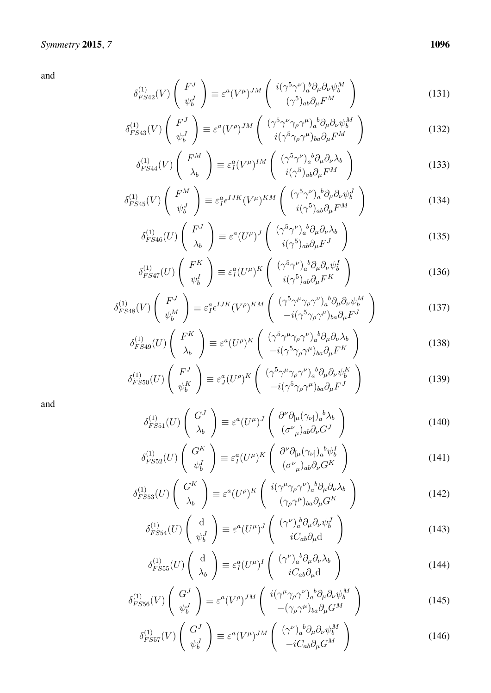$$
\delta_{FS42}^{(1)}(V) \begin{pmatrix} F^J \\ \psi_b^J \end{pmatrix} \equiv \varepsilon^a (V^\mu)^{JM} \begin{pmatrix} i(\gamma^5 \gamma^\nu)_a^b \partial_\mu \partial_\nu \psi_b^M \\ (\gamma^5)_{ab} \partial_\mu F^M \end{pmatrix}
$$
\n(131)

$$
\delta_{FS43}^{(1)}(V) \begin{pmatrix} F^J \\ \psi_b^J \end{pmatrix} \equiv \varepsilon^a (V^\rho)^{JM} \begin{pmatrix} (\gamma^5 \gamma^\nu \gamma_\rho \gamma^\mu)_a{}^b \partial_\mu \partial_\nu \psi_b^M \\ i(\gamma^5 \gamma_\rho \gamma^\mu)_{ba} \partial_\mu F^M \end{pmatrix}
$$
(132)

$$
\delta_{FS44}^{(1)}(V) \left( \begin{array}{c} F^M \\ \lambda_b \end{array} \right) \equiv \varepsilon_I^a (V^\mu)^{IM} \left( \begin{array}{c} (\gamma^5 \gamma^\nu)_a{}^b \partial_\mu \partial_\nu \lambda_b \\ i(\gamma^5)_{ab} \partial_\mu F^M \end{array} \right) \tag{133}
$$

$$
\delta_{FS45}^{(1)}(V) \left( \begin{array}{c} F^M \\ \psi_b^J \end{array} \right) \equiv \varepsilon_I^a \epsilon^{IJK} (V^\mu)^{KM} \left( \begin{array}{c} (\gamma^5 \gamma^\nu)_a{}^b \partial_\mu \partial_\nu \psi_b^J \\ i(\gamma^5)_{ab} \partial_\mu F^M \end{array} \right) \tag{134}
$$

$$
\delta_{FS46}^{(1)}(U) \left( \begin{array}{c} F^J \\ \lambda_b \end{array} \right) \equiv \varepsilon^a (U^\mu)^J \left( \begin{array}{c} (\gamma^5 \gamma^\nu)_a{}^b \partial_\mu \partial_\nu \lambda_b \\ i(\gamma^5)_{ab} \partial_\mu F^J \end{array} \right) \tag{135}
$$

$$
\delta_{FS47}^{(1)}(U) \left( \begin{array}{c} F^K \\ \psi_b^I \end{array} \right) \equiv \varepsilon_I^a (U^\mu)^K \left( \begin{array}{c} (\gamma^5 \gamma^\nu)_a{}^b \partial_\mu \partial_\nu \psi_b^I \\ i(\gamma^5)_{ab} \partial_\mu F^K \end{array} \right) \tag{136}
$$

$$
\delta_{FS48}^{(1)}(V) \left( \begin{array}{c} F^J \\ \psi_b^M \end{array} \right) \equiv \varepsilon_I^a \epsilon^{IJK} (V^\rho)^{KM} \left( \begin{array}{c} (\gamma^5 \gamma^\mu \gamma_\rho \gamma^\nu)_a{}^b \partial_\mu \partial_\nu \psi_b^M \\ -i (\gamma^5 \gamma_\rho \gamma^\mu)_{ba} \partial_\mu F^J \end{array} \right) \tag{137}
$$

$$
\delta_{FS49}^{(1)}(U) \begin{pmatrix} F^K \\ \lambda_b \end{pmatrix} \equiv \varepsilon^a (U^\rho)^K \begin{pmatrix} (\gamma^5 \gamma^\mu \gamma_\rho \gamma^\nu)_a{}^b \partial_\mu \partial_\nu \lambda_b \\ -i(\gamma^5 \gamma_\rho \gamma^\mu)_{ba} \partial_\mu F^K \end{pmatrix}
$$
(138)

$$
\delta_{FS50}^{(1)}(U) \begin{pmatrix} F^J \\ \psi_b^K \end{pmatrix} \equiv \varepsilon_J^a (U^\rho)^K \begin{pmatrix} (\gamma^5 \gamma^\mu \gamma_\rho \gamma^\nu)_a{}^b \partial_\mu \partial_\nu \psi_b^K \\ -i(\gamma^5 \gamma_\rho \gamma^\mu)_{ba} \partial_\mu F^J \end{pmatrix}
$$
(139)

$$
\delta_{FS51}^{(1)}(U) \left( \begin{array}{c} G^J \\ \lambda_b \end{array} \right) \equiv \varepsilon^a (U^\mu)^J \left( \begin{array}{c} \partial^\nu \partial_{[\mu} (\gamma_{\nu]})_a{}^b \lambda_b \\ (\sigma^\nu{}_\mu)_{ab} \partial_\nu G^J \end{array} \right) \tag{140}
$$

$$
\delta_{FS52}^{(1)}(U) \left( \begin{array}{c} G^K \\ \psi_b^I \end{array} \right) \equiv \varepsilon_I^a (U^\mu)^K \left( \begin{array}{c} \partial^\nu \partial_{[\mu} (\gamma_{\nu]})_a{}^b \psi_b^I \\ (\sigma_{\mu})_{ab} \partial_\nu G^K \end{array} \right) \tag{141}
$$

$$
\delta_{FS53}^{(1)}(U) \left( \begin{array}{c} G^K \\ \lambda_b \end{array} \right) \equiv \varepsilon^a (U^\rho)^K \left( \begin{array}{c} i(\gamma^\mu \gamma_\rho \gamma^\nu)_a{}^b \partial_\mu \partial_\nu \lambda_b \\ (\gamma_\rho \gamma^\mu)_{ba} \partial_\mu G^K \end{array} \right) \tag{142}
$$

$$
\delta_{FS54}^{(1)}(U) \begin{pmatrix} d \\ \psi_b^J \end{pmatrix} \equiv \varepsilon^a (U^\mu)^J \begin{pmatrix} (\gamma^\nu)_a^b \partial_\mu \partial_\nu \psi_b^J \\ iC_{ab}\partial_\mu d \end{pmatrix}
$$
\n(143)

$$
\delta_{FS55}^{(1)}(U) \begin{pmatrix} d \\ \lambda_b \end{pmatrix} \equiv \varepsilon_I^a (U^\mu)^I \begin{pmatrix} (\gamma^\nu)_a{}^b \partial_\mu \partial_\nu \lambda_b \\ i C_{ab} \partial_\mu d \end{pmatrix}
$$
\n(144)

$$
\delta_{FS56}^{(1)}(V) \left( \begin{array}{c} G^J \\ \psi_b^J \end{array} \right) \equiv \varepsilon^a (V^\rho)^{JM} \left( \begin{array}{c} i(\gamma^\mu \gamma_\rho \gamma^\nu)_a{}^b \partial_\mu \partial_\nu \psi_b^M \\ -(\gamma_\rho \gamma^\mu)_{ba} \partial_\mu G^M \end{array} \right) \tag{145}
$$

$$
\delta_{FS57}^{(1)}(V) \left( \begin{array}{c} G^J \\ \psi_b^J \end{array} \right) \equiv \varepsilon^a (V^\mu)^{JM} \left( \begin{array}{c} (\gamma^\nu)_a{}^b \partial_\mu \partial_\nu \psi_b^M \\ -i C_{ab} \partial_\mu G^M \end{array} \right) \tag{146}
$$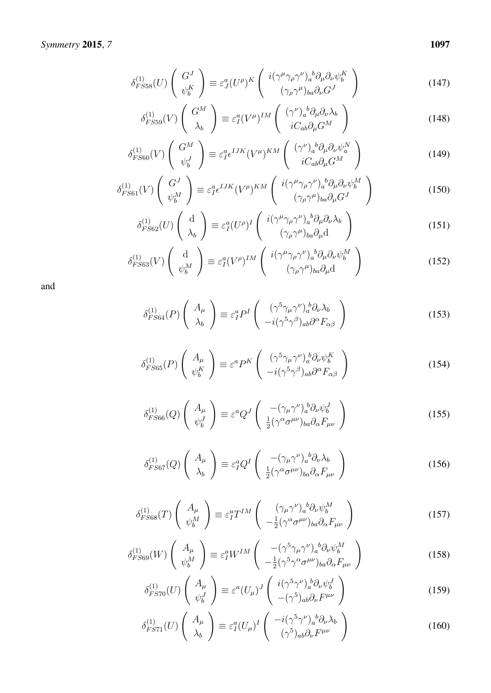$$
\delta_{FSS8}^{(1)}(U) \left( \begin{array}{c} G^J \\ \psi_b^K \end{array} \right) \equiv \varepsilon_J^a (U^\rho)^K \left( \begin{array}{c} i(\gamma^\mu \gamma_\rho \gamma^\nu)_a{}^b \partial_\mu \partial_\nu \psi_b^K \\ (\gamma_\rho \gamma^\mu)_{ba} \partial_\nu G^J \end{array} \right) \tag{147}
$$

$$
\delta_{FSS9}^{(1)}(V) \left( \begin{array}{c} G^M \\ \lambda_b \end{array} \right) \equiv \varepsilon_I^a (V^\mu)^{IM} \left( \begin{array}{c} (\gamma^\nu)_a{}^b \partial_\mu \partial_\nu \lambda_b \\ i C_{ab} \partial_\mu G^M \end{array} \right) \tag{148}
$$

$$
\delta_{FS60}^{(1)}(V) \left( \begin{array}{c} G^M \\ \psi_b^J \end{array} \right) \equiv \varepsilon_I^a \epsilon^{IJK} (V^\mu)^{KM} \left( \begin{array}{c} (\gamma^\nu)_a{}^b \partial_\mu \partial_\nu \psi_a^N \\ i C_{ab} \partial_\mu G^M \end{array} \right) \tag{149}
$$

$$
\delta_{FS61}^{(1)}(V) \left( \begin{array}{c} G^J \\ \psi_b^M \end{array} \right) \equiv \varepsilon_I^a \epsilon^{IJK} (V^\rho)^{KM} \left( \begin{array}{c} i(\gamma^\mu \gamma_\rho \gamma^\nu)_a{}^b \partial_\mu \partial_\nu \psi_b^M \\ (\gamma_\rho \gamma^\mu)_{ba} \partial_\mu G^J \end{array} \right) \tag{150}
$$

$$
\delta_{FS62}^{(1)}(U) \begin{pmatrix} d \\ \lambda_b \end{pmatrix} \equiv \varepsilon_I^a (U^\rho)^I \begin{pmatrix} i(\gamma^\mu \gamma_\rho \gamma^\nu)_a{}^b \partial_\mu \partial_\nu \lambda_b \\ (\gamma_\rho \gamma^\mu)_{ba} \partial_\mu d \end{pmatrix}
$$
(151)

$$
\delta_{FS63}^{(1)}(V) \begin{pmatrix} d \\ \psi_b^M \end{pmatrix} \equiv \varepsilon_I^a (V^\rho)^{IM} \begin{pmatrix} i(\gamma^\mu \gamma_\rho \gamma^\nu)_a{}^b \partial_\mu \partial_\nu \psi_b^M \\ (\gamma_\rho \gamma^\mu)_{ba} \partial_\mu d \end{pmatrix}
$$
(152)

$$
\delta_{FS64}^{(1)}(P)\begin{pmatrix} A_{\mu} \\ \lambda_b \end{pmatrix} \equiv \varepsilon_I^a P^I \begin{pmatrix} (\gamma^5 \gamma_\mu \gamma^\nu)_a^b \partial_\nu \lambda_b \\ -i(\gamma^5 \gamma^\beta)_{ab} \partial^\alpha F_{\alpha\beta} \end{pmatrix}
$$
(153)

$$
\delta_{FS65}^{(1)}(P) \left( \begin{array}{c} A_{\mu} \\ \psi_b^K \end{array} \right) \equiv \varepsilon^a P^K \left( \begin{array}{c} (\gamma^5 \gamma_{\mu} \gamma^{\nu})_a^b \partial_{\nu} \psi_b^K \\ -i(\gamma^5 \gamma^{\beta})_{ab} \partial^{\alpha} F_{\alpha \beta} \end{array} \right)
$$
(154)

$$
\delta_{FS66}^{(1)}(Q) \left( \begin{array}{c} A_{\mu} \\ \psi_b^J \end{array} \right) \equiv \varepsilon^a Q^J \left( \begin{array}{c} -(\gamma_{\mu} \gamma^{\nu})_a^b \partial_{\nu} \psi_b^J \\ \frac{1}{2} (\gamma^{\alpha} \sigma^{\mu \nu})_{ba} \partial_{\alpha} F_{\mu \nu} \end{array} \right)
$$
(155)

$$
\delta_{FS67}^{(1)}(Q) \left( \begin{array}{c} A_{\mu} \\ \lambda_b \end{array} \right) \equiv \varepsilon_I^a Q^I \left( \begin{array}{c} -(\gamma_{\mu} \gamma^{\nu})_a{}^b \partial_{\nu} \lambda_b \\ \frac{1}{2} (\gamma^{\alpha} \sigma^{\mu \nu})_{ba} \partial_{\alpha} F_{\mu \nu} \end{array} \right) \tag{156}
$$

$$
\delta_{FS68}^{(1)}(T) \left( \begin{array}{c} A_{\mu} \\ \psi_b^M \end{array} \right) \equiv \varepsilon_I^a T^{IM} \left( \begin{array}{c} (\gamma_{\mu} \gamma^{\nu})_a{}^b \partial_{\nu} \psi_b^M \\ -\frac{1}{2} (\gamma^{\alpha} \sigma^{\mu \nu})_{ba} \partial_{\alpha} F_{\mu \nu} \end{array} \right) \tag{157}
$$

$$
\delta_{FS69}^{(1)}(W) \left( \begin{array}{c} A_{\mu} \\ \psi_b^M \end{array} \right) \equiv \varepsilon_I^a W^{IM} \left( \begin{array}{c} -(\gamma^5 \gamma_\mu \gamma^\nu)_a{}^b \partial_\nu \psi_b^M \\ -\frac{1}{2} (\gamma^5 \gamma^\alpha \sigma^{\mu \nu})_{ba} \partial_\alpha F_{\mu \nu} \end{array} \right) \tag{158}
$$

$$
\delta_{FS70}^{(1)}(U) \begin{pmatrix} A_{\mu} \\ \psi_b^J \end{pmatrix} \equiv \varepsilon^a (U_{\mu})^J \begin{pmatrix} i(\gamma^5 \gamma^{\nu})_a^b \partial_{\nu} \psi_b^J \\ -(\gamma^5)_{ab} \partial_{\nu} F^{\mu \nu} \end{pmatrix}
$$
(159)

$$
\delta_{FS71}^{(1)}(U) \left( \begin{array}{c} A_{\mu} \\ \lambda_b \end{array} \right) \equiv \varepsilon_I^a (U_{\mu})^I \left( \begin{array}{c} -i(\gamma^5 \gamma^{\nu})_a{}^b \partial_{\nu} \lambda_b \\ (\gamma^5)_{ab} \partial_{\nu} F^{\mu \nu} \end{array} \right) \tag{160}
$$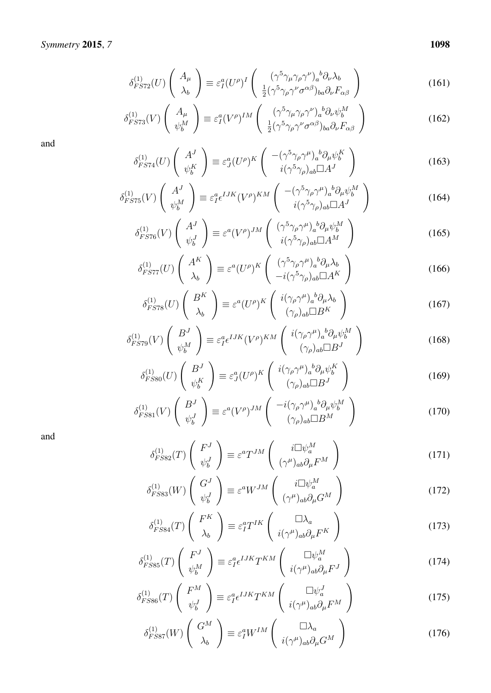$$
\delta_{FST2}^{(1)}(U) \left( \begin{array}{c} A_{\mu} \\ \lambda_b \end{array} \right) \equiv \varepsilon_I^a (U^{\rho})^I \left( \begin{array}{c} (\gamma^5 \gamma_{\mu} \gamma_{\rho} \gamma^{\nu})_a{}^b \partial_{\nu} \lambda_b \\ \frac{1}{2} (\gamma^5 \gamma_{\rho} \gamma^{\nu} \sigma^{\alpha \beta})_{ba} \partial_{\nu} F_{\alpha \beta} \end{array} \right) \tag{161}
$$

$$
\delta_{FS73}^{(1)}(V) \begin{pmatrix} A_{\mu} \\ \psi_b^M \end{pmatrix} \equiv \varepsilon_I^a (V^\rho)^{IM} \begin{pmatrix} (\gamma^5 \gamma_\mu \gamma_\rho \gamma^\nu)_a{}^b \partial_\nu \psi_b^M \\ \frac{1}{2} (\gamma^5 \gamma_\rho \gamma^\nu \sigma^{\alpha \beta})_{ba} \partial_\nu F_{\alpha \beta} \end{pmatrix}
$$
(162)

$$
\delta_{FS74}^{(1)}(U) \left( \begin{array}{c} A^J \\ \psi_b^K \end{array} \right) \equiv \varepsilon_J^a (U^\rho)^K \left( \begin{array}{c} -(\gamma^5 \gamma_\rho \gamma^\mu)_a{}^b \partial_\mu \psi_b^K \\ i(\gamma^5 \gamma_\rho)_{ab} \Box A^J \end{array} \right) \tag{163}
$$

$$
\delta_{FST5}^{(1)}(V) \left( \begin{array}{c} A^J \\ \psi_b^M \end{array} \right) \equiv \varepsilon_I^a \epsilon^{IJK} (V^\rho)^{KM} \left( \begin{array}{c} -(\gamma^5 \gamma_\rho \gamma^\mu)_a{}^b \partial_\mu \psi_b^M \\ i(\gamma^5 \gamma_\rho)_{ab} \Box A^J \end{array} \right) \tag{164}
$$

$$
\delta_{FS76}^{(1)}(V) \begin{pmatrix} A^J \\ \psi_b^J \end{pmatrix} \equiv \varepsilon^a (V^\rho)^{JM} \begin{pmatrix} (\gamma^5 \gamma_\rho \gamma^\mu)_a{}^b \partial_\mu \psi_b^M \\ i(\gamma^5 \gamma_\rho)_{ab} \Box A^M \end{pmatrix}
$$
(165)

$$
\delta_{FST7}^{(1)}(U) \left( \begin{array}{c} A^K \\ \lambda_b \end{array} \right) \equiv \varepsilon^a (U^\rho)^K \left( \begin{array}{c} (\gamma^5 \gamma_\rho \gamma^\mu)_a{}^b \partial_\mu \lambda_b \\ -i(\gamma^5 \gamma_\rho)_{ab} \Box A^K \end{array} \right) \tag{166}
$$

$$
\delta_{FST8}^{(1)}(U) \left( \begin{array}{c} B^K \\ \lambda_b \end{array} \right) \equiv \varepsilon^a (U^\rho)^K \left( \begin{array}{c} i(\gamma_\rho \gamma^\mu)_a{}^b \partial_\mu \lambda_b \\ (\gamma_\rho)_{ab} \Box B^K \end{array} \right) \tag{167}
$$

$$
\delta_{FS79}^{(1)}(V) \left( \begin{array}{c} B^J \\ \psi_b^M \end{array} \right) \equiv \varepsilon_I^a \epsilon^{IJK} (V^\rho)^{KM} \left( \begin{array}{c} i(\gamma_\rho \gamma^\mu)_a{}^b \partial_\mu \psi_b^M \\ (\gamma_\rho)_{ab} \Box B^J \end{array} \right) \tag{168}
$$

$$
\delta_{FS80}^{(1)}(U) \begin{pmatrix} B^J \\ \psi_b^K \end{pmatrix} \equiv \varepsilon_J^a (U^\rho)^K \begin{pmatrix} i(\gamma_\rho \gamma^\mu)_a{}^b \partial_\mu \psi_b^K \\ (\gamma_\rho)_{ab} \Box B^J \end{pmatrix} \tag{169}
$$

$$
\delta_{FS81}^{(1)}(V) \begin{pmatrix} B^J \\ \psi_b^J \end{pmatrix} \equiv \varepsilon^a (V^\rho)^{JM} \begin{pmatrix} -i(\gamma_\rho \gamma^\mu)_a{}^b \partial_\mu \psi_b^M \\ (\gamma_\rho)_{ab} \Box B^M \end{pmatrix}
$$
(170)

$$
\delta_{FSS2}^{(1)}(T) \begin{pmatrix} F^J \\ \psi_b^J \end{pmatrix} \equiv \varepsilon^a T^{JM} \begin{pmatrix} i \Box \psi_a^M \\ (\gamma^\mu)_{ab} \partial_\mu F^M \end{pmatrix}
$$
(171)

$$
\delta_{FSS3}^{(1)}(W) \begin{pmatrix} G^J \\ \psi_b^J \end{pmatrix} \equiv \varepsilon^a W^{JM} \begin{pmatrix} i\Box \psi_a^M \\ (\gamma^\mu)_{ab}\partial_\mu G^M \end{pmatrix}
$$
(172)

$$
\delta_{FS84}^{(1)}(T) \begin{pmatrix} F^K \\ \lambda_b \end{pmatrix} \equiv \varepsilon_I^a T^{IK} \begin{pmatrix} \Box \lambda_a \\ i(\gamma^\mu)_{ab} \partial_\mu F^K \end{pmatrix}
$$
 (173)

$$
\delta_{FSS5}^{(1)}(T) \begin{pmatrix} F^J \\ \psi_b^M \end{pmatrix} \equiv \varepsilon_I^a \epsilon^{IJK} T^{KM} \begin{pmatrix} \Box \psi_a^M \\ i(\gamma^\mu)_{ab} \partial_\mu F^J \end{pmatrix}
$$
(174)

$$
\delta_{FS86}^{(1)}(T) \left( \begin{array}{c} F^M \\ \psi_b^J \end{array} \right) \equiv \varepsilon_I^a \epsilon^{IJK} T^{KM} \left( \begin{array}{c} \Box \psi_a^J \\ i(\gamma^\mu)_{ab} \partial_\mu F^M \end{array} \right) \tag{175}
$$

$$
\delta_{FSS7}^{(1)}(W) \left( \begin{array}{c} G^M \\ \lambda_b \end{array} \right) \equiv \varepsilon_I^a W^{IM} \left( \begin{array}{c} \Box \lambda_a \\ i(\gamma^\mu)_{ab} \partial_\mu G^M \end{array} \right) \tag{176}
$$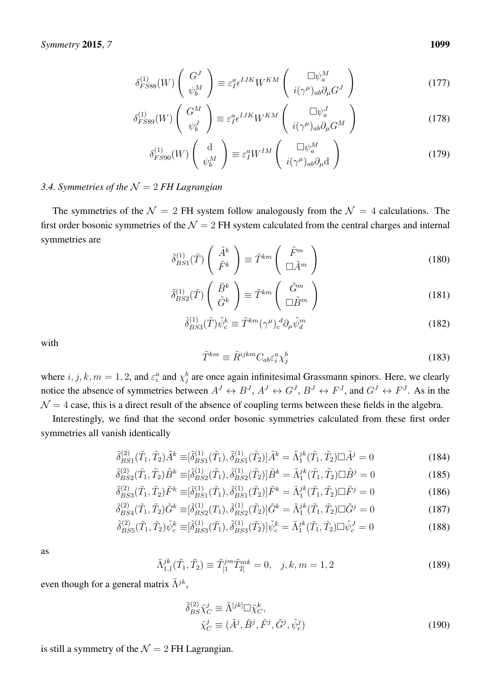$$
\delta_{FSS8}^{(1)}(W) \left( \begin{array}{c} G^J \\ \psi_b^M \end{array} \right) \equiv \varepsilon_I^a \epsilon^{IJK} W^{KM} \left( \begin{array}{c} \Box \psi_a^M \\ i(\gamma^\mu)_{ab} \partial_\mu G^J \end{array} \right) \tag{177}
$$

$$
\delta_{FSS9}^{(1)}(W) \left( \begin{array}{c} G^M \\ \psi_b^J \end{array} \right) \equiv \varepsilon_I^a \epsilon^{IJK} W^{KM} \left( \begin{array}{c} \Box \psi_a^J \\ i(\gamma^\mu)_{ab} \partial_\mu G^M \end{array} \right) \tag{178}
$$

$$
\delta_{FS90}^{(1)}(W) \begin{pmatrix} d \\ \psi_b^M \end{pmatrix} \equiv \varepsilon_I^a W^{IM} \begin{pmatrix} \Box \psi_a^M \\ i(\gamma^\mu)_{ab} \partial_\mu d \end{pmatrix}
$$
 (179)

### <span id="page-20-0"></span>*3.4. Symmetries of the* N = 2 *FH Lagrangian*

The symmetries of the  $\mathcal{N} = 2$  FH system follow analogously from the  $\mathcal{N} = 4$  calculations. The first order bosonic symmetries of the  $\mathcal{N} = 2$  FH system calculated from the central charges and internal symmetries are

$$
\tilde{\delta}_{BS1}^{(1)}(\tilde{T}) \left( \begin{array}{c} \tilde{A}^k \\ \tilde{F}^k \end{array} \right) \equiv \tilde{T}^{km} \left( \begin{array}{c} \tilde{F}^m \\ \Box \tilde{A}^m \end{array} \right) \tag{180}
$$

$$
\tilde{\delta}_{BS2}^{(1)}(\tilde{T}) \left( \begin{array}{c} \tilde{B}^k \\ \tilde{G}^k \end{array} \right) \equiv \tilde{T}^{km} \left( \begin{array}{c} \tilde{G}^m \\ \Box \tilde{B}^m \end{array} \right) \tag{181}
$$

$$
\tilde{\delta}^{(1)}_{BS3}(\tilde{T})\tilde{\psi}^k_c \equiv \tilde{T}^{km}(\gamma^\mu)_c^d \partial_\mu \tilde{\psi}^m_d \tag{182}
$$

with

$$
\tilde{T}^{km} \equiv \tilde{R}^{ijkm} C_{ab} \varepsilon_i^a \chi_j^b \tag{183}
$$

where  $i, j, k, m = 1, 2$ , and  $\varepsilon_i^a$  and  $\chi_j^b$  are once again infinitesimal Grassmann spinors. Here, we clearly notice the absence of symmetries between  $A^J \leftrightarrow B^J$ ,  $A^J \leftrightarrow G^J$ ,  $B^J \leftrightarrow F^J$ , and  $G^J \leftrightarrow F^J$ . As in the  $\mathcal{N} = 4$  case, this is a direct result of the absence of coupling terms between these fields in the algebra.

Interestingly, we find that the second order bosonic symmetries calculated from these first order symmetries all vanish identically

$$
\tilde{\delta}_{BS1}^{(2)}(\tilde{T}_1, \tilde{T}_2) \tilde{A}^k \equiv [\tilde{\delta}_{BS1}^{(1)}(\tilde{T}_1), \tilde{\delta}_{BS1}^{(1)}(\tilde{T}_2)] \tilde{A}^k = \tilde{\Lambda}_1^{jk}(\tilde{T}_1, \tilde{T}_2) \Box \tilde{A}^j = 0 \tag{184}
$$

$$
\tilde{\delta}^{(2)}_{BS2}(\tilde{T}_1, \tilde{T}_2) \tilde{B}^k \equiv [\tilde{\delta}^{(1)}_{BS2}(\tilde{T}_1), \tilde{\delta}^{(1)}_{BS2}(\tilde{T}_2)] \tilde{B}^k = \tilde{\Lambda}^{jk}_1(\tilde{T}_1, \tilde{T}_2) \Box \tilde{B}^j = 0 \tag{185}
$$

$$
\tilde{\delta}_{BS3}^{(2)}(\tilde{T}_1, \tilde{T}_2) \tilde{F}^k \equiv [\tilde{\delta}_{BS1}^{(1)}(\tilde{T}_1), \tilde{\delta}_{BS1}^{(1)}(\tilde{T}_2)] \tilde{F}^k = \tilde{\Lambda}_1^{jk}(\tilde{T}_1, \tilde{T}_2) \Box \tilde{F}^j = 0
$$
\n(186)

$$
\tilde{\delta}_{BS4}^{(2)}(\tilde{T}_1, \tilde{T}_2) \tilde{G}^k \equiv [\tilde{\delta}_{BS2}^{(1)}(T_1), \tilde{\delta}_{BS2}^{(1)}(\tilde{T}_2)] \tilde{G}^k = \tilde{\Lambda}_1^{jk}(\tilde{T}_1, \tilde{T}_2) \Box \tilde{G}^j = 0 \tag{187}
$$

$$
\tilde{\delta}_{BS5}^{(2)}(\tilde{T}_1, \tilde{T}_2) \tilde{\psi}_c^k \equiv [\tilde{\delta}_{BS3}^{(1)}(\tilde{T}_1), \tilde{\delta}_{BS3}^{(1)}(\tilde{T}_2)] \tilde{\psi}_c^k = \tilde{\Lambda}_1^{jk}(\tilde{T}_1, \tilde{T}_2) \Box \tilde{\psi}_c^J = 0 \tag{188}
$$

as

$$
\tilde{\Lambda}_{1,1}^{jk}(\tilde{T}_1, \tilde{T}_2) \equiv \tilde{T}_{[1}^{jm} \tilde{T}_{2]}^{mk} = 0, \quad j, k, m = 1, 2
$$
\n(189)

even though for a general matrix  $\tilde{\Lambda}^{jk}$ ,

$$
\begin{aligned}\n\tilde{\delta}_{BS}^{(2)} \tilde{\chi}_C^j &\equiv \tilde{\Lambda}^{[jk]} \Box \tilde{\chi}_C^k, \\
\tilde{\chi}_C^j &\equiv (\tilde{A}^j, \tilde{B}^j, \tilde{F}^j, \tilde{G}^j, \tilde{\psi}_c^j)\n\end{aligned} \tag{190}
$$

is still a symmetry of the  $\mathcal{N} = 2$  FH Lagrangian.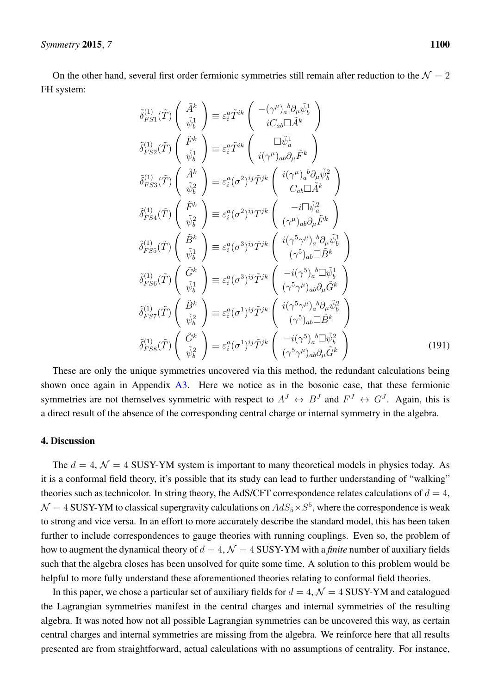On the other hand, several first order fermionic symmetries still remain after reduction to the  $\mathcal{N} = 2$ FH system:

$$
\begin{aligned}\n\tilde{\delta}_{FS1}^{(1)}(\tilde{T}) \begin{pmatrix} \tilde{A}^{k} \\ \tilde{\psi}_{b}^{1} \end{pmatrix} & \equiv \varepsilon_{i}^{a} \tilde{T}^{ik} \begin{pmatrix} -(\gamma^{\mu})_{a}^{b} \partial_{\mu} \tilde{\psi}_{b}^{1} \\ iC_{ab} \Box \tilde{A}^{k} \end{pmatrix} \\
\tilde{\delta}_{FS2}^{(1)}(\tilde{T}) \begin{pmatrix} \tilde{F}^{k} \\ \tilde{\psi}_{b}^{1} \end{pmatrix} & \equiv \varepsilon_{i}^{a} \tilde{T}^{ik} \begin{pmatrix} \Box \tilde{\psi}_{a}^{1} \\ i(\gamma^{\mu})_{ab} \partial_{\mu} \tilde{F}^{k} \end{pmatrix} \\
\tilde{\delta}_{FS3}^{(1)}(\tilde{T}) \begin{pmatrix} \tilde{A}^{k} \\ \tilde{\psi}_{b}^{2} \end{pmatrix} & \equiv \varepsilon_{i}^{a} (\sigma^{2})^{ij} \tilde{T}^{jk} \begin{pmatrix} i(\gamma^{\mu})_{a}^{b} \partial_{\mu} \tilde{\psi}_{b}^{2} \\ C_{ab} \Box \tilde{A}^{k} \end{pmatrix} \\
\tilde{\delta}_{FS3}^{(1)}(\tilde{T}) \begin{pmatrix} \tilde{F}^{k} \\ \tilde{\psi}_{b}^{2} \end{pmatrix} & \equiv \varepsilon_{i}^{a} (\sigma^{2})^{ij} T^{jk} \begin{pmatrix} -i \Box \tilde{\psi}_{a}^{2} \\ (\gamma^{\mu})_{ab} \partial_{\mu} \tilde{F}^{k} \end{pmatrix} \\
\tilde{\delta}_{FS4}^{(1)}(\tilde{T}) \begin{pmatrix} \tilde{B}^{k} \\ \tilde{\psi}_{b}^{1} \end{pmatrix} & \equiv \varepsilon_{i}^{a} (\sigma^{3})^{ij} \tilde{T}^{jk} \begin{pmatrix} i(\gamma^{5} \gamma^{\mu})_{a}^{b} \partial_{\mu} \tilde{\psi}_{b}^{1} \\ (\gamma^{5})_{ab} \Box \tilde{B}^{k} \end{pmatrix} \\
\tilde{\delta}_{FS5}^{(1)}(\tilde{T}) \begin{pmatrix} \tilde{G}^{k} \\ \tilde{\psi}_{b}^{1} \end{pmatrix} & \equiv \varepsilon_{i}^{a} (\sigma^{3})^{ij} \tilde{T}^{jk} \begin
$$

These are only the unique symmetries uncovered via this method, the redundant calculations being shown once again in Appendix  $\overline{A3}$ . Here we notice as in the bosonic case, that these fermionic symmetries are not themselves symmetric with respect to  $A^J \leftrightarrow B^J$  and  $F^J \leftrightarrow G^J$ . Again, this is a direct result of the absence of the corresponding central charge or internal symmetry in the algebra.

#### 4. Discussion

The  $d = 4$ ,  $\mathcal{N} = 4$  SUSY-YM system is important to many theoretical models in physics today. As it is a conformal field theory, it's possible that its study can lead to further understanding of "walking" theories such as technicolor. In string theory, the AdS/CFT correspondence relates calculations of  $d = 4$ ,  $\mathcal{N}=4$  SUSY-YM to classical supergravity calculations on  $AdS_5\times S^5$ , where the correspondence is weak to strong and vice versa. In an effort to more accurately describe the standard model, this has been taken further to include correspondences to gauge theories with running couplings. Even so, the problem of how to augment the dynamical theory of  $d = 4$ ,  $\mathcal{N} = 4$  SUSY-YM with a *finite* number of auxiliary fields such that the algebra closes has been unsolved for quite some time. A solution to this problem would be helpful to more fully understand these aforementioned theories relating to conformal field theories.

In this paper, we chose a particular set of auxiliary fields for  $d = 4$ ,  $\mathcal{N} = 4$  SUSY-YM and catalogued the Lagrangian symmetries manifest in the central charges and internal symmetries of the resulting algebra. It was noted how not all possible Lagrangian symmetries can be uncovered this way, as certain central charges and internal symmetries are missing from the algebra. We reinforce here that all results presented are from straightforward, actual calculations with no assumptions of centrality. For instance,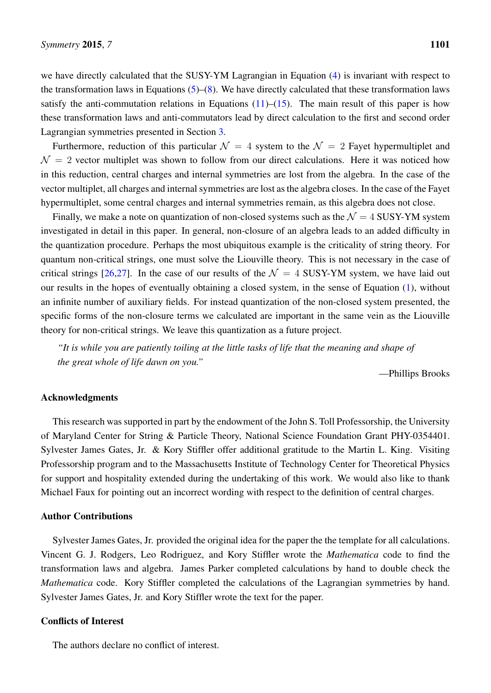we have directly calculated that the SUSY-YM Lagrangian in Equation [\(4\)](#page-4-0) is invariant with respect to the transformation laws in Equations  $(5)$ – $(8)$ . We have directly calculated that these transformation laws satisfy the anti-commutation relations in Equations  $(11)$ – $(15)$ . The main result of this paper is how these transformation laws and anti-commutators lead by direct calculation to the first and second order Lagrangian symmetries presented in Section [3.](#page-10-0)

Furthermore, reduction of this particular  $\mathcal{N} = 4$  system to the  $\mathcal{N} = 2$  Fayet hypermultiplet and  $\mathcal{N} = 2$  vector multiplet was shown to follow from our direct calculations. Here it was noticed how in this reduction, central charges and internal symmetries are lost from the algebra. In the case of the vector multiplet, all charges and internal symmetries are lost as the algebra closes. In the case of the Fayet hypermultiplet, some central charges and internal symmetries remain, as this algebra does not close.

Finally, we make a note on quantization of non-closed systems such as the  $\mathcal{N} = 4$  SUSY-YM system investigated in detail in this paper. In general, non-closure of an algebra leads to an added difficulty in the quantization procedure. Perhaps the most ubiquitous example is the criticality of string theory. For quantum non-critical strings, one must solve the Liouville theory. This is not necessary in the case of critical strings [\[26,](#page-42-7)[27\]](#page-42-8). In the case of our results of the  $\mathcal{N} = 4$  SUSY-YM system, we have laid out our results in the hopes of eventually obtaining a closed system, in the sense of Equation [\(1\)](#page-2-0), without an infinite number of auxiliary fields. For instead quantization of the non-closed system presented, the specific forms of the non-closure terms we calculated are important in the same vein as the Liouville theory for non-critical strings. We leave this quantization as a future project.

*"It is while you are patiently toiling at the little tasks of life that the meaning and shape of the great whole of life dawn on you."*

—Phillips Brooks

#### Acknowledgments

This research was supported in part by the endowment of the John S. Toll Professorship, the University of Maryland Center for String & Particle Theory, National Science Foundation Grant PHY-0354401. Sylvester James Gates, Jr. & Kory Stiffler offer additional gratitude to the Martin L. King. Visiting Professorship program and to the Massachusetts Institute of Technology Center for Theoretical Physics for support and hospitality extended during the undertaking of this work. We would also like to thank Michael Faux for pointing out an incorrect wording with respect to the definition of central charges.

#### Author Contributions

Sylvester James Gates, Jr. provided the original idea for the paper the the template for all calculations. Vincent G. J. Rodgers, Leo Rodriguez, and Kory Stiffler wrote the *Mathematica* code to find the transformation laws and algebra. James Parker completed calculations by hand to double check the *Mathematica* code. Kory Stiffler completed the calculations of the Lagrangian symmetries by hand. Sylvester James Gates, Jr. and Kory Stiffler wrote the text for the paper.

#### Conflicts of Interest

The authors declare no conflict of interest.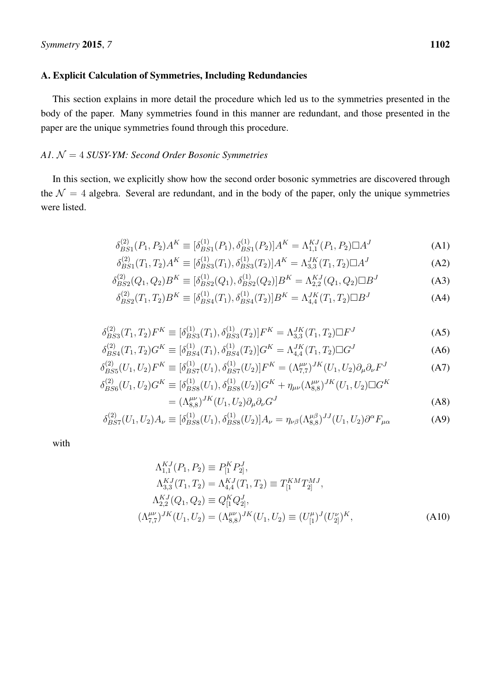#### A. Explicit Calculation of Symmetries, Including Redundancies

This section explains in more detail the procedure which led us to the symmetries presented in the body of the paper. Many symmetries found in this manner are redundant, and those presented in the paper are the unique symmetries found through this procedure.

#### <span id="page-23-0"></span>*A1.* N = 4 *SUSY-YM: Second Order Bosonic Symmetries*

In this section, we explicitly show how the second order bosonic symmetries are discovered through the  $\mathcal{N} = 4$  algebra. Several are redundant, and in the body of the paper, only the unique symmetries were listed.

$$
\delta_{BS1}^{(2)}(P_1, P_2)A^K \equiv [\delta_{BS1}^{(1)}(P_1), \delta_{BS1}^{(1)}(P_2)]A^K = \Lambda_{1,1}^{KJ}(P_1, P_2)\Box A^J
$$
\n(A1)

$$
\delta_{BS1}^{(2)}(T_1, T_2)A^K \equiv [\delta_{BS3}^{(1)}(T_1), \delta_{BS3}^{(1)}(T_2)]A^K = \Lambda_{3,3}^{JK}(T_1, T_2)\Box A^J
$$
\n(A2)

$$
\delta_{BS2}^{(2)}(Q_1, Q_2)B^K \equiv [\delta_{BS2}^{(1)}(Q_1), \delta_{BS2}^{(1)}(Q_2)]B^K = \Lambda_{2,2}^{KJ}(Q_1, Q_2) \Box B^J
$$
\n(A3)

$$
\delta_{BS2}^{(2)}(T_1, T_2)B^K \equiv [\delta_{BS4}^{(1)}(T_1), \delta_{BS4}^{(1)}(T_2)]B^K = \Lambda_{4,4}^{JK}(T_1, T_2) \Box B^J
$$
\n(A4)

$$
\delta_{BS3}^{(2)}(T_1, T_2)F^K \equiv [\delta_{BS3}^{(1)}(T_1), \delta_{BS3}^{(1)}(T_2)]F^K = \Lambda_{3,3}^{JK}(T_1, T_2)\Box F^J
$$
\n(A5)

$$
\delta_{BS4}^{(2)}(T_1, T_2)G^K \equiv [\delta_{BS4}^{(1)}(T_1), \delta_{BS4}^{(1)}(T_2)]G^K = \Lambda_{4,4}^{JK}(T_1, T_2)\Box G^J
$$
\n(A6)

$$
\delta_{BS5}^{(2)}(U_1, U_2)F^K \equiv [\delta_{BS7}^{(1)}(U_1), \delta_{BS7}^{(1)}(U_2)]F^K = (\Lambda_{7,7}^{\mu\nu})^{JK}(U_1, U_2)\partial_\mu\partial_\nu F^J
$$
(A7)

$$
\delta_{BS6}^{(2)}(U_1, U_2)G^K \equiv [\delta_{BS8}^{(1)}(U_1), \delta_{BS8}^{(1)}(U_2)]G^K + \eta_{\mu\nu}(\Lambda_{8,8}^{\mu\nu})^{JK}(U_1, U_2)\Box G^K
$$
  
=  $(\Lambda_{8,8}^{\mu\nu})^{JK}(U_1, U_2)\partial_\mu\partial_\nu G^J$  (A8)

$$
\delta_{BS7}^{(2)}(U_1, U_2)A_{\nu} \equiv [\delta_{BS8}^{(1)}(U_1), \delta_{BS8}^{(1)}(U_2)]A_{\nu} = \eta_{\nu\beta}(\Lambda_{8,8}^{\mu\beta})^{JJ}(U_1, U_2)\partial^{\alpha}F_{\mu\alpha}
$$
(A9)

with

$$
\Lambda_{1,1}^{KJ}(P_1, P_2) \equiv P_{[1}^K P_{2]}^J,
$$
\n
$$
\Lambda_{3,3}^{KJ}(T_1, T_2) = \Lambda_{4,4}^{KJ}(T_1, T_2) \equiv T_{[1}^{KM} T_{2]}^{MJ},
$$
\n
$$
\Lambda_{2,2}^{KJ}(Q_1, Q_2) \equiv Q_{[1}^K Q_{2]}^J,
$$
\n
$$
(\Lambda_{7,7}^{\mu\nu})^{JK}(U_1, U_2) = (\Lambda_{8,8}^{\mu\nu})^{JK}(U_1, U_2) \equiv (U_{[1}^{\mu})^J (U_{2]}^{\nu})^K,
$$
\n(A10)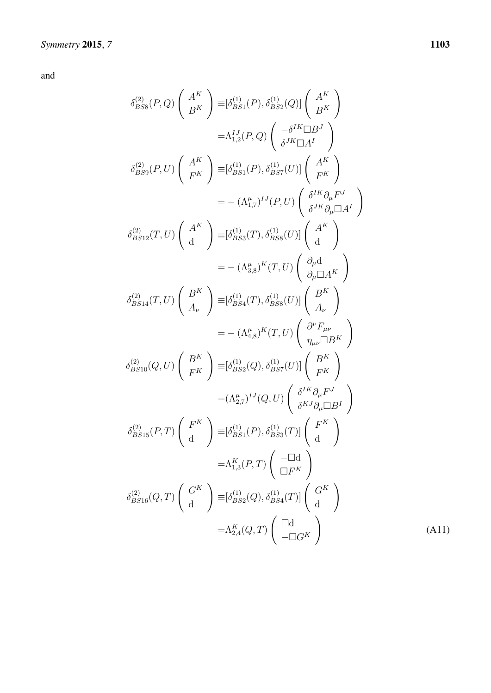$$
\delta_{BSS}^{(2)}(P,Q) \begin{pmatrix} A^K \\ B^K \end{pmatrix} \equiv [\delta_{BS1}^{(1)}(P), \delta_{BS2}^{(1)}(Q)] \begin{pmatrix} A^K \\ B^K \end{pmatrix}
$$
  
\n
$$
= \Lambda_{1,2}^{IJ}(P,Q) \begin{pmatrix} -\delta^{IK} \Box B^J \\ \delta^{JK} \Box A^I \end{pmatrix}
$$
  
\n
$$
\delta_{BS9}^{(2)}(P,U) \begin{pmatrix} A^K \\ F^K \end{pmatrix} \equiv [\delta_{BS1}^{(1)}(P), \delta_{BS7}^{(1)}(U)] \begin{pmatrix} A^K \\ F^K \end{pmatrix}
$$
  
\n
$$
= -(\Lambda_{1,7}^{\mu})^{IJ}(P,U) \begin{pmatrix} \delta^{IK}\partial_{\mu}F^J \\ \delta^{JK}\partial_{\mu} \Box A^I \end{pmatrix}
$$
  
\n
$$
\delta_{BS12}^{(2)}(T,U) \begin{pmatrix} A^K \\ d \end{pmatrix} \equiv [\delta_{BS3}^{(1)}(T), \delta_{BS8}^{(1)}(U)] \begin{pmatrix} A^K \\ d \end{pmatrix}
$$
  
\n
$$
= -(\Lambda_{4,8}^{\mu})^K(T,U) \begin{pmatrix} \partial_{\mu}d \\ \partial_{\mu} \Box A^K \end{pmatrix}
$$
  
\n
$$
\delta_{BS14}^{(2)}(T,U) \begin{pmatrix} B^K \\ A_{\nu} \end{pmatrix} \equiv [\delta_{BS4}^{(1)}(T), \delta_{BSS}^{(1)}(U)] \begin{pmatrix} B^K \\ A_{\nu} \end{pmatrix}
$$
  
\n
$$
= -(\Lambda_{4,8}^{\mu})^K(T,U) \begin{pmatrix} \partial^F F_{\mu\nu} \\ \eta_{\mu\nu} \Box B^K \end{pmatrix}
$$
  
\n
$$
\delta_{BS10}^{(2)}(Q,U) \begin{pmatrix} B^K \\ F^K \end{pmatrix} \equiv [\delta_{BS2}^{(1)}(Q), \delta_{BS1}^{(1)}(U)] \begin{pmatrix} B^K \\ F^K \end{pmatrix}
$$
  
\n
$$
= (\Lambda_{2,7}^{\mu})^{IJ}(Q,U) \begin{pmatrix} \delta^{IK}\partial_{\mu}F^J \\ \delta^{KI}\partial_{\mu} \Box B^I \end{pmatrix}
$$
  
\n<math display="</math>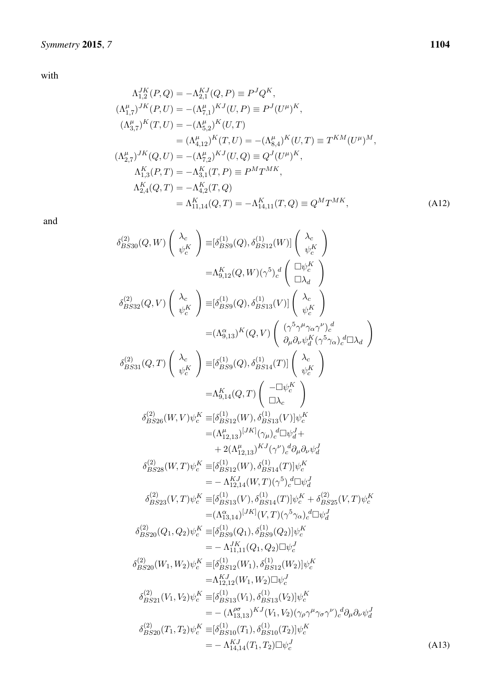with

$$
\Lambda_{1,2}^{JK}(P,Q) = -\Lambda_{2,1}^{KJ}(Q,P) \equiv P^{J}Q^{K},
$$
\n
$$
(\Lambda_{1,7}^{\mu})^{JK}(P,U) = -(\Lambda_{7,1}^{\mu})^{KJ}(U,P) \equiv P^{J}(U^{\mu})^{K},
$$
\n
$$
(\Lambda_{3,7}^{\mu})^{K}(T,U) = -(\Lambda_{5,2}^{\mu})^{K}(U,T)
$$
\n
$$
= (\Lambda_{4,12}^{\mu})^{K}(T,U) = -(\Lambda_{8,4}^{\mu})^{K}(U,T) \equiv T^{KM}(U^{\mu})^{M},
$$
\n
$$
(\Lambda_{2,7}^{\mu})^{JK}(Q,U) = -(\Lambda_{7,2}^{\mu})^{KJ}(U,Q) \equiv Q^{J}(U^{\mu})^{K},
$$
\n
$$
\Lambda_{1,3}^{K}(P,T) = -\Lambda_{3,1}^{K}(T,P) \equiv P^{M}T^{MK},
$$
\n
$$
\Lambda_{2,4}^{K}(Q,T) = -\Lambda_{4,2}^{K}(T,Q)
$$
\n
$$
= \Lambda_{11,14}^{K}(Q,T) = -\Lambda_{14,11}^{K}(T,Q) \equiv Q^{M}T^{MK},
$$
\n(A12)

and

$$
\begin{split} \delta_{BS30}^{(2)}(Q,W) \left( \begin{array}{c} \lambda_c \\ \psi_c^K \end{array} \right) & \equiv & [\delta_{BS9}^{(1)}(Q), \delta_{BS12}^{(1)}(W)] \left( \begin{array}{c} \lambda_c \\ \psi_c^K \end{array} \right) \\ & = & \Lambda_{9,12}^K(Q,W) (\gamma^5)_c^d \left( \begin{array}{c} \Box \psi_c^K \\ \Box \lambda_d \end{array} \right) \\ \delta_{BS32}^{(2)}(Q,V) \left( \begin{array}{c} \lambda_c \\ \psi_c^K \end{array} \right) & \equiv & [\delta_{BS9}^{(1)}(Q), \delta_{BS13}^{(1)}(V)] \left( \begin{array}{c} \lambda_c \\ \psi_c^K \end{array} \right) \\ & = & (\Lambda_{9,13}^{\alpha})^K(Q,V) \left( \begin{array}{c} (\gamma^5 \gamma^{\mu} \gamma_{\alpha} \gamma^{\nu})_c^d \\ \partial_{\mu} \partial_{\nu} \psi^K_a (\gamma^5 \gamma_{\alpha})_c^d \Box \lambda_d \end{array} \right) \\ \delta_{BS31}^{(2)}(Q,T) \left( \begin{array}{c} \lambda_c \\ \psi_c^K \end{array} \right) & \equiv & [\delta_{BS9}^{(1)}(Q), \delta_{BS14}^{(1)}(T)] \left( \begin{array}{c} \lambda_c \\ \lambda_c \\ \psi_c^K \end{array} \right) \\ & = & \Lambda_{9,14}^K(Q,T) \left( \begin{array}{c} -\Box \psi_c^K \\ \Box \lambda_c \end{array} \right) \\ \delta_{BS226}^{(2)}(W,V) \psi_c^K \equiv & [\delta_{BS12}^{(1)}(W), \delta_{BS13}^{(1)}(V)] \psi_c^K \\ & = & (\Lambda_{12,13}^{\mu})^{[JK]}(\gamma_{\mu})_c^d \Box \psi_d^J + \\ & + 2(\Lambda_{12,13}^{\mu})^{[JK]}(\gamma_{\mu})_c^d \Box \psi_d^J + \\ & + 2(\Lambda_{12,13}^{\mu})^{[JK]}(\gamma_{\mu})_c^d \Box \psi_d^J + \\ & - \Lambda_{12,14}^{K}(W,T) (\gamma^5)_c^d \Box \psi_d^J \\ & = & - \Lambda_{12,14}^{K}(W,T) (\gamma^5)_c^d \Box \psi_d^J \\ \\ \delta_{BS
$$

(A13)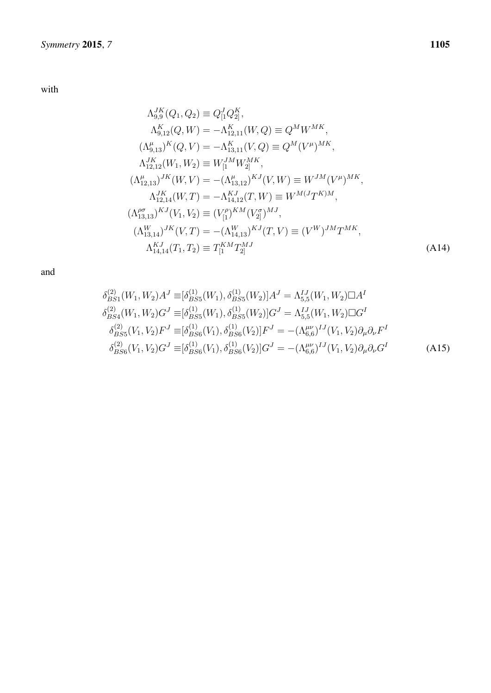with

$$
\Lambda_{9,9}^{JK}(Q_1, Q_2) \equiv Q_{[1}^{J}Q_{2]}^{K},
$$
\n
$$
\Lambda_{9,12}^{K}(Q, W) = -\Lambda_{12,11}^{K}(W, Q) \equiv Q^{M}W^{MK},
$$
\n
$$
(\Lambda_{9,13}^{\mu})^{K}(Q, V) = -\Lambda_{13,11}^{K}(V, Q) \equiv Q^{M}(V^{\mu})^{MK},
$$
\n
$$
\Lambda_{12,12}^{JK}(W_1, W_2) \equiv W_{[1}^{JM}W_{2]}^{MK},
$$
\n
$$
(\Lambda_{12,13}^{\mu})^{JK}(W, V) = -(\Lambda_{13,12}^{\mu})^{KJ}(V, W) \equiv W^{JM}(V^{\mu})^{MK},
$$
\n
$$
\Lambda_{12,14}^{JK}(W, T) = -\Lambda_{14,12}^{KJ}(T, W) \equiv W^{M(J}T^{K)M},
$$
\n
$$
(\Lambda_{13,13}^{\rho\sigma})^{KJ}(V_1, V_2) \equiv (V_{[1}^{\rho})^{KM}(V_{2]}^{\sigma})^{MJ},
$$
\n
$$
(\Lambda_{13,14}^{W})^{JK}(V, T) = -(\Lambda_{14,13}^{W})^{KJ}(T, V) \equiv (V^{W})^{JM}T^{MK},
$$
\n
$$
\Lambda_{14,14}^{KJ}(T_1, T_2) \equiv T_{[1}^{KM}T_{2]}^{MJ}
$$
\n(A14)

$$
\delta_{BS1}^{(2)}(W_1, W_2)A^J \equiv [\delta_{BS5}^{(1)}(W_1), \delta_{BS5}^{(1)}(W_2)]A^J = \Lambda_{5,5}^{IJ}(W_1, W_2)\Box A^I
$$
  
\n
$$
\delta_{BS4}^{(2)}(W_1, W_2)G^J \equiv [\delta_{BS5}^{(1)}(W_1), \delta_{BS5}^{(1)}(W_2)]G^J = \Lambda_{5,5}^{IJ}(W_1, W_2)\Box G^I
$$
  
\n
$$
\delta_{BS5}^{(2)}(V_1, V_2)F^J \equiv [\delta_{BS6}^{(1)}(V_1), \delta_{BS6}^{(1)}(V_2)]F^J = -(\Lambda_{6,6}^{\mu\nu})^{IJ}(V_1, V_2)\partial_\mu\partial_\nu F^I
$$
  
\n
$$
\delta_{BS6}^{(2)}(V_1, V_2)G^J \equiv [\delta_{BS6}^{(1)}(V_1), \delta_{BS6}^{(1)}(V_2)]G^J = -(\Lambda_{6,6}^{\mu\nu})^{IJ}(V_1, V_2)\partial_\mu\partial_\nu G^I
$$
 (A15)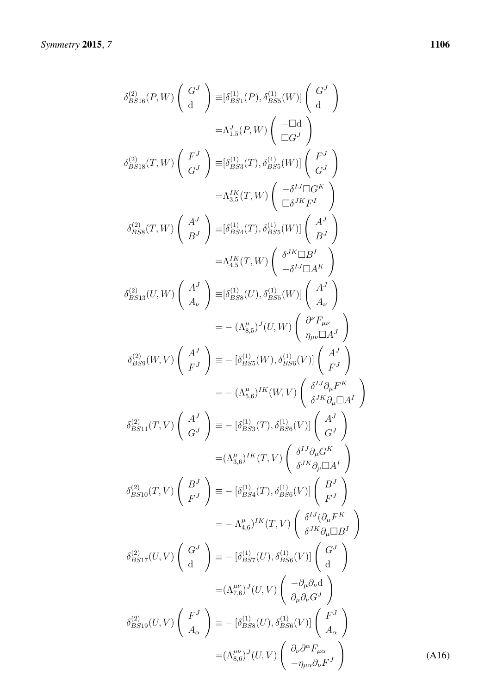$$
\delta_{BS16}^{(2)}(P,W)\begin{pmatrix} G^J\\ d \end{pmatrix} \equiv [\delta_{BS1}^{(1)}(P), \delta_{BS5}^{(1)}(W)] \begin{pmatrix} G^J\\ d \end{pmatrix}
$$
  
\n
$$
= \Lambda_{1,5}^J(P,W) \begin{pmatrix} -\Box d\\ \Box G^J \end{pmatrix}
$$
  
\n
$$
\delta_{BS18}^{(2)}(T,W) \begin{pmatrix} F^J\\ G^J \end{pmatrix} \equiv [\delta_{BS3}^{(1)}(T), \delta_{BS5}^{(1)}(W)] \begin{pmatrix} F^J\\ G^J \end{pmatrix}
$$
  
\n
$$
= \Lambda_{3,5}^{IK}(T,W) \begin{pmatrix} -\delta^{IJ} \Box G^K\\ \Box b^{JK}F^I \end{pmatrix}
$$
  
\n
$$
\delta_{BS8}^{(2)}(T,W) \begin{pmatrix} A^J\\ B^J \end{pmatrix} \equiv [\delta_{BS4}^{(1)}(T), \delta_{BS5}^{(1)}(W)] \begin{pmatrix} A^J\\ B^J \end{pmatrix}
$$
  
\n
$$
= \Lambda_{4,5}^{IK}(T,W) \begin{pmatrix} \delta^{JK} \Box B^I\\ -\delta^{IJ} \Box A^K \end{pmatrix}
$$
  
\n
$$
\delta_{BS13}^{(2)}(U,W) \begin{pmatrix} A^J\\ A_\nu \end{pmatrix} \equiv [\delta_{BSS}^{(1)}(U), \delta_{BS5}^{(1)}(W)] \begin{pmatrix} A^J\\ A_\nu \end{pmatrix}
$$
  
\n
$$
= -(\Lambda_{8,5}^\mu)^J(U,W) \begin{pmatrix} \partial^F F_{\mu\nu}\\ \eta_{\mu\nu} \Box A^J \end{pmatrix}
$$
  
\n
$$
\delta_{BS9}^{(2)}(W,V) \begin{pmatrix} A^J\\ F^J \end{pmatrix} \equiv -[\delta_{BS5}^{(1)}(W), \delta_{BS6}^{(1)}(V)] \begin{pmatrix} A^J\\ A_\nu \end{pmatrix}
$$
  
\n
$$
= -(\Lambda_{8,5}^\mu)^IK(W, V) \begin{pmatrix} \delta^{IJ}\partial_\mu F^K\\ \delta^{JK}\partial_\mu \Box A^I \end{pmatrix}
$$
  
\n
$$
\delta_{BS13}^{(2)}(T,V) \begin{pmatrix} A^
$$

*7* 1106

(A16)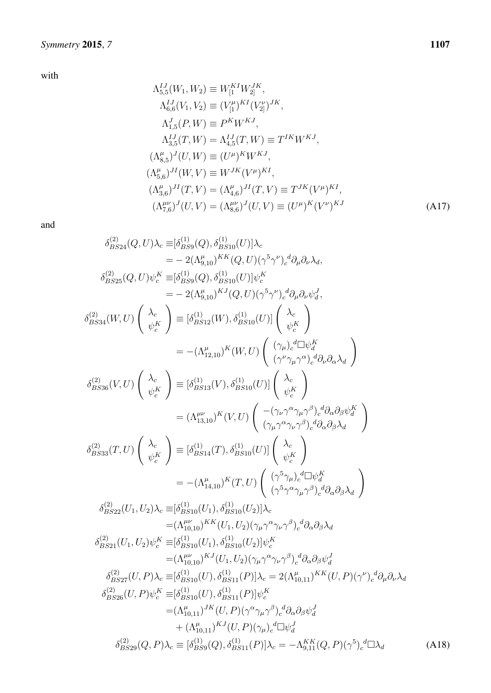with

$$
\Lambda_{5,5}^{IJ}(W_1, W_2) \equiv W_1^{KI} W_2^{JK},
$$
\n
$$
\Lambda_{6,6}^{IJ}(V_1, V_2) \equiv (V_{[1}^{\mu})^{KI} (V_{2]}^{\nu})^{JK},
$$
\n
$$
\Lambda_{1,5}^{J}(P, W) \equiv P^K W^{KJ},
$$
\n
$$
\Lambda_{3,5}^{IJ}(T, W) = \Lambda_{4,5}^{IJ}(T, W) \equiv T^{IK} W^{KJ},
$$
\n
$$
(\Lambda_{8,5}^{\mu})^{J}(U, W) \equiv (U^{\mu})^{K} W^{KJ},
$$
\n
$$
(\Lambda_{5,6}^{\mu})^{JI}(W, V) \equiv W^{JK}(V^{\mu})^{KI},
$$
\n
$$
(\Lambda_{3,6}^{\mu})^{JI}(T, V) = (\Lambda_{4,6}^{\mu})^{JI}(T, V) \equiv T^{JK}(V^{\mu})^{KI},
$$
\n
$$
(\Lambda_{7,6}^{\mu\nu})^{J}(U, V) = (\Lambda_{8,6}^{\mu\nu})^{J}(U, V) \equiv (U^{\mu})^{K}(V^{\nu})^{KJ}
$$
\n(A17)

$$
\delta_{BS24}^{(2)}(Q, U)\lambda_{c} = [\delta_{BS9}^{(1)}(Q), \delta_{BS10}^{(1)}(U)]\lambda_{c}
$$
\n
$$
= -2(\Lambda_{9,10}^{\mu})^{KK}(Q, U)(\gamma^{5}\gamma^{\nu})_{c}^{d}\partial_{\mu}\partial_{\nu}\lambda_{d},
$$
\n
$$
\delta_{BS25}^{(2)}(Q, U)\psi_{c}^{K} \equiv [\delta_{BS9}^{(1)}(Q), \delta_{BS10}^{(1)}(U)]\psi_{c}^{K}
$$
\n
$$
= -2(\Lambda_{9,10}^{\mu})^{KJ}(Q, U)(\gamma^{5}\gamma^{\nu})_{c}^{d}\partial_{\mu}\partial_{\nu}\psi_{d}^{J},
$$
\n
$$
\delta_{BS34}^{(2)}(W, U)\begin{pmatrix} \lambda_{c} \\ \psi_{c}^{K} \end{pmatrix} \equiv [\delta_{BS12}^{(1)}(W), \delta_{BS10}^{(1)}(U)] \begin{pmatrix} \lambda_{c} \\ \psi_{c}^{K} \end{pmatrix}
$$
\n
$$
= -(\Lambda_{12,10}^{\mu})^{K}(W, U) \begin{pmatrix} (\gamma_{\mu})_{c}^{d} \Box \psi_{d}^{K} \\ (\gamma^{\mu} \gamma_{\mu} \gamma^{a})_{c}^{d} \partial_{\nu} \partial_{\alpha} \lambda_{d} \end{pmatrix}
$$
\n
$$
\delta_{BS36}^{(2)}(V, U) \begin{pmatrix} \lambda_{c} \\ \psi_{c}^{K} \end{pmatrix} \equiv [\delta_{BS13}^{(1)}(V), \delta_{BS10}^{(1)}(U)] \begin{pmatrix} \lambda_{c} \\ \psi_{c}^{K} \end{pmatrix}
$$
\n
$$
= (\Lambda_{13,10}^{\mu\nu})^{K}(V, U) \begin{pmatrix} -(\gamma_{\nu} \gamma^{\alpha} \gamma_{\mu} \gamma^{s})_{c}^{d} \partial_{\nu} \partial_{\alpha} \lambda_{d} \end{pmatrix}
$$
\n
$$
\delta_{BS36}^{(2)}(T, U) \begin{pmatrix} \lambda_{c} \\ \psi_{c}^{K} \end{pmatrix} \equiv [\delta_{BS14}^{(1)}(T), \delta_{BS10}^{(1)}(U)] \begin{pmatrix} \lambda_{c} \\ \psi_{c}^{K} \end{
$$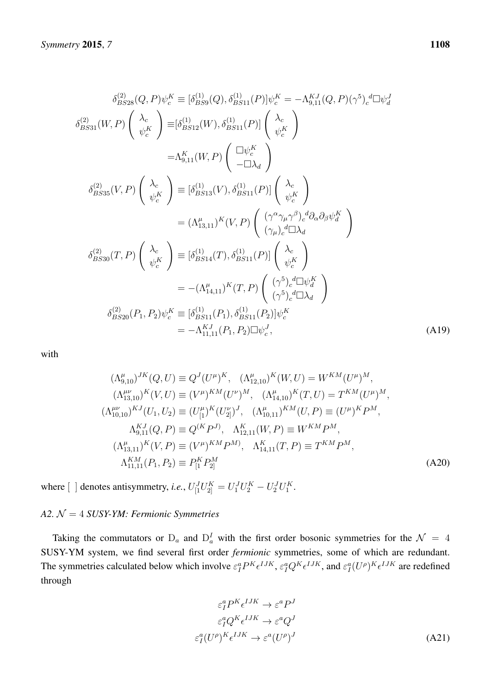$$
\delta_{BS28}^{(2)}(Q, P)\psi_c^K \equiv [\delta_{BS9}^{(1)}(Q), \delta_{BS11}^{(1)}(P)]\psi_c^K = -\Lambda_{9,11}^{KJ}(Q, P)(\gamma^5)_c{}^d\Box\psi_d^J
$$
  
\n
$$
\delta_{BS31}^{(2)}(W, P)\begin{pmatrix} \lambda_c \\ \psi_c^K \end{pmatrix} \equiv [\delta_{BS12}^{(1)}(W), \delta_{BS11}^{(1)}(P)] \begin{pmatrix} \lambda_c \\ \psi_c^K \end{pmatrix}
$$
  
\n
$$
= \Lambda_{9,11}^{K}(W, P)\begin{pmatrix} \Box\psi_c^K \\ -\Box\lambda_d \end{pmatrix}
$$
  
\n
$$
\delta_{BS35}^{(2)}(V, P)\begin{pmatrix} \lambda_c \\ \psi_c^K \end{pmatrix} \equiv [\delta_{BS13}^{(1)}(V), \delta_{BS11}^{(1)}(P)] \begin{pmatrix} \lambda_c \\ \psi_c^K \end{pmatrix}
$$
  
\n
$$
= (\Lambda_{13,11}^{\mu})^K(V, P)\begin{pmatrix} (\gamma^{\alpha}\gamma_{\mu}\gamma^{\beta})_c{}^d\partial_{\alpha}\partial_{\beta}\psi_d^K \\ (\gamma_{\mu})_c{}^d\Box\lambda_d \end{pmatrix}
$$
  
\n
$$
\delta_{BS30}^{(2)}(T, P)\begin{pmatrix} \lambda_c \\ \psi_c^K \end{pmatrix} \equiv [\delta_{BS14}^{(1)}(T), \delta_{BS11}^{(1)}(P)] \begin{pmatrix} \lambda_c \\ \psi_c^K \end{pmatrix}
$$
  
\n
$$
= -(\Lambda_{14,11}^{\mu})^K(T, P)\begin{pmatrix} (\gamma^5)_c{}^d\Box\psi_c^K \\ (\gamma^5)_c{}^d\Box\lambda_d \end{pmatrix}
$$
  
\n
$$
\delta_{BS20}^{(2)}(P_1, P_2)\psi_c^K \equiv [\delta_{BS11}^{(2)}(P_1), \delta_{BS11}^{(1)}(P_2)]\psi_c^K
$$
  
\n
$$
= -\Lambda_{11,11}^{KJ}(P, P_2)\Box\psi_c^J,
$$
  
\n(A19)

with

$$
(\Lambda_{9,10}^{\mu})^{JK}(Q, U) \equiv Q^{J}(U^{\mu})^{K}, \quad (\Lambda_{12,10}^{\mu})^{K}(W, U) = W^{KM}(U^{\mu})^{M},
$$
  
\n
$$
(\Lambda_{13,10}^{\mu\nu})^{K}(V, U) \equiv (V^{\mu})^{KM}(U^{\nu})^{M}, \quad (\Lambda_{14,10}^{\mu})^{K}(T, U) = T^{KM}(U^{\mu})^{M},
$$
  
\n
$$
(\Lambda_{10,10}^{\mu\nu})^{KJ}(U_{1}, U_{2}) \equiv (U_{[1}^{\mu})^{K}(U_{2]}^{\nu})^{J}, \quad (\Lambda_{10,11}^{\mu})^{KM}(U, P) \equiv (U^{\mu})^{K}P^{M},
$$
  
\n
$$
\Lambda_{9,11}^{KJ}(Q, P) \equiv Q^{(K}P^{J}), \quad \Lambda_{12,11}^{K}(W, P) \equiv W^{KM}P^{M},
$$
  
\n
$$
(\Lambda_{13,11}^{\mu})^{K}(V, P) \equiv (V^{\mu})^{KM}P^{M}, \quad \Lambda_{14,11}^{K}(T, P) \equiv T^{KM}P^{M},
$$
  
\n
$$
\Lambda_{11,11}^{KM}(P_{1}, P_{2}) \equiv P_{[1}^{K}P_{2]}^{M}
$$
  
\n
$$
(A20)
$$

where  $\begin{bmatrix} \end{bmatrix}$  denotes antisymmetry, *i.e.*,  $U_{\begin{bmatrix}1\\1\end{bmatrix}}^J U_{\begin{bmatrix}1\\2\end{bmatrix}}^K = U_1^J U_2^K - U_2^J U_1^K$ .

## <span id="page-29-0"></span>*A2.* N = 4 *SUSY-YM: Fermionic Symmetries*

Taking the commutators or  $D_a$  and  $D_a^I$  with the first order bosonic symmetries for the  $\mathcal{N} = 4$ SUSY-YM system, we find several first order *fermionic* symmetries, some of which are redundant. The symmetries calculated below which involve  $\varepsilon_I^a P^K \epsilon^{IJK}$ ,  $\varepsilon_I^a Q^K \epsilon^{IJK}$ , and  $\varepsilon_I^a (U^\rho)^K \epsilon^{IJK}$  are redefined through

$$
\varepsilon_I^a P^K \epsilon^{IJK} \to \varepsilon^a P^J
$$

$$
\varepsilon_I^a Q^K \epsilon^{IJK} \to \varepsilon^a Q^J
$$

$$
\varepsilon_I^a (U^\rho)^K \epsilon^{IJK} \to \varepsilon^a (U^\rho)^J
$$
(A21)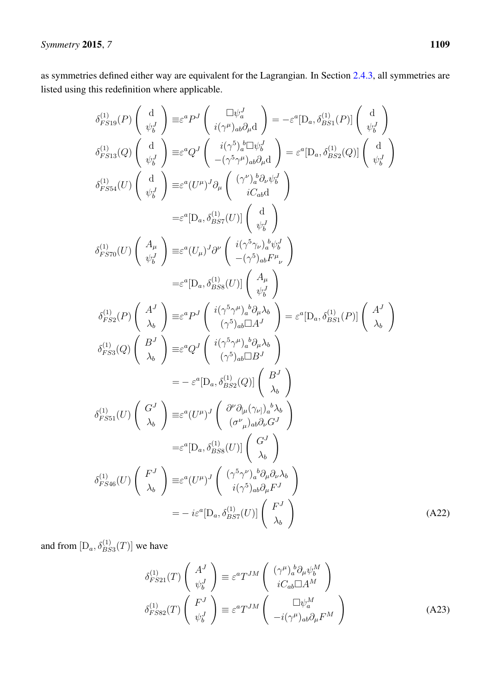as symmetries defined either way are equivalent for the Lagrangian. In Section [2.4.3,](#page-10-2) all symmetries are listed using this redefinition where applicable.

$$
\delta_{FS19}^{(1)}(P) \begin{pmatrix} d \\ \psi_b^I \end{pmatrix} \equiv \varepsilon^a P^J \begin{pmatrix} \Box \psi_a^I \\ i(\gamma^\mu)_{ab}\partial_t d \end{pmatrix} = -\varepsilon^a [D_a, \delta_{BS1}^{(1)}(P)] \begin{pmatrix} d \\ \psi_b^I \end{pmatrix}
$$
  
\n
$$
\delta_{FS13}^{(1)}(Q) \begin{pmatrix} d \\ \psi_b^I \end{pmatrix} \equiv \varepsilon^a Q^J \begin{pmatrix} i(\gamma^5)_{a}^{b} \Box \psi_b^I \\ -(\gamma^5 \gamma^\mu)_{ab} \partial_t d \end{pmatrix} = \varepsilon^a [D_a, \delta_{BS2}^{(1)}(Q)] \begin{pmatrix} d \\ \psi_b^I \end{pmatrix}
$$
  
\n
$$
\delta_{FS54}^{(1)}(U) \begin{pmatrix} d \\ d \\ \psi_b^I \end{pmatrix} \equiv \varepsilon^a (U^{\mu})^J \partial_{\mu} \begin{pmatrix} (\gamma^{\nu})_{a}^{b} \partial_{\nu} \psi_b^I \\ iC_{ab} d \end{pmatrix}
$$
  
\n
$$
= \varepsilon^a [D_a, \delta_{BS7}^{(1)}(U)] \begin{pmatrix} d \\ \psi_b^I \end{pmatrix}
$$
  
\n
$$
\delta_{FS70}^{(1)}(U) \begin{pmatrix} A_{\mu} \\ \psi_b^I \end{pmatrix} \equiv \varepsilon^a (U_{\mu})^J \partial^{\nu} \begin{pmatrix} i(\gamma^5 \gamma_{\mu})_{a}^{b} \psi_b^I \\ -(\gamma^5)_{ab} E^{\mu}{}_{\nu} \end{pmatrix}
$$
  
\n
$$
\delta_{FS70}^{(1)}(U) \begin{pmatrix} A_{\mu} \\ \psi_b^I \end{pmatrix} \equiv \varepsilon^a [D_a, \delta_{BS8}^{(1)}(U)] \begin{pmatrix} A_{\mu} \\ \psi_b^I \end{pmatrix}
$$
  
\n
$$
\delta_{FS70}^{(1)}(U) \begin{pmatrix} A^J \\ \lambda_b \end{pmatrix} \equiv \varepsilon^a P^J \begin{pmatrix} i(\gamma^5 \gamma_{\mu})_{a}^{b} \partial_{\mu} \lambda_b \\ (\gamma^5)_{ab} \Box A^J \end{pmatrix} = \varepsilon^a
$$

and from  $[D_a, \delta_{BS3}^{(1)}(T)]$  we have

$$
\delta_{FS21}^{(1)}(T) \begin{pmatrix} A^J \\ \psi_b^J \end{pmatrix} \equiv \varepsilon^a T^{JM} \begin{pmatrix} (\gamma^\mu)_a^b \partial_\mu \psi_b^M \\ iC_{ab} \Box A^M \end{pmatrix}
$$

$$
\delta_{FS82}^{(1)}(T) \begin{pmatrix} F^J \\ \psi_b^J \end{pmatrix} \equiv \varepsilon^a T^{JM} \begin{pmatrix} \Box \psi_a^M \\ -i(\gamma^\mu)_{ab} \partial_\mu F^M \end{pmatrix}
$$
(A23)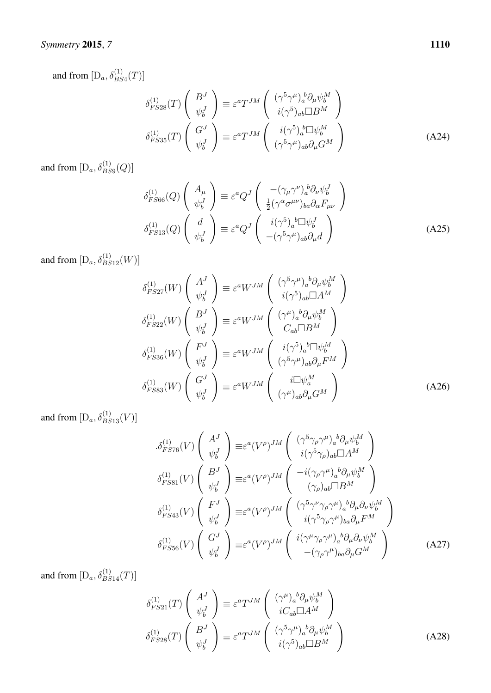and from  $[D_a, \delta_{BS4}^{(1)}(T)]$ 

$$
\delta_{FS28}^{(1)}(T) \begin{pmatrix} B^J \\ \psi_b^J \end{pmatrix} \equiv \varepsilon^a T^{JM} \begin{pmatrix} (\gamma^5 \gamma^\mu)_a^b \partial_\mu \psi_b^M \\ i(\gamma^5)_{ab} \Box B^M \end{pmatrix}
$$

$$
\delta_{FS35}^{(1)}(T) \begin{pmatrix} G^J \\ \psi_b^J \end{pmatrix} \equiv \varepsilon^a T^{JM} \begin{pmatrix} i(\gamma^5)_a^b \Box \psi_b^M \\ (\gamma^5 \gamma^\mu)_{ab} \partial_\mu G^M \end{pmatrix}
$$
(A24)

and from  $[D_a, \delta_{BS9}^{(1)}(Q)]$ 

$$
\delta_{FS66}^{(1)}(Q) \begin{pmatrix} A_{\mu} \\ \psi_b^J \end{pmatrix} \equiv \varepsilon^a Q^J \begin{pmatrix} -(\gamma_{\mu} \gamma^{\nu})_a^b \partial_{\nu} \psi_b^J \\ \frac{1}{2} (\gamma^{\alpha} \sigma^{\mu \nu})_{ba} \partial_{\alpha} F_{\mu \nu} \end{pmatrix}
$$

$$
\delta_{FS13}^{(1)}(Q) \begin{pmatrix} d \\ \psi_b^J \end{pmatrix} \equiv \varepsilon^a Q^J \begin{pmatrix} i(\gamma^5)_a^b \Box \psi_b^J \\ -(\gamma^5 \gamma^{\mu})_{ab} \partial_{\mu} d \end{pmatrix}
$$
(A25)

and from  $[D_a, \delta_{BS12}^{(1)}(W)]$ 

$$
\delta_{FS27}^{(1)}(W) \begin{pmatrix} A^J \\ \psi_b^J \end{pmatrix} \equiv \varepsilon^a W^{JM} \begin{pmatrix} (\gamma^5 \gamma^\mu)_a{}^b \partial_\mu \psi_b^M \\ i(\gamma^5)_{ab} \Box A^M \end{pmatrix}
$$
  
\n
$$
\delta_{FS22}^{(1)}(W) \begin{pmatrix} B^J \\ \psi_b^J \end{pmatrix} \equiv \varepsilon^a W^{JM} \begin{pmatrix} (\gamma^\mu)_a{}^b \partial_\mu \psi_b^M \\ C_{ab} \Box B^M \end{pmatrix}
$$
  
\n
$$
\delta_{FS36}^{(1)}(W) \begin{pmatrix} F^J \\ \psi_b^J \end{pmatrix} \equiv \varepsilon^a W^{JM} \begin{pmatrix} i(\gamma^5)_a{}^b \Box \psi_b^M \\ (\gamma^5 \gamma^\mu)_{ab} \partial_\mu F^M \end{pmatrix}
$$
  
\n
$$
\delta_{FS83}^{(1)}(W) \begin{pmatrix} G^J \\ \psi_b^J \end{pmatrix} \equiv \varepsilon^a W^{JM} \begin{pmatrix} i \Box \psi_a^M \\ i \Box \psi_a^M \end{pmatrix}
$$
  
\n
$$
\delta_{FS83}^{(1)}(W) \begin{pmatrix} G^J \\ \psi_b^J \end{pmatrix} \equiv \varepsilon^a W^{JM} \begin{pmatrix} i \Box \psi_a^M \\ (\gamma^\mu)_{ab} \partial_\mu G^M \end{pmatrix}
$$
 (A26)

and from  $[D_a, \delta_{BS13}^{(1)}(V)]$ 

$$
\delta_{FS76}^{(1)}(V) \begin{pmatrix} A^J \\ \psi_b^J \end{pmatrix} \equiv \varepsilon^a (V^\rho)^{JM} \begin{pmatrix} (\gamma^5 \gamma_\rho \gamma^\mu)_a{}^b \partial_\mu \psi_b^M \\ i(\gamma^5 \gamma_\rho)_{ab} \Box A^M \end{pmatrix}
$$

$$
\delta_{FS81}^{(1)}(V) \begin{pmatrix} B^J \\ \psi_b^J \end{pmatrix} \equiv \varepsilon^a (V^\rho)^{JM} \begin{pmatrix} -i(\gamma_\rho \gamma^\mu)_a{}^b \partial_\mu \psi_b^M \\ (\gamma_\rho)_{ab} \Box B^M \end{pmatrix}
$$

$$
\delta_{FS43}^{(1)}(V) \begin{pmatrix} F^J \\ \psi_b^J \end{pmatrix} \equiv \varepsilon^a (V^\rho)^{JM} \begin{pmatrix} (\gamma^5 \gamma^\nu \gamma_\rho \gamma^\mu)_a{}^b \partial_\mu \partial_\nu \psi_b^M \\ i(\gamma^5 \gamma_\rho \gamma^\mu)_{ba} \partial_\mu F^M \end{pmatrix}
$$

$$
\delta_{FS56}^{(1)}(V) \begin{pmatrix} G^J \\ \psi_b^J \end{pmatrix} \equiv \varepsilon^a (V^\rho)^{JM} \begin{pmatrix} i(\gamma^\mu \gamma_\rho \gamma^\mu)_a{}^b \partial_\mu \partial_\nu \psi_b^M \\ -(\gamma_\rho \gamma^\mu)_{ba} \partial_\mu G^M \end{pmatrix}
$$
(A27)

and from  $[D_a, \delta_{BS14}^{(1)}(T)]$ 

$$
\delta_{FS21}^{(1)}(T) \begin{pmatrix} A^J \\ \psi_b^J \end{pmatrix} \equiv \varepsilon^a T^{JM} \begin{pmatrix} (\gamma^\mu)_a{}^b \partial_\mu \psi_b^M \\ iC_{ab} \Box A^M \end{pmatrix}
$$

$$
\delta_{FS28}^{(1)}(T) \begin{pmatrix} B^J \\ \psi_b^J \end{pmatrix} \equiv \varepsilon^a T^{JM} \begin{pmatrix} (\gamma^5 \gamma^\mu)_a{}^b \partial_\mu \psi_b^M \\ i(\gamma^5)_{ab} \Box B^M \end{pmatrix}
$$
(A28)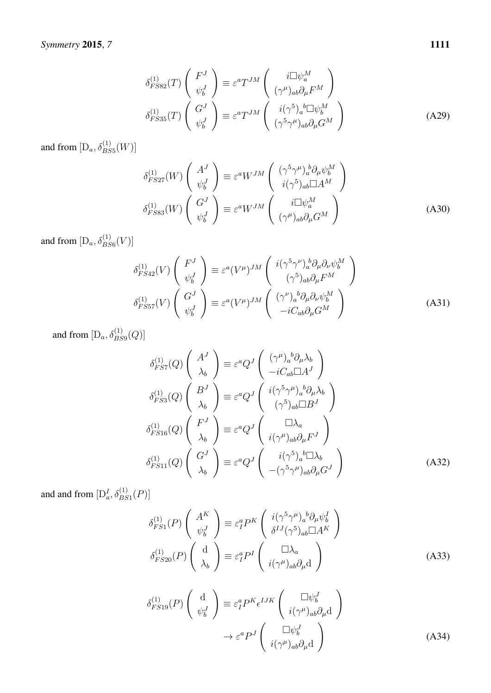$$
\delta_{FSS2}^{(1)}(T) \begin{pmatrix} F^J \\ \psi_b^J \end{pmatrix} \equiv \varepsilon^a T^{JM} \begin{pmatrix} i\Box \psi_a^M \\ (\gamma^\mu)_{ab}\partial_\mu F^M \end{pmatrix}
$$

$$
\delta_{FSS3}^{(1)}(T) \begin{pmatrix} G^J \\ \psi_b^J \end{pmatrix} \equiv \varepsilon^a T^{JM} \begin{pmatrix} i(\gamma^5)_a{}^b \Box \psi_b^M \\ (\gamma^5 \gamma^\mu)_{ab}\partial_\mu G^M \end{pmatrix}
$$
(A29)

and from  $[D_a, \delta_{BS5}^{(1)}(W)]$ 

$$
\delta_{FS27}^{(1)}(W) \begin{pmatrix} A^J \\ \psi_b^J \end{pmatrix} \equiv \varepsilon^a W^{JM} \begin{pmatrix} (\gamma^5 \gamma^\mu)_a^b \partial_\mu \psi_b^M \\ i(\gamma^5)_{ab} \Box A^M \end{pmatrix}
$$

$$
\delta_{FS83}^{(1)}(W) \begin{pmatrix} G^J \\ \psi_b^J \end{pmatrix} \equiv \varepsilon^a W^{JM} \begin{pmatrix} i \Box \psi_a^M \\ (\gamma^\mu)_{ab} \partial_\mu G^M \end{pmatrix}
$$
(A30)

and from  $[D_a, \delta_{BS6}^{(1)}(V)]$ 

$$
\delta_{FS42}^{(1)}(V) \begin{pmatrix} F^J \\ \psi_b^J \end{pmatrix} \equiv \varepsilon^a (V^\mu)^{JM} \begin{pmatrix} i(\gamma^5 \gamma^\nu)_a^b \partial_\mu \partial_\nu \psi_b^M \\ (\gamma^5)_{ab} \partial_\mu F^M \end{pmatrix}
$$

$$
\delta_{FS57}^{(1)}(V) \begin{pmatrix} G^J \\ \psi_b^J \end{pmatrix} \equiv \varepsilon^a (V^\mu)^{JM} \begin{pmatrix} (\gamma^\nu)_a^b \partial_\mu \partial_\nu \psi_b^M \\ -iC_{ab} \partial_\mu G^M \end{pmatrix}
$$
(A31)

and from  $[D_a, \delta_{BS9}^{(1)}(Q)]$ 

$$
\delta_{FS7}^{(1)}(Q) \begin{pmatrix} A^J \\ \lambda_b \end{pmatrix} \equiv \varepsilon^a Q^J \begin{pmatrix} (\gamma^\mu)_a{}^b \partial_\mu \lambda_b \\ -i C_{ab} \Box A^J \end{pmatrix}
$$

$$
\delta_{FS3}^{(1)}(Q) \begin{pmatrix} B^J \\ \lambda_b \end{pmatrix} \equiv \varepsilon^a Q^J \begin{pmatrix} i(\gamma^5 \gamma^\mu)_a{}^b \partial_\mu \lambda_b \\ (\gamma^5)_{ab} \Box B^J \end{pmatrix}
$$

$$
\delta_{FS16}^{(1)}(Q) \begin{pmatrix} F^J \\ \lambda_b \end{pmatrix} \equiv \varepsilon^a Q^J \begin{pmatrix} \Box \lambda_a \\ i(\gamma^\mu)_{ab} \partial_\mu F^J \end{pmatrix}
$$

$$
\delta_{FS11}^{(1)}(Q) \begin{pmatrix} G^J \\ \lambda_b \end{pmatrix} \equiv \varepsilon^a Q^J \begin{pmatrix} i(\gamma^5)_a{}^b \Box \lambda_b \\ -(\gamma^5 \gamma^\mu)_{ab} \partial_\mu G^J \end{pmatrix}
$$
(A32)

and and from  $[D_a^I, \delta_{BS1}^{(1)}(P)]$ 

$$
\delta_{FS1}^{(1)}(P) \begin{pmatrix} A^K \\ \psi_b^J \end{pmatrix} \equiv \varepsilon_I^a P^K \begin{pmatrix} i(\gamma^5 \gamma^\mu)_a{}^b \partial_\mu \psi_b^I \\ \delta^{IJ} (\gamma^5)_{ab} \Box A^K \end{pmatrix}
$$

$$
\delta_{FS20}^{(1)}(P) \begin{pmatrix} d \\ \lambda_b \end{pmatrix} \equiv \varepsilon_I^a P^I \begin{pmatrix} \Box \lambda_a \\ i(\gamma^\mu)_{ab} \partial_\mu d \end{pmatrix}
$$
(A33)

$$
\delta_{FS19}^{(1)}(P) \begin{pmatrix} d \\ \psi_b^J \end{pmatrix} \equiv \varepsilon_I^a P^K \epsilon^{IJK} \begin{pmatrix} \Box \psi_b^J \\ i(\gamma^\mu)_{ab} \partial_\mu d \end{pmatrix} \rightarrow \varepsilon^a P^J \begin{pmatrix} \Box \psi_b^J \\ i(\gamma^\mu)_{ab} \partial_\mu d \end{pmatrix}
$$
\n(A34)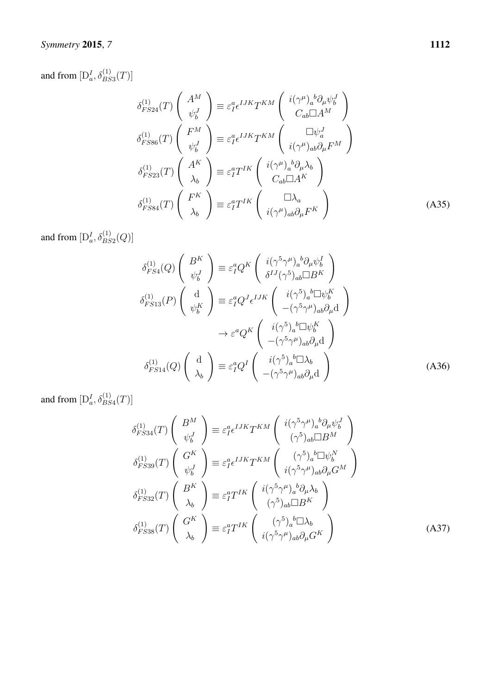## *Symmetry* 2015, *7* 1112

and from  $[D_a^I, \delta_{BS3}^{(1)}(T)]$ 

$$
\delta_{FS24}^{(1)}(T) \begin{pmatrix} A^M \\ \psi_b^J \end{pmatrix} \equiv \varepsilon_I^a \epsilon^{IJK} T^{KM} \begin{pmatrix} i(\gamma^\mu)_a{}^b \partial_\mu \psi_b^J \\ C_{ab} \Box A^M \end{pmatrix}
$$
  
\n
$$
\delta_{FS86}^{(1)}(T) \begin{pmatrix} F^M \\ \psi_b^J \end{pmatrix} \equiv \varepsilon_I^a \epsilon^{IJK} T^{KM} \begin{pmatrix} \Box \psi_a^J \\ i(\gamma^\mu)_{ab} \partial_\mu F^M \end{pmatrix}
$$
  
\n
$$
\delta_{FS23}^{(1)}(T) \begin{pmatrix} A^K \\ \lambda_b \end{pmatrix} \equiv \varepsilon_I^a T^{IK} \begin{pmatrix} i(\gamma^\mu)_a{}^b \partial_\mu \lambda_b \\ C_{ab} \Box A^K \end{pmatrix}
$$
  
\n
$$
\delta_{FS84}^{(1)}(T) \begin{pmatrix} F^K \\ \lambda_b \end{pmatrix} \equiv \varepsilon_I^a T^{IK} \begin{pmatrix} \Box \lambda_a \\ i(\gamma^\mu)_{ab} \partial_\mu F^K \end{pmatrix}
$$
  
\n(A35)

and from  $[D_a^I, \delta_{BS2}^{(1)}(Q)]$ 

$$
\delta_{FS4}^{(1)}(Q) \begin{pmatrix} B^K \\ \psi_b^I \end{pmatrix} \equiv \varepsilon_1^a Q^K \begin{pmatrix} i(\gamma^5 \gamma^\mu)_a{}^b \partial_\mu \psi_b^I \\ \delta^{IJ}(\gamma^5)_{ab} \Box B^K \end{pmatrix}
$$

$$
\delta_{FS13}^{(1)}(P) \begin{pmatrix} d \\ \psi_b^K \end{pmatrix} \equiv \varepsilon_1^a Q^J \epsilon^{IJK} \begin{pmatrix} i(\gamma^5)_a{}^b \Box \psi_b^K \\ -(\gamma^5 \gamma^\mu)_{ab} \partial_\mu d \end{pmatrix}
$$

$$
\rightarrow \varepsilon^a Q^K \begin{pmatrix} i(\gamma^5)_a{}^b \Box \psi_b^K \\ -(\gamma^5 \gamma^\mu)_{ab} \partial_\mu d \end{pmatrix}
$$

$$
\delta_{FS14}^{(1)}(Q) \begin{pmatrix} d \\ \lambda_b \end{pmatrix} \equiv \varepsilon_1^a Q^I \begin{pmatrix} i(\gamma^5)_a{}^b \Box \lambda_b \\ -(\gamma^5 \gamma^\mu)_{ab} \partial_\mu d \end{pmatrix}
$$
(A36)

and from  $[D_a^I, \delta_{BS4}^{(1)}(T)]$ 

$$
\delta_{FS34}^{(1)}(T) \begin{pmatrix} B^M \\ \psi_b^J \end{pmatrix} \equiv \varepsilon_I^a \epsilon^{IJK} T^{KM} \begin{pmatrix} i(\gamma^5 \gamma^\mu)_a{}^b \partial_\mu \psi_b^J \\ (\gamma^5)_{ab} \Box B^M \end{pmatrix}
$$

$$
\delta_{FS39}^{(1)}(T) \begin{pmatrix} G^K \\ \psi_b^J \end{pmatrix} \equiv \varepsilon_I^a \epsilon^{IJK} T^{KM} \begin{pmatrix} (\gamma^5)_a{}^b \Box \psi_b^N \\ i(\gamma^5 \gamma^\mu)_{ab} \partial_\mu G^M \end{pmatrix}
$$

$$
\delta_{FS32}^{(1)}(T) \begin{pmatrix} B^K \\ \lambda_b \end{pmatrix} \equiv \varepsilon_I^a T^{IK} \begin{pmatrix} i(\gamma^5 \gamma^\mu)_a{}^b \partial_\mu \lambda_b \\ (\gamma^5)_{ab} \Box B^K \end{pmatrix}
$$

$$
\delta_{FS38}^{(1)}(T) \begin{pmatrix} G^K \\ \lambda_b \end{pmatrix} \equiv \varepsilon_I^a T^{IK} \begin{pmatrix} (\gamma^5)_a{}^b \Box \lambda_b \\ i(\gamma^5 \gamma^\mu)_{ab} \partial_\mu G^K \end{pmatrix}
$$
(A37)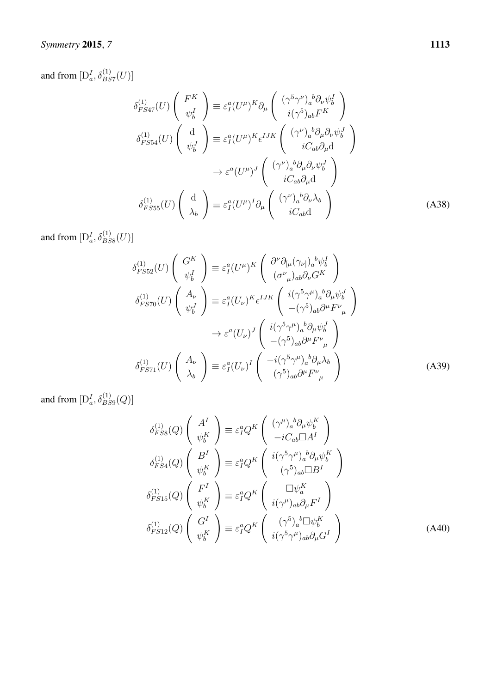## *Symmetry* 2015, *7* 1113

and from  $[D_a^I, \delta_{BS7}^{(1)}(U)]$ 

$$
\delta_{FS47}^{(1)}(U) \begin{pmatrix} F^K \\ \psi_b^I \end{pmatrix} \equiv \varepsilon_I^a (U^\mu)^K \partial_\mu \begin{pmatrix} (\gamma^5 \gamma^\nu)_a{}^b \partial_\nu \psi_b^I \\ i(\gamma^5)_{ab} F^K \end{pmatrix}
$$

$$
\delta_{FS54}^{(1)}(U) \begin{pmatrix} d \\ \psi_b^J \end{pmatrix} \equiv \varepsilon_I^a (U^\mu)^K \epsilon^{IJK} \begin{pmatrix} (\gamma^\nu)_a{}^b \partial_\mu \partial_\nu \psi_b^J \\ iC_{ab} \partial_\mu d \end{pmatrix}
$$

$$
\rightarrow \varepsilon^a (U^\mu)^J \begin{pmatrix} (\gamma^\nu)_a{}^b \partial_\mu \partial_\nu \psi_b^J \\ iC_{ab} \partial_\mu d \end{pmatrix}
$$

$$
\delta_{FS55}^{(1)}(U) \begin{pmatrix} d \\ \lambda_b \end{pmatrix} \equiv \varepsilon_I^a (U^\mu)^I \partial_\mu \begin{pmatrix} (\gamma^\nu)_a{}^b \partial_\nu \lambda_b \\ iC_{ab} d \end{pmatrix}
$$
(A38)

and from  $[D_a^I, \delta_{BS8}^{(1)}(U)]$ 

$$
\delta_{FSS2}^{(1)}(U) \begin{pmatrix} G^K \\ \psi_b^I \end{pmatrix} \equiv \varepsilon_I^a (U^\mu)^K \begin{pmatrix} \partial^\nu \partial_{[\mu} (\gamma_{\nu]})_a{}^b \psi_b^I \\ (\sigma^\nu_{\mu})_{ab} \partial_\nu G^K \end{pmatrix}
$$

$$
\delta_{FST0}^{(1)}(U) \begin{pmatrix} A_\nu \\ \psi_b^J \end{pmatrix} \equiv \varepsilon_I^a (U_\nu)^K \epsilon^{IJK} \begin{pmatrix} i(\gamma^5 \gamma^\mu)_a{}^b \partial_\mu \psi_b^J \\ -(\gamma^5)_{ab} \partial^\mu F^\nu_{\mu} \end{pmatrix}
$$

$$
\rightarrow \varepsilon^a (U_\nu)^J \begin{pmatrix} i(\gamma^5 \gamma^\mu)_a{}^b \partial_\mu \psi_b^J \\ -(\gamma^5)_{ab} \partial^\mu F^\nu_{\mu} \end{pmatrix}
$$

$$
\delta_{FST1}^{(1)}(U) \begin{pmatrix} A_\nu \\ \lambda_b \end{pmatrix} \equiv \varepsilon_I^a (U_\nu)^I \begin{pmatrix} -i(\gamma^5 \gamma^\mu)_a{}^b \partial_\mu \lambda_b \\ (\gamma^5)_{ab} \partial^\mu F^\nu_{\mu} \end{pmatrix}
$$
(A39)

and from  $[D_a^I, \delta_{BS9}^{(1)}(Q)]$ 

$$
\delta_{FSS}^{(1)}(Q) \begin{pmatrix} A^I \\ \psi_b^K \end{pmatrix} \equiv \varepsilon_I^a Q^K \begin{pmatrix} (\gamma^\mu)_a{}^b \partial_\mu \psi_b^K \\ -iC_{ab} \Box A^I \end{pmatrix}
$$

$$
\delta_{FSA}^{(1)}(Q) \begin{pmatrix} B^I \\ \psi_b^K \end{pmatrix} \equiv \varepsilon_I^a Q^K \begin{pmatrix} i(\gamma^5 \gamma^\mu)_a{}^b \partial_\mu \psi_b^K \\ (\gamma^5)_{ab} \Box B^I \end{pmatrix}
$$

$$
\delta_{FS15}^{(1)}(Q) \begin{pmatrix} F^I \\ \psi_b^K \end{pmatrix} \equiv \varepsilon_I^a Q^K \begin{pmatrix} \Box \psi_a^K \\ i(\gamma^\mu)_{ab} \partial_\mu F^I \end{pmatrix}
$$

$$
\delta_{FS12}^{(1)}(Q) \begin{pmatrix} G^I \\ \psi_b^K \end{pmatrix} \equiv \varepsilon_I^a Q^K \begin{pmatrix} (\gamma^5)_a{}^b \Box \psi_b^K \\ i(\gamma^5 \gamma^\mu)_{ab} \partial_\mu G^I \end{pmatrix}
$$
(A40)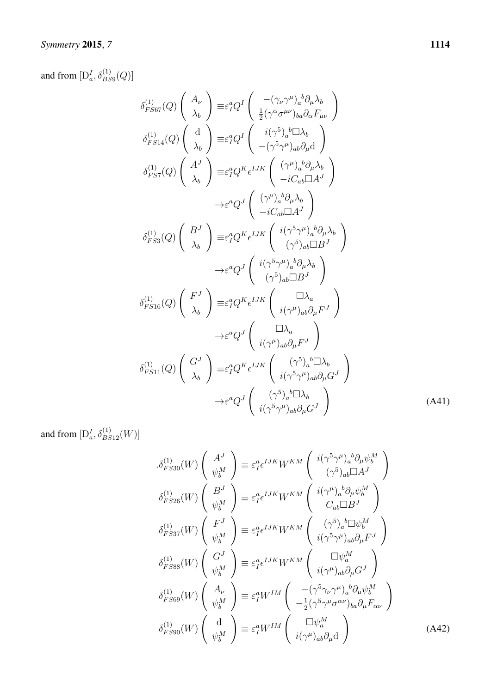and from  $[D_a^I, \delta_{BS9}^{(1)}(Q)]$ 

$$
\delta_{FSG7}^{(1)}(Q) \begin{pmatrix} A_{\nu} \\ \lambda_{b} \end{pmatrix} \equiv \varepsilon_{I}^{a} Q^{I} \begin{pmatrix} -(\gamma_{\nu} \gamma^{\mu})_{a}{}^{b} \partial_{\mu} \lambda_{b} \\ \frac{1}{2} (\gamma^{\alpha} \sigma^{\mu \nu})_{ba} \partial_{\alpha} F_{\mu \nu} \end{pmatrix}
$$

$$
\delta_{FSG1}^{(1)}(Q) \begin{pmatrix} d \\ \lambda_{b} \end{pmatrix} \equiv \varepsilon_{I}^{a} Q^{I} \begin{pmatrix} i(\gamma^{5})_{a}{}^{b} \Box \lambda_{b} \\ -(\gamma^{5} \gamma^{\mu})_{ab} \partial_{\mu} d \end{pmatrix}
$$

$$
\delta_{FSG7}^{(1)}(Q) \begin{pmatrix} A^{J} \\ \lambda_{b} \end{pmatrix} \equiv \varepsilon_{I}^{a} Q^{K} \epsilon^{IJK} \begin{pmatrix} (\gamma^{\mu})_{a}{}^{b} \partial_{\mu} \lambda_{b} \\ -iC_{ab} \Box A^{J} \end{pmatrix}
$$

$$
\rightarrow \varepsilon^{a} Q^{J} \begin{pmatrix} (\gamma^{\mu})_{a}{}^{b} \partial_{\mu} \lambda_{b} \\ -iC_{ab} \Box A^{J} \end{pmatrix}
$$

$$
\delta_{FSG3}^{(1)}(Q) \begin{pmatrix} B^{J} \\ \lambda_{b} \end{pmatrix} \equiv \varepsilon_{I}^{a} Q^{K} \epsilon^{IJK} \begin{pmatrix} i(\gamma^{5} \gamma^{\mu})_{a}{}^{b} \partial_{\mu} \lambda_{b} \\ (\gamma^{5})_{ab} \Box B^{J} \end{pmatrix}
$$

$$
\rightarrow \varepsilon^{a} Q^{J} \begin{pmatrix} i(\gamma^{5} \gamma^{\mu})_{a}{}^{b} \partial_{\mu} \lambda_{b} \\ (\gamma^{5})_{ab} \Box B^{J} \end{pmatrix}
$$

$$
\delta_{FSG1}^{(1)}(Q) \begin{pmatrix} F^{J} \\ \lambda_{b} \end{pmatrix} \equiv \varepsilon_{I}^{a} Q^{K} \epsilon^{IJK} \begin{pmatrix} \Box \lambda_{a} \\ i(\gamma^{\mu})_{ab} \partial_{\mu} F^{J} \end{pmatrix}
$$

$$
\rightarrow \varepsilon^{a} Q^{J} \begin{pmatrix} \Box \lambda_{a} \\ i
$$

and from  $[D_a^I, \delta_{BS12}^{(1)}(W)]$ 

$$
\delta_{FS30}^{(1)}(W) \begin{pmatrix} A^{J} \\ \psi_{b}^{M} \end{pmatrix} \equiv \varepsilon_{I}^{a} \epsilon^{IJK} W^{KM} \begin{pmatrix} i(\gamma^{5}\gamma^{\mu})_{a}{}^{b}\partial_{\mu}\psi_{b}^{M} \\ (\gamma^{5})_{ab}\Box A^{J} \end{pmatrix}
$$

$$
\delta_{FS26}^{(1)}(W) \begin{pmatrix} B^{J} \\ \psi_{b}^{M} \end{pmatrix} \equiv \varepsilon_{I}^{a} \epsilon^{IJK} W^{KM} \begin{pmatrix} i(\gamma^{\mu})_{a}{}^{b}\partial_{\mu}\psi_{b}^{M} \\ C_{ab}\Box B^{J} \end{pmatrix}
$$

$$
\delta_{FS37}^{(1)}(W) \begin{pmatrix} F^{J} \\ \psi_{b}^{M} \end{pmatrix} \equiv \varepsilon_{I}^{a} \epsilon^{IJK} W^{KM} \begin{pmatrix} (\gamma^{5})_{a}{}^{b}\Box\psi_{b}^{M} \\ i(\gamma^{5}\gamma^{\mu})_{ab}\partial_{\mu}F^{J} \end{pmatrix}
$$

$$
\delta_{FS88}^{(1)}(W) \begin{pmatrix} G^{J} \\ \psi_{b}^{M} \end{pmatrix} \equiv \varepsilon_{I}^{a} \epsilon^{IJK} W^{KM} \begin{pmatrix} \Box\psi_{a}^{M} \\ i(\gamma^{\mu})_{ab}\partial_{\mu}G^{J} \end{pmatrix}
$$

$$
\delta_{FS89}^{(1)}(W) \begin{pmatrix} A_{\nu} \\ \psi_{b}^{M} \end{pmatrix} \equiv \varepsilon_{I}^{a} W^{IM} \begin{pmatrix} -(\gamma^{5}\gamma_{\nu}\gamma^{\mu})_{a}{}^{b}\partial_{\mu}\psi_{b}^{M} \\ -\frac{1}{2}(\gamma^{5}\gamma^{\mu}\sigma^{\alpha\nu})_{ba}\partial_{\mu}F_{\alpha\nu} \end{pmatrix}
$$

$$
\delta_{FS90}^{(1)}(W) \begin{pmatrix} d \\ \psi_{b}^{M} \end{pmatrix} \equiv \varepsilon_{I}^{a} W^{IM} \begin{pmatrix} \Box\psi_{a}^{M} \\ i(\gamma^{\mu})_{ab}\partial_{\mu}d \end{pmatrix}
$$
(A42)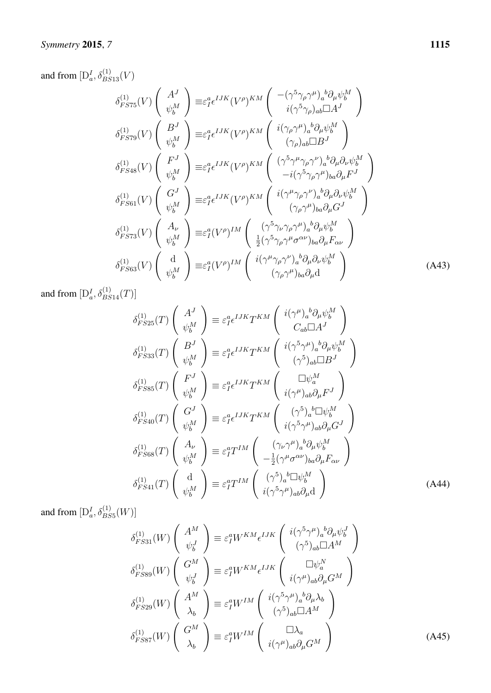and from  $[D_a^I, \delta_{BS13}^{(1)}(V)]$ 

$$
\delta_{FST5}^{(1)}(V) \begin{pmatrix} A^{J} \\ \psi_{b}^{M} \end{pmatrix} \equiv \varepsilon_{I}^{a} \epsilon^{IJK} (V^{\rho})^{KM} \begin{pmatrix} -(\gamma^{5} \gamma_{\rho} \gamma^{\mu})_{a}{}^{b} \partial_{\mu} \psi_{b}^{M} \\ i(\gamma^{5} \gamma_{\rho})_{ab} \Box A^{J} \end{pmatrix}
$$

$$
\delta_{FST9}^{(1)}(V) \begin{pmatrix} B^{J} \\ \psi_{b}^{M} \end{pmatrix} \equiv \varepsilon_{I}^{a} \epsilon^{IJK} (V^{\rho})^{KM} \begin{pmatrix} i(\gamma_{\rho} \gamma^{\mu})_{a}{}^{b} \partial_{\mu} \psi_{b}^{M} \\ (\gamma_{\rho})_{ab} \Box B^{J} \end{pmatrix}
$$

$$
\delta_{FSt4}^{(1)}(V) \begin{pmatrix} F^{J} \\ \psi_{b}^{M} \end{pmatrix} \equiv \varepsilon_{I}^{a} \epsilon^{IJK} (V^{\rho})^{KM} \begin{pmatrix} (\gamma^{5} \gamma^{\mu} \gamma_{\rho} \gamma^{\nu})_{a}{}^{b} \partial_{\mu} \partial_{\nu} \psi_{b}^{M} \\ -i(\gamma^{5} \gamma_{\rho} \gamma^{\mu})_{ba} \partial_{\mu} F^{J} \end{pmatrix}
$$

$$
\delta_{FSt1}^{(1)}(V) \begin{pmatrix} G^{J} \\ \psi_{b}^{M} \end{pmatrix} \equiv \varepsilon_{I}^{a} \epsilon^{IJK} (V^{\rho})^{KM} \begin{pmatrix} i(\gamma^{\mu} \gamma_{\rho} \gamma^{\nu})_{a}{}^{b} \partial_{\mu} \partial_{\nu} \psi_{b}^{M} \\ (\gamma_{\rho} \gamma^{\mu})_{ba} \partial_{\mu} G^{J} \end{pmatrix}
$$

$$
\delta_{FST3}^{(1)}(V) \begin{pmatrix} A_{\nu} \\ \psi_{b}^{M} \end{pmatrix} \equiv \varepsilon_{I}^{a} (V^{\rho})^{IM} \begin{pmatrix} (\gamma^{5} \gamma_{\nu} \gamma_{\rho} \gamma^{\mu})_{a}{}^{b} \partial_{\mu} \psi_{b}^{M} \\ \frac{1}{2} (\gamma^{5} \gamma_{\rho} \gamma^{\mu} \sigma_{\sigma \nu})_{ba} \partial_{\mu} F_{\alpha \
$$

and from  $[D_a^I, \delta_{BS14}^{(1)}(T)]$ 

$$
\delta_{F S25}^{(1)}(T) \begin{pmatrix} A^{J} \\ \psi_{b}^{M} \end{pmatrix} \equiv \varepsilon_{I}^{a} \epsilon^{IJK} T^{KM} \begin{pmatrix} i(\gamma^{\mu})_{a}{}^{b} \partial_{\mu} \psi_{b}^{M} \\ C_{ab} \Box A^{J} \end{pmatrix}
$$

$$
\delta_{F S33}^{(1)}(T) \begin{pmatrix} B^{J} \\ \psi_{b}^{M} \end{pmatrix} \equiv \varepsilon_{I}^{a} \epsilon^{IJK} T^{KM} \begin{pmatrix} i(\gamma^{5} \gamma^{\mu})_{a}{}^{b} \partial_{\mu} \psi_{b}^{M} \\ (\gamma^{5})_{ab} \Box B^{J} \end{pmatrix}
$$

$$
\delta_{F S85}^{(1)}(T) \begin{pmatrix} F^{J} \\ \psi_{b}^{M} \end{pmatrix} \equiv \varepsilon_{I}^{a} \epsilon^{IJK} T^{KM} \begin{pmatrix} \Box \psi_{a}^{M} \\ i(\gamma^{\mu})_{ab} \partial_{\mu} F^{J} \end{pmatrix}
$$

$$
\delta_{F S40}^{(1)}(T) \begin{pmatrix} G^{J} \\ \psi_{b}^{M} \end{pmatrix} \equiv \varepsilon_{I}^{a} \epsilon^{IJK} T^{KM} \begin{pmatrix} (\gamma^{5})_{a}{}^{b} \Box \psi_{b}^{M} \\ i(\gamma^{5} \gamma^{\mu})_{ab} \partial_{\mu} G^{J} \end{pmatrix}
$$

$$
\delta_{F S68}^{(1)}(T) \begin{pmatrix} A_{\nu} \\ \psi_{b}^{M} \end{pmatrix} \equiv \varepsilon_{I}^{a} T^{IM} \begin{pmatrix} (\gamma_{\nu} \gamma^{\mu})_{a}{}^{b} \partial_{\mu} \psi_{b}^{M} \\ -\frac{1}{2} (\gamma^{\mu} \sigma^{\alpha \nu})_{ba} \partial_{\mu} F_{\alpha \nu} \end{pmatrix}
$$

$$
\delta_{F S41}^{(1)}(T) \begin{pmatrix} d \\ \psi_{b}^{M} \end{pmatrix} \equiv \varepsilon_{I}^{a} T^{IM} \begin{pmatrix} (\gamma^{5})_{a}{}^{b} \Box \psi_{b}^{M} \\ i(\gamma^{5} \gamma^{\mu})_{ab} \partial_{\mu} d \end{pmatrix}
$$
(A44)

and from  $[D_a^I, \delta_{BS5}^{(1)}(W)]$ 

$$
\delta_{FS31}^{(1)}(W) \begin{pmatrix} A^M \\ \psi_b^J \end{pmatrix} \equiv \varepsilon_I^a W^{KM} \epsilon^{IJK} \begin{pmatrix} i(\gamma^5 \gamma^\mu)_a{}^b \partial_\mu \psi_b^J \\ (\gamma^5)_{ab} \Box A^M \end{pmatrix}
$$

$$
\delta_{FS89}^{(1)}(W) \begin{pmatrix} G^M \\ \psi_b^J \end{pmatrix} \equiv \varepsilon_I^a W^{KM} \epsilon^{IJK} \begin{pmatrix} \Box \psi_a^N \\ i(\gamma^\mu)_{ab} \partial_\mu G^M \end{pmatrix}
$$

$$
\delta_{FS29}^{(1)}(W) \begin{pmatrix} A^M \\ \lambda_b \end{pmatrix} \equiv \varepsilon_I^a W^{IM} \begin{pmatrix} i(\gamma^5 \gamma^\mu)_a{}^b \partial_\mu \lambda_b \\ (\gamma^5)_{ab} \Box A^M \end{pmatrix}
$$

$$
\delta_{FS87}^{(1)}(W) \begin{pmatrix} G^M \\ \lambda_b \end{pmatrix} \equiv \varepsilon_I^a W^{IM} \begin{pmatrix} \Box \lambda_a \\ i(\gamma^\mu)_{ab} \partial_\mu G^M \end{pmatrix}
$$
(A45)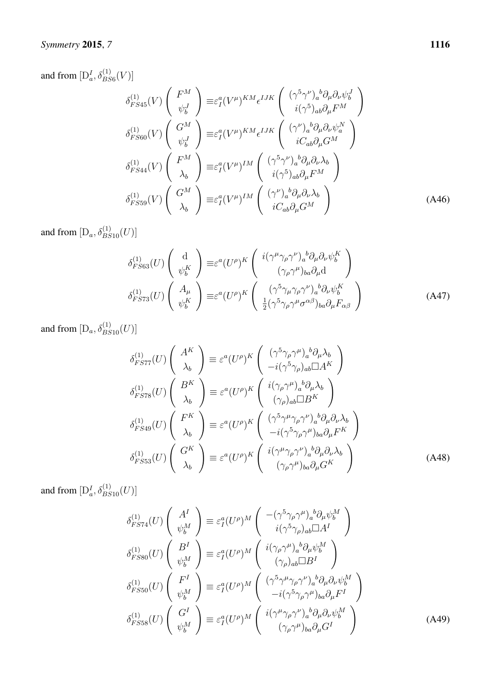## *Symmetry* 2015, *7* 1116

and from  $[D_a^I, \delta_{BS6}^{(1)}(V)]$ 

$$
\delta_{FS45}^{(1)}(V) \begin{pmatrix} F^{M} \\ \psi_{b}^{J} \end{pmatrix} \equiv \varepsilon_{I}^{a}(V^{\mu})^{KM} \epsilon^{IJK} \begin{pmatrix} (\gamma^{5}\gamma^{\nu})_{a}{}^{b}\partial_{\mu}\partial_{\nu}\psi_{b}^{J} \\ i(\gamma^{5})_{ab}\partial_{\mu}F^{M} \end{pmatrix}
$$

$$
\delta_{FS60}^{(1)}(V) \begin{pmatrix} G^{M} \\ \psi_{b}^{J} \end{pmatrix} \equiv \varepsilon_{I}^{a}(V^{\mu})^{KM} \epsilon^{IJK} \begin{pmatrix} (\gamma^{\nu})_{a}{}^{b}\partial_{\mu}\partial_{\nu}\psi_{a}^{N} \\ iC_{ab}\partial_{\mu}G^{M} \end{pmatrix}
$$

$$
\delta_{FS44}^{(1)}(V) \begin{pmatrix} F^{M} \\ \lambda_{b} \end{pmatrix} \equiv \varepsilon_{I}^{a}(V^{\mu})^{IM} \begin{pmatrix} (\gamma^{5}\gamma^{\nu})_{a}{}^{b}\partial_{\mu}\partial_{\nu}\lambda_{b} \\ i(\gamma^{5})_{ab}\partial_{\mu}F^{M} \end{pmatrix}
$$

$$
\delta_{FS59}^{(1)}(V) \begin{pmatrix} G^{M} \\ \lambda_{b} \end{pmatrix} \equiv \varepsilon_{I}^{a}(V^{\mu})^{IM} \begin{pmatrix} (\gamma^{\nu})_{a}{}^{b}\partial_{\mu}\partial_{\nu}\lambda_{b} \\ iC_{ab}\partial_{\mu}G^{M} \end{pmatrix}
$$
(A46)

and from  $[D_a, \delta_{BS10}^{(1)}(U)]$ 

$$
\delta_{FS63}^{(1)}(U) \begin{pmatrix} d \\ \psi_b^K \end{pmatrix} \equiv \varepsilon^a (U^\rho)^K \begin{pmatrix} i(\gamma^\mu \gamma_\rho \gamma^\nu)_a{}^b \partial_\mu \partial_\nu \psi_b^K \\ (\gamma_\rho \gamma^\mu)_{ba} \partial_\mu d \end{pmatrix}
$$

$$
\delta_{FS73}^{(1)}(U) \begin{pmatrix} A_\mu \\ \psi_b^K \end{pmatrix} \equiv \varepsilon^a (U^\rho)^K \begin{pmatrix} (\gamma^5 \gamma_\mu \gamma_\rho \gamma^\nu)_a{}^b \partial_\nu \psi_b^K \\ \frac{1}{2} (\gamma^5 \gamma_\rho \gamma^\mu \sigma^{\alpha \beta})_{ba} \partial_\mu F_{\alpha \beta} \end{pmatrix}
$$
(A47)

and from  $[D_a, \delta_{BS10}^{(1)}(U)]$ 

$$
\delta_{FST7}^{(1)}(U) \begin{pmatrix} A^K \\ \lambda_b \end{pmatrix} \equiv \varepsilon^a (U^\rho)^K \begin{pmatrix} (\gamma^5 \gamma_\rho \gamma^\mu)_a{}^b \partial_\mu \lambda_b \\ -i(\gamma^5 \gamma_\rho)_{ab} \Box A^K \end{pmatrix}
$$
  
\n
$$
\delta_{FST8}^{(1)}(U) \begin{pmatrix} B^K \\ \lambda_b \end{pmatrix} \equiv \varepsilon^a (U^\rho)^K \begin{pmatrix} i(\gamma_\rho \gamma^\mu)_a{}^b \partial_\mu \lambda_b \\ (\gamma_\rho)_{ab} \Box B^K \end{pmatrix}
$$
  
\n
$$
\delta_{FS49}^{(1)}(U) \begin{pmatrix} F^K \\ \lambda_b \end{pmatrix} \equiv \varepsilon^a (U^\rho)^K \begin{pmatrix} (\gamma^5 \gamma^\mu \gamma_\rho \gamma^\nu)_a{}^b \partial_\mu \partial_\nu \lambda_b \\ -i(\gamma^5 \gamma_\rho \gamma^\mu)_{ba} \partial_\mu F^K \end{pmatrix}
$$
  
\n
$$
\delta_{FSS3}^{(1)}(U) \begin{pmatrix} G^K \\ \lambda_b \end{pmatrix} \equiv \varepsilon^a (U^\rho)^K \begin{pmatrix} i(\gamma^\mu \gamma_\rho \gamma^\nu)_a{}^b \partial_\mu \partial_\nu \lambda_b \\ (\gamma_\rho \gamma^\mu)_{ba} \partial_\mu G^K \end{pmatrix}
$$
 (A48)

and from  $[D_a^I, \delta_{BS10}^{(1)}(U)]$ 

$$
\delta_{FS74}^{(1)}(U) \begin{pmatrix} A^I \\ \psi_b^M \end{pmatrix} \equiv \varepsilon_I^a (U^\rho)^M \begin{pmatrix} -(\gamma^5 \gamma_\rho \gamma^\mu)_a{}^b \partial_\mu \psi_b^M \\ i(\gamma^5 \gamma_\rho)_{ab} \Box A^I \end{pmatrix}
$$

$$
\delta_{FS80}^{(1)}(U) \begin{pmatrix} B^I \\ \psi_b^M \end{pmatrix} \equiv \varepsilon_I^a (U^\rho)^M \begin{pmatrix} i(\gamma_\rho \gamma^\mu)_a{}^b \partial_\mu \psi_b^M \\ (\gamma_\rho)_{ab} \Box B^I \end{pmatrix}
$$

$$
\delta_{FS50}^{(1)}(U) \begin{pmatrix} F^I \\ \psi_b^M \end{pmatrix} \equiv \varepsilon_I^a (U^\rho)^M \begin{pmatrix} (\gamma^5 \gamma^\mu \gamma_\rho \gamma^\nu)_a{}^b \partial_\mu \partial_\nu \psi_b^M \\ -i(\gamma^5 \gamma_\rho \gamma^\mu)_{ba} \partial_\mu F^I \end{pmatrix}
$$

$$
\delta_{FS58}^{(1)}(U) \begin{pmatrix} G^I \\ \psi_b^M \end{pmatrix} \equiv \varepsilon_I^a (U^\rho)^M \begin{pmatrix} i(\gamma^\mu \gamma_\rho \gamma^\nu)_a{}^b \partial_\mu \partial_\nu \psi_b^M \\ (\gamma_\rho \gamma^\mu)_{ba} \partial_\mu G^I \end{pmatrix}
$$
(A49)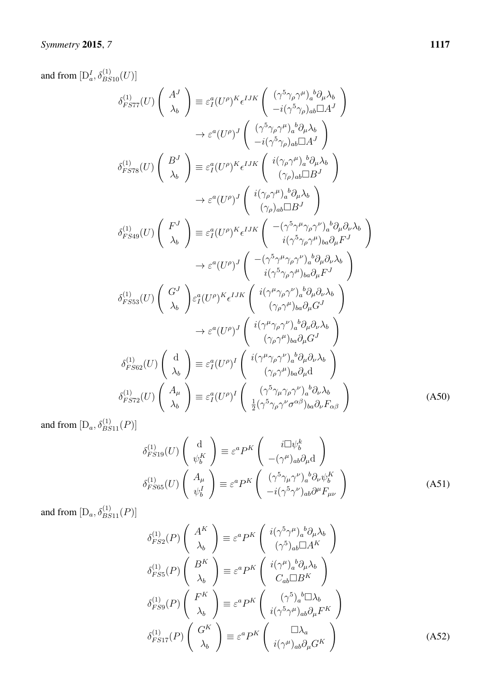and from  $[D_a^I, \delta_{BS10}^{(1)}(U)]$ 

$$
\delta_{FS77}^{(1)}(U) \begin{pmatrix} A^{J} \\ \lambda_{b} \end{pmatrix} \equiv \varepsilon_{I}^{a}(U^{p})^{K}\epsilon^{IJK} \begin{pmatrix} (\gamma^{5}\gamma_{\rho}\gamma^{\mu})_{a}^{b}\partial_{\mu}\lambda_{b} \\ -i(\gamma^{5}\gamma_{\rho})_{ab}\Box A^{J} \end{pmatrix}
$$

$$
\rightarrow \varepsilon^{a}(U^{p})^{J} \begin{pmatrix} (\gamma^{5}\gamma_{\rho}\gamma^{\mu})_{a}^{b}\partial_{\mu}\lambda_{b} \\ -i(\gamma^{5}\gamma_{\rho})_{ab}\Box A^{J} \end{pmatrix}
$$

$$
\delta_{FS78}^{(1)}(U) \begin{pmatrix} B^{J} \\ \lambda_{b} \end{pmatrix} \equiv \varepsilon_{I}^{a}(U^{p})^{K}\epsilon^{IJK} \begin{pmatrix} i(\gamma_{\rho}\gamma^{\mu})_{a}^{b}\partial_{\mu}\lambda_{b} \\ (\gamma_{\rho})_{ab}\Box B^{J} \end{pmatrix}
$$

$$
\rightarrow \varepsilon^{a}(U^{p})^{J} \begin{pmatrix} i(\gamma_{\rho}\gamma^{\mu})_{a}^{b}\partial_{\mu}\lambda_{b} \\ (\gamma_{\rho})_{ab}\Box B^{J} \end{pmatrix}
$$

$$
\delta_{FS49}^{(1)}(U) \begin{pmatrix} F^{J} \\ \lambda_{b} \end{pmatrix} \equiv \varepsilon_{I}^{a}(U^{p})^{K}\epsilon^{IJK} \begin{pmatrix} -(\gamma^{5}\gamma^{\mu}\gamma_{\rho}\gamma^{\nu})_{a}^{b}\partial_{\mu}\partial_{\nu}\lambda_{b} \\ i(\gamma^{5}\gamma_{\rho}\gamma^{\mu})_{ba}\partial_{\mu}F^{J} \end{pmatrix}
$$

$$
\delta_{FS53}^{(1)}(U) \begin{pmatrix} G^{J} \\ \lambda_{b} \end{pmatrix} \approx \varepsilon^{a}(U^{p})^{J} \begin{pmatrix} -(\gamma^{5}\gamma^{\mu}\gamma_{\rho}\gamma^{\nu})_{a}^{b}\partial_{\mu}\partial_{\nu}\lambda_{b} \\ i(\gamma^{5}\gamma_{\rho}\gamma^{\mu})_{ba}\partial_{\mu}F^{J} \end{pmatrix}
$$

$$
\delta_{FS53}^{(1)}(U) \begin{pmatrix} G^{J} \\ \lambda_{b} \end{pmatrix} \approx \varepsilon^{a}(U^{p})^{K}\epsilon^{IJK} \begin{pmatrix
$$

and from  $[D_a, \delta_{BS11}^{(1)}(P)]$ 

$$
\delta_{FS19}^{(1)}(U) \begin{pmatrix} d \\ \psi_b^K \end{pmatrix} \equiv \varepsilon^a P^K \begin{pmatrix} i\Box \psi_b^k \\ -(\gamma^\mu)_{ab}\partial_\mu d \end{pmatrix}
$$

$$
\delta_{FS65}^{(1)}(U) \begin{pmatrix} A_\mu \\ \psi_b^I \end{pmatrix} \equiv \varepsilon^a P^K \begin{pmatrix} (\gamma^5 \gamma_\mu \gamma^\nu)_a{}^b \partial_\nu \psi_b^K \\ -i(\gamma^5 \gamma^\nu)_{ab} \partial^\mu F_{\mu\nu} \end{pmatrix}
$$
(A51)

and from  $[D_a, \delta_{BS11}^{(1)}(P)]$ 

$$
\delta_{FS2}^{(1)}(P) \begin{pmatrix} A^K \\ \lambda_b \end{pmatrix} \equiv \varepsilon^a P^K \begin{pmatrix} i(\gamma^5 \gamma^\mu)_a{}^b \partial_\mu \lambda_b \\ (\gamma^5)_{ab} \Box A^K \end{pmatrix}
$$
  
\n
$$
\delta_{FS5}^{(1)}(P) \begin{pmatrix} B^K \\ \lambda_b \end{pmatrix} \equiv \varepsilon^a P^K \begin{pmatrix} i(\gamma^\mu)_a{}^b \partial_\mu \lambda_b \\ C_{ab} \Box B^K \end{pmatrix}
$$
  
\n
$$
\delta_{FS9}^{(1)}(P) \begin{pmatrix} F^K \\ \lambda_b \end{pmatrix} \equiv \varepsilon^a P^K \begin{pmatrix} (\gamma^5)_a{}^b \Box \lambda_b \\ i(\gamma^5 \gamma^\mu)_{ab} \partial_\mu F^K \end{pmatrix}
$$
  
\n
$$
\delta_{FS17}^{(1)}(P) \begin{pmatrix} G^K \\ \lambda_b \end{pmatrix} \equiv \varepsilon^a P^K \begin{pmatrix} \Box \lambda_a \\ i(\gamma^\mu)_{ab} \partial_\mu G^K \end{pmatrix}
$$
(A52)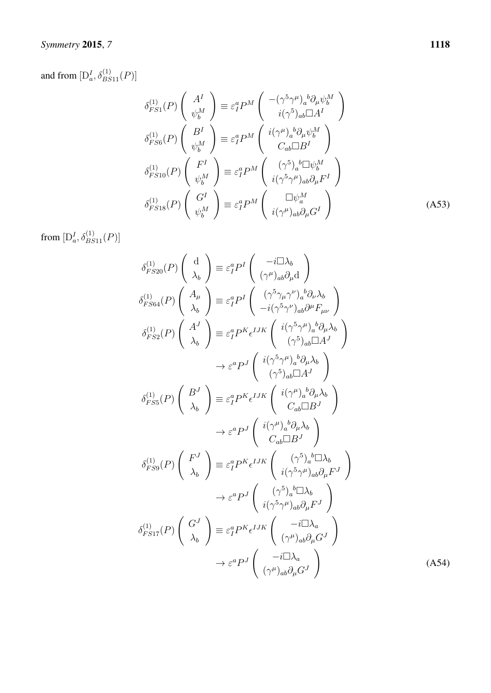#### *Symmetry* 2015 ,

and from  $[D_a^I, \delta_{BS11}^{(1)}(P)]$ 

$$
\delta_{FS1}^{(1)}(P) \begin{pmatrix} A^I \\ \psi_b^M \end{pmatrix} \equiv \varepsilon_I^a P^M \begin{pmatrix} -(\gamma^5 \gamma^\mu)_a{}^b \partial_\mu \psi_b^M \\ i(\gamma^5)_{ab} \Box A^I \end{pmatrix}
$$

$$
\delta_{FS6}^{(1)}(P) \begin{pmatrix} B^I \\ \psi_b^M \end{pmatrix} \equiv \varepsilon_I^a P^M \begin{pmatrix} i(\gamma^\mu)_a{}^b \partial_\mu \psi_b^M \\ C_{ab} \Box B^I \end{pmatrix}
$$

$$
\delta_{FS10}^{(1)}(P) \begin{pmatrix} F^I \\ \psi_b^M \end{pmatrix} \equiv \varepsilon_I^a P^M \begin{pmatrix} (\gamma^5)_a{}^b \Box \psi_b^M \\ i(\gamma^5 \gamma^\mu)_{ab} \partial_\mu F^I \end{pmatrix}
$$

$$
\delta_{FS18}^{(1)}(P) \begin{pmatrix} G^I \\ \psi_b^M \end{pmatrix} \equiv \varepsilon_I^a P^M \begin{pmatrix} \Box \psi_a^M \\ i(\gamma^\mu)_{ab} \partial_\mu G^I \end{pmatrix}
$$
(A53)

from  $[\mathcal{D}_a^I, \delta_{BS11}^{(1)}(P)]$ 

$$
\delta_{FS20}^{(1)}(P) \begin{pmatrix} d \\ \lambda_b \end{pmatrix} \equiv \varepsilon_I^a P^I \begin{pmatrix} -i\Box\lambda_b \\ (\gamma^{\mu})_{ab}\partial_{\mu}d \end{pmatrix}
$$
  
\n
$$
\delta_{FS64}^{(1)}(P) \begin{pmatrix} A_{\mu} \\ \lambda_b \end{pmatrix} \equiv \varepsilon_I^a P^I \begin{pmatrix} (\gamma^5 \gamma_{\mu} \gamma^{\nu})_a{}^b \partial_{\nu}\lambda_b \\ -i(\gamma^5 \gamma^{\nu})_{ab}\partial^{\mu}F_{\mu\nu} \end{pmatrix}
$$
  
\n
$$
\delta_{FS2}^{(1)}(P) \begin{pmatrix} A^J \\ \lambda_b \end{pmatrix} \equiv \varepsilon_I^a P^K \epsilon^{IJK} \begin{pmatrix} i(\gamma^5 \gamma^{\mu})_a{}^b \partial_{\mu}\lambda_b \\ (\gamma^5)_{ab}\Box A^J \end{pmatrix}
$$
  
\n
$$
\rightarrow \varepsilon^a P^J \begin{pmatrix} i(\gamma^5 \gamma^{\mu})_a{}^b \partial_{\mu}\lambda_b \\ (\gamma^5)_{ab}\Box A^J \end{pmatrix}
$$
  
\n
$$
\delta_{FS5}^{(1)}(P) \begin{pmatrix} B^J \\ \lambda_b \end{pmatrix} \equiv \varepsilon_I^a P^K \epsilon^{IJK} \begin{pmatrix} i(\gamma^{\mu})_a{}^b \partial_{\mu}\lambda_b \\ C_{ab}\Box B^J \end{pmatrix}
$$
  
\n
$$
\delta_{FS9}^{(1)}(P) \begin{pmatrix} F^J \\ \lambda_b \end{pmatrix} \equiv \varepsilon_I^a P^K \epsilon^{IJK} \begin{pmatrix} i(\gamma^{\mu})_a{}^b \partial_{\mu}\lambda_b \\ C_{ab}\Box B^J \end{pmatrix}
$$
  
\n
$$
\delta_{FS9}^{(1)}(P) \begin{pmatrix} F^J \\ \lambda_b \end{pmatrix} \equiv \varepsilon_I^a P^K \epsilon^{IJK} \begin{pmatrix} (\gamma^5)_a{}^b \Box \lambda_b \\ i(\gamma^5 \gamma^{\mu})_{ab}\partial_{\mu}F^J \end{pmatrix}
$$
  
\n
$$
\rightarrow \varepsilon^a P^J \begin{pmatrix} (\gamma^5)_a{}^b \Box \lambda_b \\ i(\gamma^5 \gamma^{\mu})_{ab}\partial_{\mu}F^J \end{pmatrix}
$$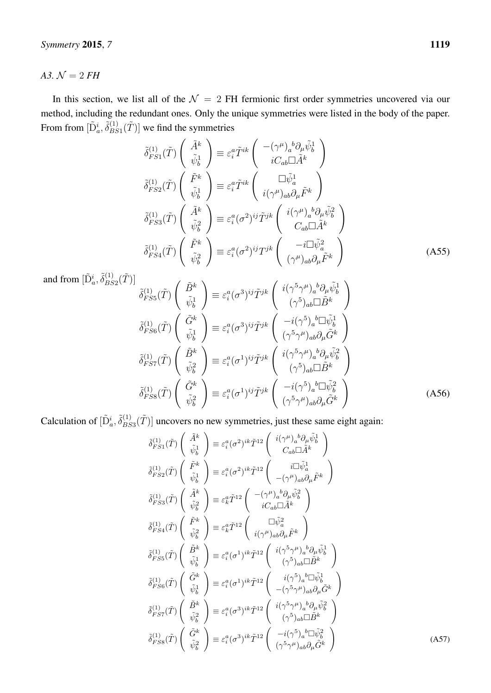<span id="page-40-0"></span>*A3.*  $N = 2 FH$ 

In this section, we list all of the  $\mathcal{N} = 2$  FH fermionic first order symmetries uncovered via our method, including the redundant ones. Only the unique symmetries were listed in the body of the paper. From from  $[\tilde{\mathrm{D}}_a^i, \tilde{\delta}_{BS}^{(1)}]$  $\left(\tilde{B}_{BS1}^{(1)}(\tilde{T})\right]$  we find the symmetries

$$
\tilde{\delta}_{FS1}^{(1)}(\tilde{T}) \begin{pmatrix} \tilde{A}^k \\ \tilde{\psi}_b^1 \end{pmatrix} \equiv \varepsilon_i^a \tilde{T}^{ik} \begin{pmatrix} -(\gamma^\mu)_a{}^b \partial_\mu \tilde{\psi}_b^1 \\ iC_{ab} \Box \tilde{A}^k \end{pmatrix}
$$
\n
$$
\tilde{\delta}_{FS2}^{(1)}(\tilde{T}) \begin{pmatrix} \tilde{F}^k \\ \tilde{\psi}_b^1 \end{pmatrix} \equiv \varepsilon_i^a \tilde{T}^{ik} \begin{pmatrix} \Box \tilde{\psi}_a^1 \\ i(\gamma^\mu)_{ab} \partial_\mu \tilde{F}^k \end{pmatrix}
$$
\n
$$
\tilde{\delta}_{FS3}^{(1)}(\tilde{T}) \begin{pmatrix} \tilde{A}^k \\ \tilde{\psi}_b^2 \end{pmatrix} \equiv \varepsilon_i^a (\sigma^2)^{ij} \tilde{T}^{jk} \begin{pmatrix} i(\gamma^\mu)_a{}^b \partial_\mu \tilde{\psi}_b^2 \\ C_{ab} \Box \tilde{A}^k \end{pmatrix}
$$
\n
$$
\tilde{\delta}_{FS4}^{(1)}(\tilde{T}) \begin{pmatrix} \tilde{F}^k \\ \tilde{\psi}_b^2 \end{pmatrix} \equiv \varepsilon_i^a (\sigma^2)^{ij} T^{jk} \begin{pmatrix} -i \Box \tilde{\psi}_a^2 \\ (\gamma^\mu)_{ab} \partial_\mu \tilde{F}^k \end{pmatrix}
$$
\n(A55)

and from  $[\tilde{\mathrm{D}}_a^i, \tilde{\delta}_{BS}^{(1)}]$  $^{(1)}_{BS2}(\tilde{T})]$ 

$$
\begin{aligned}\n\tilde{\delta}_{FS5}^{(1)}(\tilde{T}) \left( \begin{array}{c} \tilde{B}^k \\ \tilde{\psi}_b^1 \end{array} \right) & \equiv \varepsilon_i^a (\sigma^3)^{ij} \tilde{T}^{jk} \left( \begin{array}{c} i(\gamma^5 \gamma^\mu)_a{}^b \partial_\mu \tilde{\psi}_b^1 \\ (\gamma^5)_{ab} \Box \tilde{B}^k \end{array} \right) \\
\tilde{\delta}_{FS6}^{(1)}(\tilde{T}) \left( \begin{array}{c} \tilde{G}^k \\ \tilde{\psi}_b^1 \end{array} \right) & \equiv \varepsilon_i^a (\sigma^3)^{ij} \tilde{T}^{jk} \left( \begin{array}{c} -i(\gamma^5)_a{}^b \Box \tilde{\psi}_b^1 \\ (\gamma^5 \gamma^\mu)_{ab} \partial_\mu \tilde{G}^k \end{array} \right) \\
\tilde{\delta}_{FS7}^{(1)}(\tilde{T}) \left( \begin{array}{c} \tilde{B}^k \\ \tilde{\psi}_b^2 \end{array} \right) & \equiv \varepsilon_i^a (\sigma^1)^{ij} \tilde{T}^{jk} \left( \begin{array}{c} i(\gamma^5 \gamma^\mu)_a{}^b \partial_\mu \tilde{\psi}_b^2 \\ (\gamma^5 \gamma^\mu)_a{}^b \partial_\mu \tilde{\psi}_b^2 \end{array} \right) \\
\tilde{\delta}_{FS8}^{(1)}(\tilde{T}) \left( \begin{array}{c} \tilde{G}^k \\ \tilde{\psi}_b^2 \end{array} \right) & \equiv \varepsilon_i^a (\sigma^1)^{ij} \tilde{T}^{jk} \left( \begin{array}{c} -i(\gamma^5)_a{}^b \Box \tilde{\psi}_b^2 \\ (\gamma^5 \gamma^\mu)_{ab} \partial_\mu \tilde{G}^k \end{array} \right)\n\end{aligned} \tag{A56}
$$

Calculation of  $[\tilde{\mathbf{D}}_a^i, \tilde{\delta}_{BS}^{(1)}]$  $\left(\begin{matrix} 1 \\ B S3 \end{matrix}\right)$  uncovers no new symmetries, just these same eight again:

$$
\begin{aligned}\n\tilde{\delta}_{FS1}^{(1)}(\tilde{T}) \begin{pmatrix} \tilde{A}^{k} \\ \tilde{\psi}_{b}^{1} \end{pmatrix} & \equiv \varepsilon_{i}^{a}(\sigma^{2})^{ik}\tilde{T}^{12} \begin{pmatrix} i(\gamma^{\mu})_{a}{}^{b}\partial_{\mu}\tilde{\psi}_{b}^{1} \\ C_{ab}\Box\tilde{A}^{k} \end{pmatrix} \\
\tilde{\delta}_{FS2}^{(1)}(\tilde{T}) \begin{pmatrix} \tilde{F}^{k} \\ \tilde{\psi}_{b}^{1} \end{pmatrix} & \equiv \varepsilon_{i}^{a}(\sigma^{2})^{ik}\tilde{T}^{12} \begin{pmatrix} i\Box\tilde{\psi}_{a}^{1} \\ -(\gamma^{\mu})_{ab}\partial_{\mu}\tilde{F}^{k} \end{pmatrix} \\
\tilde{\delta}_{FS3}^{(1)}(\tilde{T}) \begin{pmatrix} \tilde{A}^{k} \\ \tilde{\psi}_{b}^{2} \end{pmatrix} & \equiv \varepsilon_{k}^{a}\tilde{T}^{12} \begin{pmatrix} -(\gamma^{\mu})_{a}{}^{b}\partial_{\mu}\tilde{\psi}_{b}^{2} \\ iC_{ab}\Box\tilde{A}^{k} \end{pmatrix} \\
\tilde{\delta}_{FS4}^{(1)}(\tilde{T}) \begin{pmatrix} \tilde{F}^{k} \\ \tilde{\psi}_{b}^{2} \end{pmatrix} & \equiv \varepsilon_{k}^{a}\tilde{T}^{12} \begin{pmatrix} \Box\tilde{\psi}_{a}^{2} \\ i(\gamma^{\mu})_{ab}\partial_{\mu}\tilde{F}^{k} \end{pmatrix} \\
\tilde{\delta}_{FS5}^{(1)}(\tilde{T}) \begin{pmatrix} \tilde{B}^{k} \\ \tilde{\psi}_{b}^{1} \end{pmatrix} & \equiv \varepsilon_{i}^{a}(\sigma^{1})^{ik}\tilde{T}^{12} \begin{pmatrix} i(\gamma^{5}\gamma^{\mu})_{a}{}^{b}\partial_{\mu}\tilde{\psi}_{b}^{1} \\ (\gamma^{5})_{ab}\Box\tilde{B}^{k} \end{pmatrix} \\
\tilde{\delta}_{FS6}^{(1)}(\tilde{T}) \begin{pmatrix} \tilde{G}^{k} \\ \tilde{\psi}_{b}^{1} \end{pmatrix} & \equiv \varepsilon_{i}^{a}(\sigma^{1})^{ik}\tilde{T}^{12} \begin{pmatrix} i(\gamma
$$

(A57)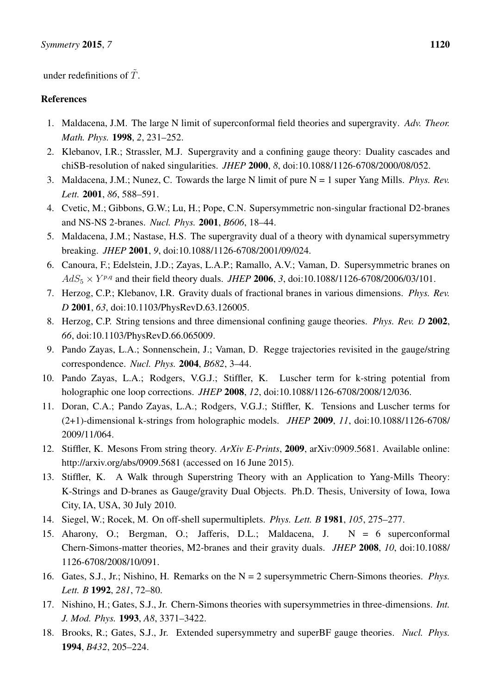under redefinitions of  $\tilde{T}$ .

### References

- <span id="page-41-0"></span>1. Maldacena, J.M. The large N limit of superconformal field theories and supergravity. *Adv. Theor. Math. Phys.* 1998, *2*, 231–252.
- <span id="page-41-1"></span>2. Klebanov, I.R.; Strassler, M.J. Supergravity and a confining gauge theory: Duality cascades and chiSB-resolution of naked singularities. *JHEP* 2000, *8*, doi:10.1088/1126-6708/2000/08/052.
- <span id="page-41-2"></span>3. Maldacena, J.M.; Nunez, C. Towards the large N limit of pure N = 1 super Yang Mills. *Phys. Rev. Lett.* 2001, *86*, 588–591.
- 4. Cvetic, M.; Gibbons, G.W.; Lu, H.; Pope, C.N. Supersymmetric non-singular fractional D2-branes and NS-NS 2-branes. *Nucl. Phys.* 2001, *B606*, 18–44.
- 5. Maldacena, J.M.; Nastase, H.S. The supergravity dual of a theory with dynamical supersymmetry breaking. *JHEP* 2001, *9*, doi:10.1088/1126-6708/2001/09/024.
- <span id="page-41-3"></span>6. Canoura, F.; Edelstein, J.D.; Zayas, L.A.P.; Ramallo, A.V.; Vaman, D. Supersymmetric branes on  $AdS_5 \times Y^{p,q}$  and their field theory duals. *JHEP* 2006, 3, doi:10.1088/1126-6708/2006/03/101.
- <span id="page-41-4"></span>7. Herzog, C.P.; Klebanov, I.R. Gravity duals of fractional branes in various dimensions. *Phys. Rev. D* 2001, *63*, doi:10.1103/PhysRevD.63.126005.
- <span id="page-41-5"></span>8. Herzog, C.P. String tensions and three dimensional confining gauge theories. *Phys. Rev. D* 2002, *66*, doi:10.1103/PhysRevD.66.065009.
- <span id="page-41-6"></span>9. Pando Zayas, L.A.; Sonnenschein, J.; Vaman, D. Regge trajectories revisited in the gauge/string correspondence. *Nucl. Phys.* 2004, *B682*, 3–44.
- <span id="page-41-7"></span>10. Pando Zayas, L.A.; Rodgers, V.G.J.; Stiffler, K. Luscher term for k-string potential from holographic one loop corrections. *JHEP* 2008, *12*, doi:10.1088/1126-6708/2008/12/036.
- 11. Doran, C.A.; Pando Zayas, L.A.; Rodgers, V.G.J.; Stiffler, K. Tensions and Luscher terms for (2+1)-dimensional k-strings from holographic models. *JHEP* 2009, *11*, doi:10.1088/1126-6708/ 2009/11/064.
- 12. Stiffler, K. Mesons From string theory. *ArXiv E-Prints*, 2009, arXiv:0909.5681. Available online: http://arxiv.org/abs/0909.5681 (accessed on 16 June 2015).
- <span id="page-41-8"></span>13. Stiffler, K. A Walk through Superstring Theory with an Application to Yang-Mills Theory: K-Strings and D-branes as Gauge/gravity Dual Objects. Ph.D. Thesis, University of Iowa, Iowa City, IA, USA, 30 July 2010.
- <span id="page-41-9"></span>14. Siegel, W.; Rocek, M. On off-shell supermultiplets. *Phys. Lett. B* 1981, *105*, 275–277.
- <span id="page-41-10"></span>15. Aharony, O.; Bergman, O.; Jafferis, D.L.; Maldacena, J. N = 6 superconformal Chern-Simons-matter theories, M2-branes and their gravity duals. *JHEP* 2008, *10*, doi:10.1088/ 1126-6708/2008/10/091.
- <span id="page-41-11"></span>16. Gates, S.J., Jr.; Nishino, H. Remarks on the N = 2 supersymmetric Chern-Simons theories. *Phys. Lett. B* 1992, *281*, 72–80.
- 17. Nishino, H.; Gates, S.J., Jr. Chern-Simons theories with supersymmetries in three-dimensions. *Int. J. Mod. Phys.* 1993, *A8*, 3371–3422.
- 18. Brooks, R.; Gates, S.J., Jr. Extended supersymmetry and superBF gauge theories. *Nucl. Phys.* 1994, *B432*, 205–224.